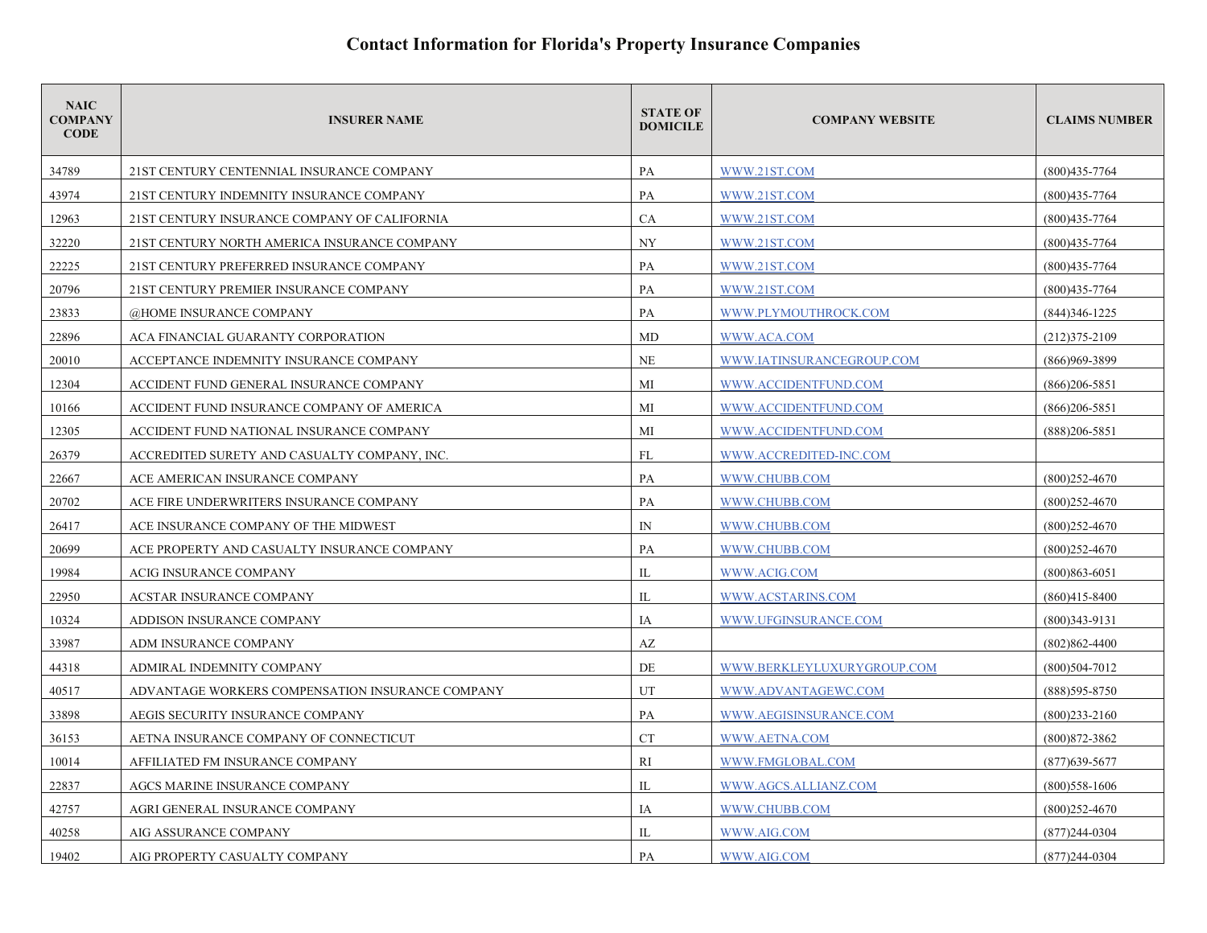| <b>NAIC</b><br><b>COMPANY</b><br><b>CODE</b> | <b>INSURER NAME</b>                              | <b>STATE OF</b><br><b>DOMICILE</b> | <b>COMPANY WEBSITE</b>     | <b>CLAIMS NUMBER</b> |
|----------------------------------------------|--------------------------------------------------|------------------------------------|----------------------------|----------------------|
| 34789                                        | 21ST CENTURY CENTENNIAL INSURANCE COMPANY        | PA                                 | WWW.21ST.COM               | $(800)435 - 7764$    |
| 43974                                        | 21ST CENTURY INDEMNITY INSURANCE COMPANY         | PA                                 | WWW.21ST.COM               | $(800)435 - 7764$    |
| 12963                                        | 21ST CENTURY INSURANCE COMPANY OF CALIFORNIA     | CA                                 | WWW.21ST.COM               | $(800)435 - 7764$    |
| 32220                                        | 21ST CENTURY NORTH AMERICA INSURANCE COMPANY     | NY                                 | WWW.21ST.COM               | $(800)435 - 7764$    |
| 22225                                        | 21ST CENTURY PREFERRED INSURANCE COMPANY         | PA                                 | WWW.21ST.COM               | $(800)435 - 7764$    |
| 20796                                        | 21ST CENTURY PREMIER INSURANCE COMPANY           | PA                                 | WWW.21ST.COM               | $(800)435 - 7764$    |
| 23833                                        | @HOME INSURANCE COMPANY                          | PA                                 | WWW.PLYMOUTHROCK.COM       | $(844)346 - 1225$    |
| 22896                                        | ACA FINANCIAL GUARANTY CORPORATION               | MD                                 | WWW.ACA.COM                | $(212)375 - 2109$    |
| 20010                                        | ACCEPTANCE INDEMNITY INSURANCE COMPANY           | NE                                 | WWW.IATINSURANCEGROUP.COM  | (866)969-3899        |
| 12304                                        | ACCIDENT FUND GENERAL INSURANCE COMPANY          | MI                                 | WWW.ACCIDENTFUND.COM       | $(866)206 - 5851$    |
| 10166                                        | ACCIDENT FUND INSURANCE COMPANY OF AMERICA       | MI                                 | WWW.ACCIDENTFUND.COM       | $(866)206 - 5851$    |
| 12305                                        | ACCIDENT FUND NATIONAL INSURANCE COMPANY         | MI                                 | WWW.ACCIDENTFUND.COM       | $(888)206 - 5851$    |
| 26379                                        | ACCREDITED SURETY AND CASUALTY COMPANY, INC.     | <b>FL</b>                          | WWW.ACCREDITED-INC.COM     |                      |
| 22667                                        | ACE AMERICAN INSURANCE COMPANY                   | PA                                 | WWW.CHUBB.COM              | $(800)252 - 4670$    |
| 20702                                        | ACE FIRE UNDERWRITERS INSURANCE COMPANY          | PA                                 | WWW.CHUBB.COM              | $(800)252 - 4670$    |
| 26417                                        | ACE INSURANCE COMPANY OF THE MIDWEST             | $\mathbb{N}$                       | WWW.CHUBB.COM              | $(800)252 - 4670$    |
| 20699                                        | ACE PROPERTY AND CASUALTY INSURANCE COMPANY      | PA                                 | WWW.CHUBB.COM              | $(800)252 - 4670$    |
| 19984                                        | ACIG INSURANCE COMPANY                           | IL                                 | WWW.ACIG.COM               | $(800)863 - 6051$    |
| 22950                                        | <b>ACSTAR INSURANCE COMPANY</b>                  | IL                                 | WWW.ACSTARINS.COM          | $(860)415 - 8400$    |
| 10324                                        | ADDISON INSURANCE COMPANY                        | IA                                 | WWW.UFGINSURANCE.COM       | $(800)343 - 9131$    |
| 33987                                        | ADM INSURANCE COMPANY                            | AZ                                 |                            | $(802)862 - 4400$    |
| 44318                                        | ADMIRAL INDEMNITY COMPANY                        | DE                                 | WWW.BERKLEYLUXURYGROUP.COM | $(800)504 - 7012$    |
| 40517                                        | ADVANTAGE WORKERS COMPENSATION INSURANCE COMPANY | UT                                 | WWW.ADVANTAGEWC.COM        | $(888)595 - 8750$    |
| 33898                                        | AEGIS SECURITY INSURANCE COMPANY                 | PA                                 | WWW.AEGISINSURANCE.COM     | $(800)$ 233-2160     |
| 36153                                        | AETNA INSURANCE COMPANY OF CONNECTICUT           | <b>CT</b>                          | WWW.AETNA.COM              | $(800)872 - 3862$    |
| 10014                                        | AFFILIATED FM INSURANCE COMPANY                  | RI                                 | WWW.FMGLOBAL.COM           | $(877)639 - 5677$    |
| 22837                                        | AGCS MARINE INSURANCE COMPANY                    | IL                                 | WWW.AGCS.ALLIANZ.COM       | $(800)$ 558-1606     |
| 42757                                        | AGRI GENERAL INSURANCE COMPANY                   | IA                                 | WWW.CHUBB.COM              | $(800)252 - 4670$    |
| 40258                                        | AIG ASSURANCE COMPANY                            | IL                                 | WWW.AIG.COM                | $(877)$ 244-0304     |
| 19402                                        | AIG PROPERTY CASUALTY COMPANY                    | PA                                 | WWW.AIG.COM                | $(877)244-0304$      |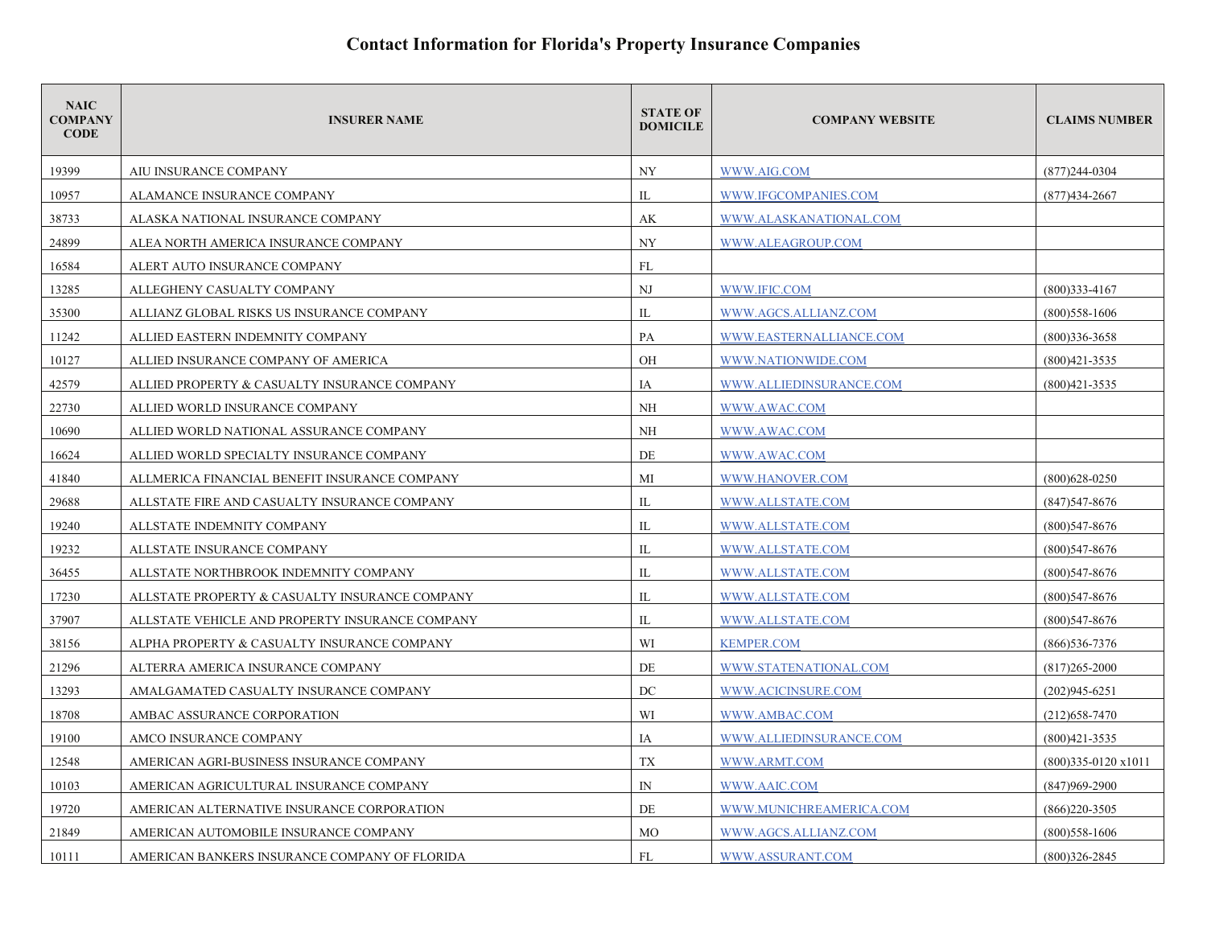| <b>NAIC</b><br><b>COMPANY</b><br><b>CODE</b> | <b>INSURER NAME</b>                             | <b>STATE OF</b><br><b>DOMICILE</b> | <b>COMPANY WEBSITE</b>  | <b>CLAIMS NUMBER</b>        |
|----------------------------------------------|-------------------------------------------------|------------------------------------|-------------------------|-----------------------------|
| 19399                                        | AIU INSURANCE COMPANY                           | <b>NY</b>                          | WWW.AIG.COM             | $(877)$ 244-0304            |
| 10957                                        | ALAMANCE INSURANCE COMPANY                      | IL                                 | WWW.IFGCOMPANIES.COM    | $(877)434 - 2667$           |
| 38733                                        | ALASKA NATIONAL INSURANCE COMPANY               | AK                                 | WWW.ALASKANATIONAL.COM  |                             |
| 24899                                        | ALEA NORTH AMERICA INSURANCE COMPANY            | <b>NY</b>                          | WWW.ALEAGROUP.COM       |                             |
| 16584                                        | ALERT AUTO INSURANCE COMPANY                    | FL                                 |                         |                             |
| 13285                                        | ALLEGHENY CASUALTY COMPANY                      | NJ                                 | WWW.IFIC.COM            | $(800)333 - 4167$           |
| 35300                                        | ALLIANZ GLOBAL RISKS US INSURANCE COMPANY       | IL                                 | WWW.AGCS.ALLIANZ.COM    | $(800)$ 558-1606            |
| 11242                                        | ALLIED EASTERN INDEMNITY COMPANY                | PA                                 | WWW.EASTERNALLIANCE.COM | $(800)336 - 3658$           |
| 10127                                        | ALLIED INSURANCE COMPANY OF AMERICA             | OH                                 | WWW.NATIONWIDE.COM      | $(800)421 - 3535$           |
| 42579                                        | ALLIED PROPERTY & CASUALTY INSURANCE COMPANY    | IA                                 | WWW.ALLIEDINSURANCE.COM | $(800)421 - 3535$           |
| 22730                                        | ALLIED WORLD INSURANCE COMPANY                  | NH                                 | WWW.AWAC.COM            |                             |
| 10690                                        | ALLIED WORLD NATIONAL ASSURANCE COMPANY         | NH                                 | WWW.AWAC.COM            |                             |
| 16624                                        | ALLIED WORLD SPECIALTY INSURANCE COMPANY        | DE                                 | WWW.AWAC.COM            |                             |
| 41840                                        | ALLMERICA FINANCIAL BENEFIT INSURANCE COMPANY   | МI                                 | WWW.HANOVER.COM         | $(800)628 - 0250$           |
| 29688                                        | ALLSTATE FIRE AND CASUALTY INSURANCE COMPANY    | IL                                 | WWW.ALLSTATE.COM        | $(847)547 - 8676$           |
| 19240                                        | ALLSTATE INDEMNITY COMPANY                      | IL                                 | WWW.ALLSTATE.COM        | $(800)$ 547-8676            |
| 19232                                        | ALLSTATE INSURANCE COMPANY                      | IL                                 | WWW.ALLSTATE.COM        | (800)547-8676               |
| 36455                                        | ALLSTATE NORTHBROOK INDEMNITY COMPANY           | IL                                 | WWW.ALLSTATE.COM        | $(800)547 - 8676$           |
| 17230                                        | ALLSTATE PROPERTY & CASUALTY INSURANCE COMPANY  | IL                                 | WWW.ALLSTATE.COM        | $(800)$ 547-8676            |
| 37907                                        | ALLSTATE VEHICLE AND PROPERTY INSURANCE COMPANY | IL                                 | WWW.ALLSTATE.COM        | $(800)$ 547-8676            |
| 38156                                        | ALPHA PROPERTY & CASUALTY INSURANCE COMPANY     | WI                                 | <b>KEMPER.COM</b>       | $(866)$ 536-7376            |
| 21296                                        | ALTERRA AMERICA INSURANCE COMPANY               | DE                                 | WWW.STATENATIONAL.COM   | $(817)265 - 2000$           |
| 13293                                        | AMALGAMATED CASUALTY INSURANCE COMPANY          | DC                                 | WWW.ACICINSURE.COM      | $(202)945 - 6251$           |
| 18708                                        | AMBAC ASSURANCE CORPORATION                     | WI                                 | WWW.AMBAC.COM           | $(212)$ 658-7470            |
| 19100                                        | AMCO INSURANCE COMPANY                          | IA                                 | WWW.ALLIEDINSURANCE.COM | $(800)421 - 3535$           |
| 12548                                        | AMERICAN AGRI-BUSINESS INSURANCE COMPANY        | TX                                 | WWW.ARMT.COM            | $(800)335-0120 \times 1011$ |
| 10103                                        | AMERICAN AGRICULTURAL INSURANCE COMPANY         | $\mathbb{N}$                       | WWW.AAIC.COM            | $(847)969 - 2900$           |
| 19720                                        | AMERICAN ALTERNATIVE INSURANCE CORPORATION      | DE                                 | WWW.MUNICHREAMERICA.COM | $(866)220 - 3505$           |
| 21849                                        | AMERICAN AUTOMOBILE INSURANCE COMPANY           | <b>MO</b>                          | WWW.AGCS.ALLIANZ.COM    | $(800)$ 558-1606            |
| 10111                                        | AMERICAN BANKERS INSURANCE COMPANY OF FLORIDA   | FL                                 | WWW.ASSURANT.COM        | $(800)326 - 2845$           |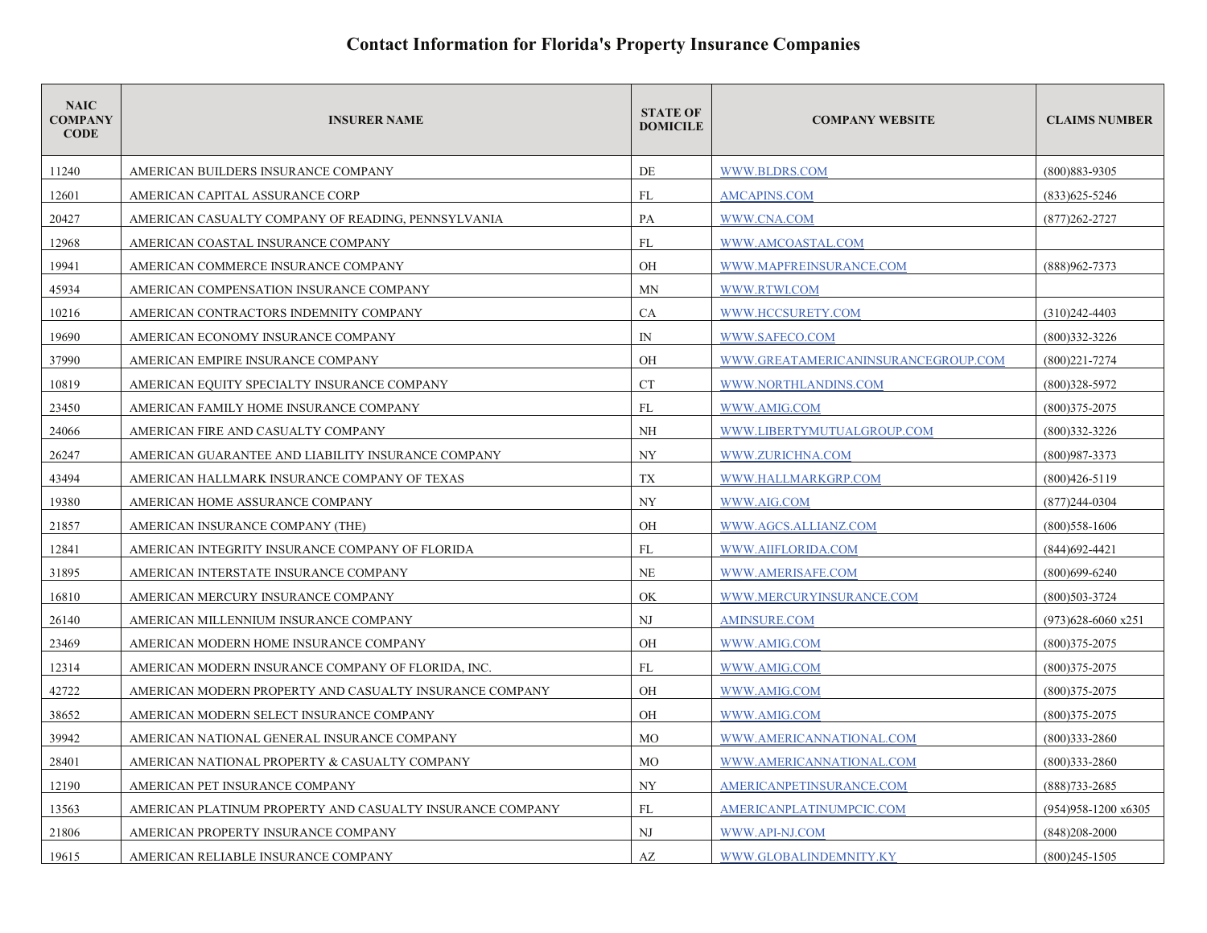| <b>NAIC</b><br><b>COMPANY</b><br><b>CODE</b> | <b>INSURER NAME</b>                                       | <b>STATE OF</b><br><b>DOMICILE</b> | <b>COMPANY WEBSITE</b>              | <b>CLAIMS NUMBER</b>          |
|----------------------------------------------|-----------------------------------------------------------|------------------------------------|-------------------------------------|-------------------------------|
| 11240                                        | AMERICAN BUILDERS INSURANCE COMPANY                       | DE                                 | WWW.BLDRS.COM                       | (800) 883-9305                |
| 12601                                        | AMERICAN CAPITAL ASSURANCE CORP                           | FL                                 | <b>AMCAPINS.COM</b>                 | $(833)625 - 5246$             |
| 20427                                        | AMERICAN CASUALTY COMPANY OF READING, PENNSYLVANIA        | PA                                 | WWW.CNA.COM                         | $(877)262 - 2727$             |
| 12968                                        | AMERICAN COASTAL INSURANCE COMPANY                        | FL                                 | WWW.AMCOASTAL.COM                   |                               |
| 19941                                        | AMERICAN COMMERCE INSURANCE COMPANY                       | OH                                 | WWW.MAPFREINSURANCE.COM             | (888) 962-7373                |
| 45934                                        | AMERICAN COMPENSATION INSURANCE COMPANY                   | <b>MN</b>                          | WWW.RTWI.COM                        |                               |
| 10216                                        | AMERICAN CONTRACTORS INDEMNITY COMPANY                    | <b>CA</b>                          | WWW.HCCSURETY.COM                   | $(310)242 - 4403$             |
| 19690                                        | AMERICAN ECONOMY INSURANCE COMPANY                        | $\mathbb{N}$                       | WWW.SAFECO.COM                      | $(800)332 - 3226$             |
| 37990                                        | AMERICAN EMPIRE INSURANCE COMPANY                         | OH                                 | WWW.GREATAMERICANINSURANCEGROUP.COM | $(800)221 - 7274$             |
| 10819                                        | AMERICAN EQUITY SPECIALTY INSURANCE COMPANY               | <b>CT</b>                          | WWW.NORTHLANDINS.COM                | $(800)328 - 5972$             |
| 23450                                        | AMERICAN FAMILY HOME INSURANCE COMPANY                    | FL                                 | WWW.AMIG.COM                        | $(800)375 - 2075$             |
| 24066                                        | AMERICAN FIRE AND CASUALTY COMPANY                        | <b>NH</b>                          | WWW.LIBERTYMUTUALGROUP.COM          | $(800)332 - 3226$             |
| 26247                                        | AMERICAN GUARANTEE AND LIABILITY INSURANCE COMPANY        | <b>NY</b>                          | WWW.ZURICHNA.COM                    | $(800)987 - 3373$             |
| 43494                                        | AMERICAN HALLMARK INSURANCE COMPANY OF TEXAS              | TX                                 | WWW.HALLMARKGRP.COM                 | $(800)426 - 5119$             |
| 19380                                        | AMERICAN HOME ASSURANCE COMPANY                           | <b>NY</b>                          | WWW.AIG.COM                         | $(877)244-0304$               |
| 21857                                        | AMERICAN INSURANCE COMPANY (THE)                          | OH                                 | WWW.AGCS.ALLIANZ.COM                | $(800)$ 558-1606              |
| 12841                                        | AMERICAN INTEGRITY INSURANCE COMPANY OF FLORIDA           | FL                                 | WWW.AIIFLORIDA.COM                  | $(844)692 - 4421$             |
| 31895                                        | AMERICAN INTERSTATE INSURANCE COMPANY                     | NE                                 | WWW.AMERISAFE.COM                   | $(800)699 - 6240$             |
| 16810                                        | AMERICAN MERCURY INSURANCE COMPANY                        | OK                                 | WWW.MERCURYINSURANCE.COM            | $(800)503 - 3724$             |
| 26140                                        | AMERICAN MILLENNIUM INSURANCE COMPANY                     | N <sub>J</sub>                     | <b>AMINSURE.COM</b>                 | $(973)628 - 6060$ x251        |
| 23469                                        | AMERICAN MODERN HOME INSURANCE COMPANY                    | OH                                 | WWW.AMIG.COM                        | $(800)375 - 2075$             |
| 12314                                        | AMERICAN MODERN INSURANCE COMPANY OF FLORIDA, INC.        | FL                                 | WWW.AMIG.COM                        | $(800)375 - 2075$             |
| 42722                                        | AMERICAN MODERN PROPERTY AND CASUALTY INSURANCE COMPANY   | OH                                 | WWW.AMIG.COM                        | $(800)375 - 2075$             |
| 38652                                        | AMERICAN MODERN SELECT INSURANCE COMPANY                  | <b>OH</b>                          | WWW.AMIG.COM                        | $(800)375 - 2075$             |
| 39942                                        | AMERICAN NATIONAL GENERAL INSURANCE COMPANY               | <b>MO</b>                          | WWW.AMERICANNATIONAL.COM            | $(800)333 - 2860$             |
| 28401                                        | AMERICAN NATIONAL PROPERTY & CASUALTY COMPANY             | MO                                 | WWW.AMERICANNATIONAL.COM            | $(800)333 - 2860$             |
| 12190                                        | AMERICAN PET INSURANCE COMPANY                            | NY                                 | AMERICANPETINSURANCE.COM            | $(888)733 - 2685$             |
| 13563                                        | AMERICAN PLATINUM PROPERTY AND CASUALTY INSURANCE COMPANY | FL                                 | AMERICANPLATINUMPCIC.COM            | $(954)958 - 1200 \times 6305$ |
| 21806                                        | AMERICAN PROPERTY INSURANCE COMPANY                       | N <sub>J</sub>                     | WWW.API-NJ.COM                      | $(848)208 - 2000$             |
| 19615                                        | AMERICAN RELIABLE INSURANCE COMPANY                       | AZ                                 | WWW.GLOBALINDEMNITY.KY              | $(800)245 - 1505$             |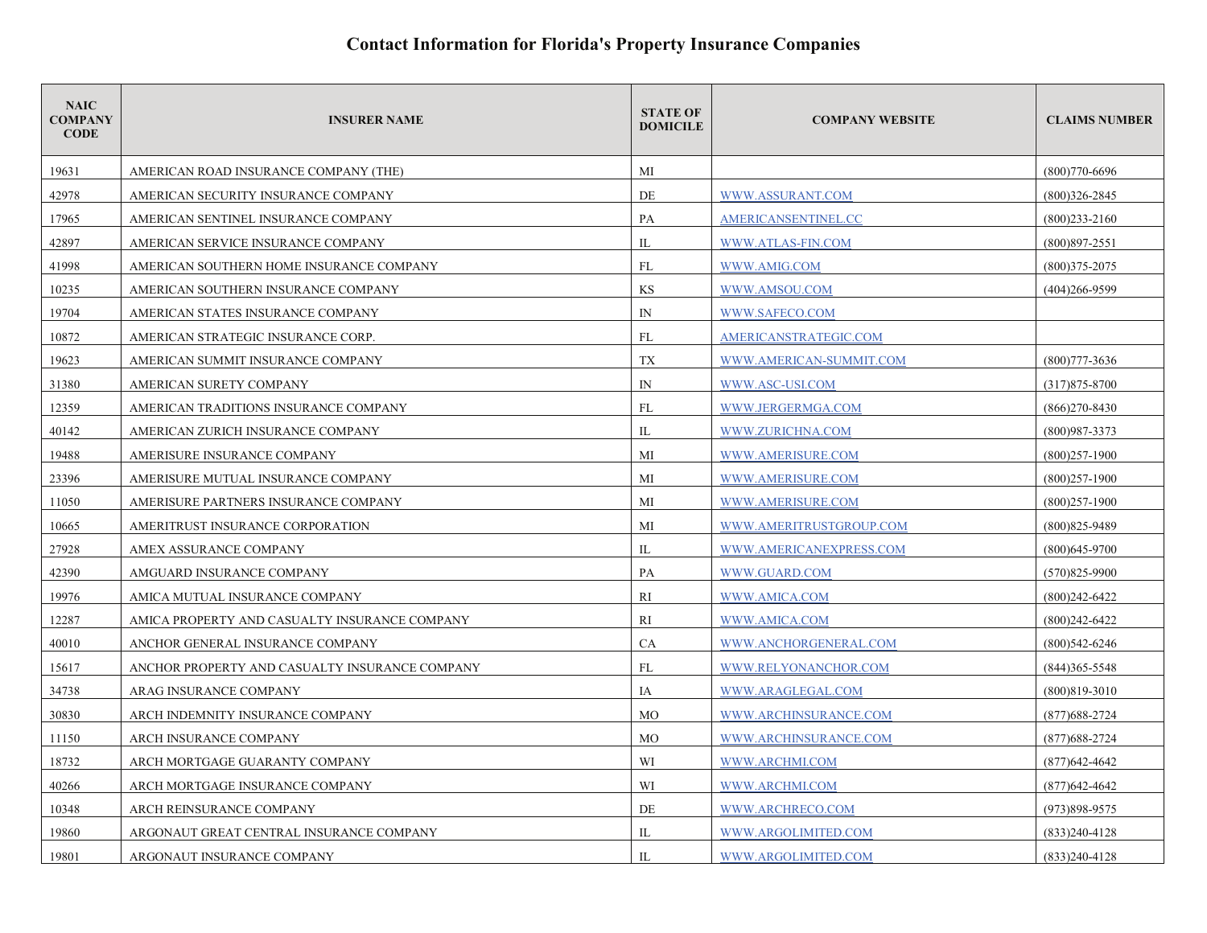| <b>NAIC</b><br><b>COMPANY</b><br><b>CODE</b> | <b>INSURER NAME</b>                            | <b>STATE OF</b><br><b>DOMICILE</b> | <b>COMPANY WEBSITE</b>  | <b>CLAIMS NUMBER</b> |
|----------------------------------------------|------------------------------------------------|------------------------------------|-------------------------|----------------------|
| 19631                                        | AMERICAN ROAD INSURANCE COMPANY (THE)          | МI                                 |                         | $(800)770 - 6696$    |
| 42978                                        | AMERICAN SECURITY INSURANCE COMPANY            | DE                                 | WWW.ASSURANT.COM        | $(800)326 - 2845$    |
| 17965                                        | AMERICAN SENTINEL INSURANCE COMPANY            | PA                                 | AMERICANSENTINEL.CC     | $(800)$ 233-2160     |
| 42897                                        | AMERICAN SERVICE INSURANCE COMPANY             | IL                                 | WWW.ATLAS-FIN.COM       | $(800)897 - 2551$    |
| 41998                                        | AMERICAN SOUTHERN HOME INSURANCE COMPANY       | FL                                 | WWW.AMIG.COM            | $(800)375 - 2075$    |
| 10235                                        | AMERICAN SOUTHERN INSURANCE COMPANY            | KS                                 | WWW.AMSOU.COM           | $(404)266 - 9599$    |
| 19704                                        | AMERICAN STATES INSURANCE COMPANY              | $\mathbb{N}$                       | WWW.SAFECO.COM          |                      |
| 10872                                        | AMERICAN STRATEGIC INSURANCE CORP.             | FL                                 | AMERICANSTRATEGIC.COM   |                      |
| 19623                                        | AMERICAN SUMMIT INSURANCE COMPANY              | TX                                 | WWW.AMERICAN-SUMMIT.COM | $(800)777 - 3636$    |
| 31380                                        | AMERICAN SURETY COMPANY                        | $\mathbb{N}$                       | WWW.ASC-USI.COM         | $(317)875 - 8700$    |
| 12359                                        | AMERICAN TRADITIONS INSURANCE COMPANY          | FL                                 | WWW.JERGERMGA.COM       | $(866)270 - 8430$    |
| 40142                                        | AMERICAN ZURICH INSURANCE COMPANY              | IL                                 | WWW.ZURICHNA.COM        | $(800)987 - 3373$    |
| 19488                                        | AMERISURE INSURANCE COMPANY                    | МI                                 | WWW.AMERISURE.COM       | $(800)257-1900$      |
| 23396                                        | AMERISURE MUTUAL INSURANCE COMPANY             | МI                                 | WWW.AMERISURE.COM       | $(800)257 - 1900$    |
| 11050                                        | AMERISURE PARTNERS INSURANCE COMPANY           | МI                                 | WWW.AMERISURE.COM       | $(800)257 - 1900$    |
| 10665                                        | AMERITRUST INSURANCE CORPORATION               | МI                                 | WWW.AMERITRUSTGROUP.COM | $(800)825 - 9489$    |
| 27928                                        | AMEX ASSURANCE COMPANY                         | IL                                 | WWW.AMERICANEXPRESS.COM | $(800)$ 645-9700     |
| 42390                                        | AMGUARD INSURANCE COMPANY                      | PA                                 | WWW.GUARD.COM           | $(570)825 - 9900$    |
| 19976                                        | AMICA MUTUAL INSURANCE COMPANY                 | RI                                 | WWW.AMICA.COM           | $(800)242 - 6422$    |
| 12287                                        | AMICA PROPERTY AND CASUALTY INSURANCE COMPANY  | <b>RI</b>                          | WWW.AMICA.COM           | $(800)$ 242-6422     |
| 40010                                        | ANCHOR GENERAL INSURANCE COMPANY               | CA                                 | WWW.ANCHORGENERAL.COM   | $(800)542 - 6246$    |
| 15617                                        | ANCHOR PROPERTY AND CASUALTY INSURANCE COMPANY | FL                                 | WWW.RELYONANCHOR.COM    | $(844)365 - 5548$    |
| 34738                                        | ARAG INSURANCE COMPANY                         | IA                                 | WWW.ARAGLEGAL.COM       | (800)819-3010        |
| 30830                                        | ARCH INDEMNITY INSURANCE COMPANY               | MO                                 | WWW.ARCHINSURANCE.COM   | $(877)688 - 2724$    |
| 11150                                        | ARCH INSURANCE COMPANY                         | <b>MO</b>                          | WWW.ARCHINSURANCE.COM   | $(877)688 - 2724$    |
| 18732                                        | ARCH MORTGAGE GUARANTY COMPANY                 | WI                                 | WWW.ARCHMI.COM          | $(877)$ 642-4642     |
| 40266                                        | ARCH MORTGAGE INSURANCE COMPANY                | WI                                 | WWW.ARCHMI.COM          | $(877)642 - 4642$    |
| 10348                                        | ARCH REINSURANCE COMPANY                       | DE                                 | WWW.ARCHRECO.COM        | (973)898-9575        |
| 19860                                        | ARGONAUT GREAT CENTRAL INSURANCE COMPANY       | $_{\text{IL}}$                     | WWW.ARGOLIMITED.COM     | $(833)240-4128$      |
| 19801                                        | ARGONAUT INSURANCE COMPANY                     | IL                                 | WWW.ARGOLIMITED.COM     | $(833)240-4128$      |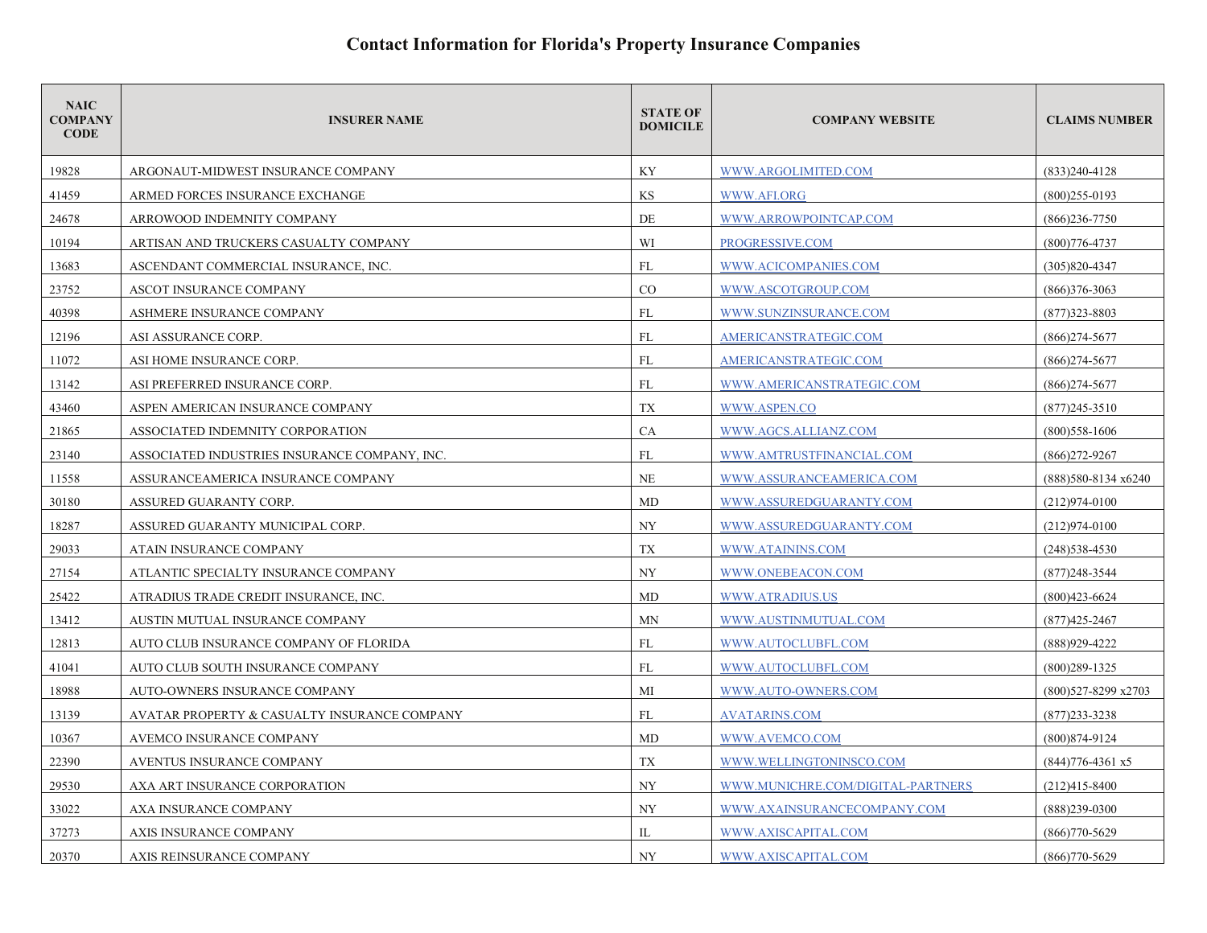| <b>NAIC</b><br><b>COMPANY</b><br><b>CODE</b> | <b>INSURER NAME</b>                           | <b>STATE OF</b><br><b>DOMICILE</b> | <b>COMPANY WEBSITE</b>            | <b>CLAIMS NUMBER</b> |
|----------------------------------------------|-----------------------------------------------|------------------------------------|-----------------------------------|----------------------|
| 19828                                        | ARGONAUT-MIDWEST INSURANCE COMPANY            | KY                                 | WWW.ARGOLIMITED.COM               | $(833)240-4128$      |
| 41459                                        | ARMED FORCES INSURANCE EXCHANGE               | KS                                 | WWW.AFI.ORG                       | $(800)255 - 0193$    |
| 24678                                        | ARROWOOD INDEMNITY COMPANY                    | DE                                 | WWW.ARROWPOINTCAP.COM             | $(866)$ 236-7750     |
| 10194                                        | ARTISAN AND TRUCKERS CASUALTY COMPANY         | WI                                 | PROGRESSIVE.COM                   | $(800)776 - 4737$    |
| 13683                                        | ASCENDANT COMMERCIAL INSURANCE, INC.          | <b>FL</b>                          | WWW.ACICOMPANIES.COM              | $(305)820 - 4347$    |
| 23752                                        | ASCOT INSURANCE COMPANY                       | CO                                 | WWW.ASCOTGROUP.COM                | $(866)376 - 3063$    |
| 40398                                        | ASHMERE INSURANCE COMPANY                     | <b>FL</b>                          | WWW.SUNZINSURANCE.COM             | $(877)323 - 8803$    |
| 12196                                        | ASI ASSURANCE CORP.                           | FL                                 | AMERICANSTRATEGIC.COM             | $(866)$ 274-5677     |
| 11072                                        | ASI HOME INSURANCE CORP.                      | <b>FL</b>                          | AMERICANSTRATEGIC.COM             | $(866)$ 274-5677     |
| 13142                                        | ASI PREFERRED INSURANCE CORP.                 | FL                                 | WWW.AMERICANSTRATEGIC.COM         | $(866)$ 274-5677     |
| 43460                                        | ASPEN AMERICAN INSURANCE COMPANY              | $\mathcal{T}\mathcal{X}$           | WWW.ASPEN.CO                      | $(877)$ 245-3510     |
| 21865                                        | ASSOCIATED INDEMNITY CORPORATION              | CA                                 | WWW.AGCS.ALLIANZ.COM              | $(800)$ 558-1606     |
| 23140                                        | ASSOCIATED INDUSTRIES INSURANCE COMPANY. INC. | FL                                 | WWW.AMTRUSTFINANCIAL.COM          | $(866)272 - 9267$    |
| 11558                                        | ASSURANCEAMERICA INSURANCE COMPANY            | <b>NE</b>                          | WWW.ASSURANCEAMERICA.COM          | (888)580-8134 x6240  |
| 30180                                        | ASSURED GUARANTY CORP.                        | MD                                 | WWW.ASSUREDGUARANTY.COM           | $(212)974 - 0100$    |
| 18287                                        | ASSURED GUARANTY MUNICIPAL CORP.              | <b>NY</b>                          | WWW.ASSUREDGUARANTY.COM           | $(212)974 - 0100$    |
| 29033                                        | ATAIN INSURANCE COMPANY                       | <b>TX</b>                          | <b>WWW.ATAININS.COM</b>           | $(248)$ 538-4530     |
| 27154                                        | ATLANTIC SPECIALTY INSURANCE COMPANY          | <b>NY</b>                          | WWW.ONEBEACON.COM                 | (877)248-3544        |
| 25422                                        | ATRADIUS TRADE CREDIT INSURANCE, INC.         | MD                                 | WWW.ATRADIUS.US                   | $(800)423 - 6624$    |
| 13412                                        | AUSTIN MUTUAL INSURANCE COMPANY               | MN                                 | WWW.AUSTINMUTUAL.COM              | $(877)425 - 2467$    |
| 12813                                        | AUTO CLUB INSURANCE COMPANY OF FLORIDA        | FL                                 | WWW.AUTOCLUBFL.COM                | (888) 929-4222       |
| 41041                                        | AUTO CLUB SOUTH INSURANCE COMPANY             | <b>FL</b>                          | WWW.AUTOCLUBFL.COM                | $(800)289-1325$      |
| 18988                                        | AUTO-OWNERS INSURANCE COMPANY                 | МI                                 | WWW.AUTO-OWNERS.COM               | (800)527-8299 x2703  |
| 13139                                        | AVATAR PROPERTY & CASUALTY INSURANCE COMPANY  | FL                                 | <b>AVATARINS.COM</b>              | $(877)$ 233-3238     |
| 10367                                        | AVEMCO INSURANCE COMPANY                      | MD                                 | WWW.AVEMCO.COM                    | $(800)874 - 9124$    |
| 22390                                        | AVENTUS INSURANCE COMPANY                     | TX                                 | WWW.WELLINGTONINSCO.COM           | (844) 776-4361 x5    |
| 29530                                        | AXA ART INSURANCE CORPORATION                 | NY                                 | WWW.MUNICHRE.COM/DIGITAL-PARTNERS | $(212)415 - 8400$    |
| 33022                                        | AXA INSURANCE COMPANY                         | NY                                 | WWW.AXAINSURANCECOMPANY.COM       | $(888)$ 239-0300     |
| 37273                                        | AXIS INSURANCE COMPANY                        | IL                                 | WWW.AXISCAPITAL.COM               | $(866)770 - 5629$    |
| 20370                                        | AXIS REINSURANCE COMPANY                      | NY                                 | WWW.AXISCAPITAL.COM               | $(866)770 - 5629$    |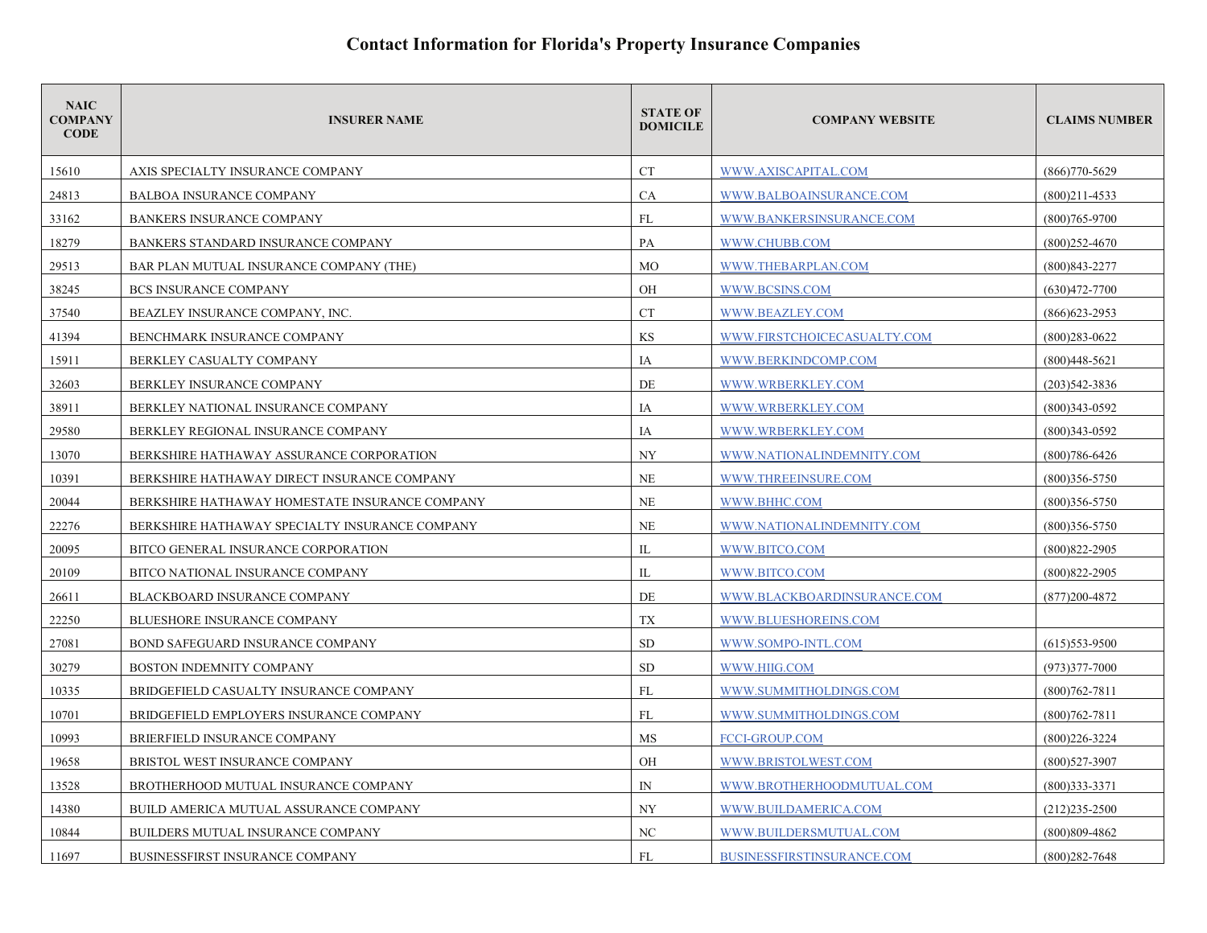| <b>NAIC</b><br><b>COMPANY</b><br><b>CODE</b> | <b>INSURER NAME</b>                            | <b>STATE OF</b><br><b>DOMICILE</b> | <b>COMPANY WEBSITE</b>      | <b>CLAIMS NUMBER</b> |
|----------------------------------------------|------------------------------------------------|------------------------------------|-----------------------------|----------------------|
| 15610                                        | AXIS SPECIALTY INSURANCE COMPANY               | <b>CT</b>                          | WWW.AXISCAPITAL.COM         | $(866)770 - 5629$    |
| 24813                                        | <b>BALBOA INSURANCE COMPANY</b>                | <b>CA</b>                          | WWW.BALBOAINSURANCE.COM     | $(800)211 - 4533$    |
| 33162                                        | <b>BANKERS INSURANCE COMPANY</b>               | FL                                 | WWW.BANKERSINSURANCE.COM    | $(800)765 - 9700$    |
| 18279                                        | BANKERS STANDARD INSURANCE COMPANY             | PA                                 | WWW.CHUBB.COM               | $(800)252 - 4670$    |
| 29513                                        | BAR PLAN MUTUAL INSURANCE COMPANY (THE)        | MO                                 | WWW.THEBARPLAN.COM          | $(800)843 - 2277$    |
| 38245                                        | <b>BCS INSURANCE COMPANY</b>                   | OH                                 | WWW.BCSINS.COM              | $(630)472 - 7700$    |
| 37540                                        | BEAZLEY INSURANCE COMPANY, INC.                | CT                                 | WWW.BEAZLEY.COM             | $(866)623 - 2953$    |
| 41394                                        | BENCHMARK INSURANCE COMPANY                    | KS                                 | WWW.FIRSTCHOICECASUALTY.COM | $(800)283 - 0622$    |
| 15911                                        | BERKLEY CASUALTY COMPANY                       | IA                                 | WWW.BERKINDCOMP.COM         | $(800)448-5621$      |
| 32603                                        | BERKLEY INSURANCE COMPANY                      | DE                                 | WWW.WRBERKLEY.COM           | $(203)542 - 3836$    |
| 38911                                        | BERKLEY NATIONAL INSURANCE COMPANY             | IA                                 | WWW.WRBERKLEY.COM           | $(800)343 - 0592$    |
| 29580                                        | BERKLEY REGIONAL INSURANCE COMPANY             | IA                                 | WWW.WRBERKLEY.COM           | $(800)343 - 0592$    |
| 13070                                        | BERKSHIRE HATHAWAY ASSURANCE CORPORATION       | <b>NY</b>                          | WWW.NATIONALINDEMNITY.COM   | $(800)786 - 6426$    |
| 10391                                        | BERKSHIRE HATHAWAY DIRECT INSURANCE COMPANY    | <b>NE</b>                          | WWW.THREEINSURE.COM         | $(800)356 - 5750$    |
| 20044                                        | BERKSHIRE HATHAWAY HOMESTATE INSURANCE COMPANY | $NE$                               | WWW.BHHC.COM                | $(800)356 - 5750$    |
| 22276                                        | BERKSHIRE HATHAWAY SPECIALTY INSURANCE COMPANY | <b>NE</b>                          | WWW.NATIONALINDEMNITY.COM   | $(800)356 - 5750$    |
| 20095                                        | BITCO GENERAL INSURANCE CORPORATION            | $_{\rm IL}$                        | WWW.BITCO.COM               | $(800)822 - 2905$    |
| 20109                                        | BITCO NATIONAL INSURANCE COMPANY               | IL                                 | WWW.BITCO.COM               | $(800)822 - 2905$    |
| 26611                                        | BLACKBOARD INSURANCE COMPANY                   | DE                                 | WWW.BLACKBOARDINSURANCE.COM | $(877)200 - 4872$    |
| 22250                                        | <b>BLUESHORE INSURANCE COMPANY</b>             | TX                                 | WWW.BLUESHOREINS.COM        |                      |
| 27081                                        | <b>BOND SAFEGUARD INSURANCE COMPANY</b>        | SD                                 | WWW.SOMPO-INTL.COM          | $(615)$ 553-9500     |
| 30279                                        | BOSTON INDEMNITY COMPANY                       | <b>SD</b>                          | WWW.HIIG.COM                | $(973)377 - 7000$    |
| 10335                                        | BRIDGEFIELD CASUALTY INSURANCE COMPANY         | FL                                 | WWW.SUMMITHOLDINGS.COM      | $(800)762 - 7811$    |
| 10701                                        | BRIDGEFIELD EMPLOYERS INSURANCE COMPANY        | FL                                 | WWW.SUMMITHOLDINGS.COM      | $(800)762 - 7811$    |
| 10993                                        | BRIERFIELD INSURANCE COMPANY                   | MS                                 | <b>FCCI-GROUP.COM</b>       | $(800)226 - 3224$    |
| 19658                                        | BRISTOL WEST INSURANCE COMPANY                 | OH                                 | WWW.BRISTOLWEST.COM         | $(800)527 - 3907$    |
| 13528                                        | BROTHERHOOD MUTUAL INSURANCE COMPANY           | $\mathbb{N}$                       | WWW.BROTHERHOODMUTUAL.COM   | $(800)333 - 3371$    |
| 14380                                        | BUILD AMERICA MUTUAL ASSURANCE COMPANY         | NY.                                | WWW.BUILDAMERICA.COM        | $(212)235 - 2500$    |
| 10844                                        | BUILDERS MUTUAL INSURANCE COMPANY              | NC                                 | WWW.BUILDERSMUTUAL.COM      | $(800)809 - 4862$    |
| 11697                                        | BUSINESSFIRST INSURANCE COMPANY                | FL                                 | BUSINESSFIRSTINSURANCE.COM  | $(800)282 - 7648$    |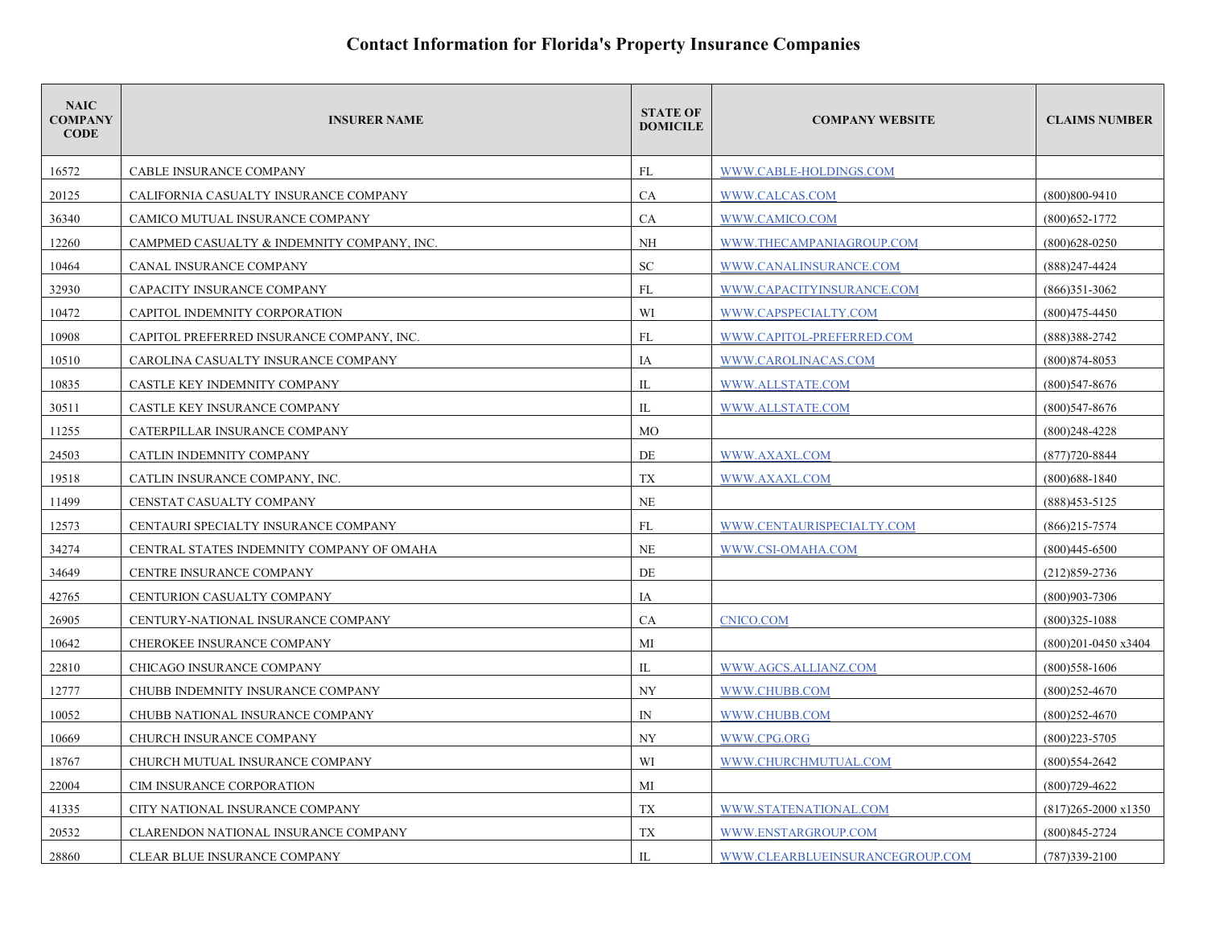| <b>NAIC</b><br><b>COMPANY</b><br><b>CODE</b> | <b>INSURER NAME</b>                        | <b>STATE OF</b><br><b>DOMICILE</b> | <b>COMPANY WEBSITE</b>          | <b>CLAIMS NUMBER</b>          |
|----------------------------------------------|--------------------------------------------|------------------------------------|---------------------------------|-------------------------------|
| 16572                                        | <b>CABLE INSURANCE COMPANY</b>             | FL                                 | WWW.CABLE-HOLDINGS.COM          |                               |
| 20125                                        | CALIFORNIA CASUALTY INSURANCE COMPANY      | CA                                 | WWW.CALCAS.COM                  | $(800)800 - 9410$             |
| 36340                                        | CAMICO MUTUAL INSURANCE COMPANY            | CA                                 | WWW.CAMICO.COM                  | $(800)$ 652-1772              |
| 12260                                        | CAMPMED CASUALTY & INDEMNITY COMPANY, INC. | NH                                 | WWW.THECAMPANIAGROUP.COM        | $(800)628 - 0250$             |
| 10464                                        | CANAL INSURANCE COMPANY                    | ${\rm SC}$                         | WWW.CANALINSURANCE.COM          | $(888)$ 247-4424              |
| 32930                                        | CAPACITY INSURANCE COMPANY                 | FL                                 | WWW.CAPACITYINSURANCE.COM       | $(866)351-3062$               |
| 10472                                        | CAPITOL INDEMNITY CORPORATION              | WI                                 | WWW.CAPSPECIALTY.COM            | $(800)475 - 4450$             |
| 10908                                        | CAPITOL PREFERRED INSURANCE COMPANY, INC.  | FL                                 | WWW.CAPITOL-PREFERRED.COM       | (888)388-2742                 |
| 10510                                        | CAROLINA CASUALTY INSURANCE COMPANY        | IA                                 | WWW.CAROLINACAS.COM             | (800) 874-8053                |
| 10835                                        | CASTLE KEY INDEMNITY COMPANY               | IL                                 | WWW.ALLSTATE.COM                | $(800)$ 547-8676              |
| 30511                                        | CASTLE KEY INSURANCE COMPANY               | IL                                 | WWW.ALLSTATE.COM                | (800) 547-8676                |
| 11255                                        | CATERPILLAR INSURANCE COMPANY              | <b>MO</b>                          |                                 | $(800)$ 248-4228              |
| 24503                                        | CATLIN INDEMNITY COMPANY                   | DE                                 | WWW.AXAXL.COM                   | $(877)720 - 8844$             |
| 19518                                        | CATLIN INSURANCE COMPANY, INC.             | TX                                 | WWW.AXAXL.COM                   | $(800)$ 688-1840              |
| 11499                                        | CENSTAT CASUALTY COMPANY                   | NE                                 |                                 | $(888)453 - 5125$             |
| 12573                                        | CENTAURI SPECIALTY INSURANCE COMPANY       | FL                                 | WWW.CENTAURISPECIALTY.COM       | $(866)215 - 7574$             |
| 34274                                        | CENTRAL STATES INDEMNITY COMPANY OF OMAHA  | <b>NE</b>                          | WWW.CSI-OMAHA.COM               | $(800)445 - 6500$             |
| 34649                                        | CENTRE INSURANCE COMPANY                   | DE                                 |                                 | $(212)859 - 2736$             |
| 42765                                        | CENTURION CASUALTY COMPANY                 | IA                                 |                                 | $(800)903 - 7306$             |
| 26905                                        | CENTURY-NATIONAL INSURANCE COMPANY         | <b>CA</b>                          | <b>CNICO.COM</b>                | $(800)325 - 1088$             |
| 10642                                        | CHEROKEE INSURANCE COMPANY                 | MI                                 |                                 | (800)201-0450 x3404           |
| 22810                                        | CHICAGO INSURANCE COMPANY                  | IL                                 | WWW.AGCS.ALLIANZ.COM            | $(800)$ 558-1606              |
| 12777                                        | CHUBB INDEMNITY INSURANCE COMPANY          | <b>NY</b>                          | WWW.CHUBB.COM                   | $(800)252 - 4670$             |
| 10052                                        | CHUBB NATIONAL INSURANCE COMPANY           | $\mathbb{N}$                       | WWW.CHUBB.COM                   | $(800)252 - 4670$             |
| 10669                                        | CHURCH INSURANCE COMPANY                   | NY                                 | WWW.CPG.ORG                     | $(800)223 - 5705$             |
| 18767                                        | CHURCH MUTUAL INSURANCE COMPANY            | WI                                 | WWW.CHURCHMUTUAL.COM            | $(800)$ 554-2642              |
| 22004                                        | CIM INSURANCE CORPORATION                  | МI                                 |                                 | $(800)729 - 4622$             |
| 41335                                        | CITY NATIONAL INSURANCE COMPANY            | TX                                 | WWW.STATENATIONAL.COM           | $(817)265 - 2000 \times 1350$ |
| 20532                                        | CLARENDON NATIONAL INSURANCE COMPANY       | TX                                 | WWW.ENSTARGROUP.COM             | $(800)845 - 2724$             |
| 28860                                        | CLEAR BLUE INSURANCE COMPANY               | IL                                 | WWW.CLEARBLUEINSURANCEGROUP.COM | $(787)339 - 2100$             |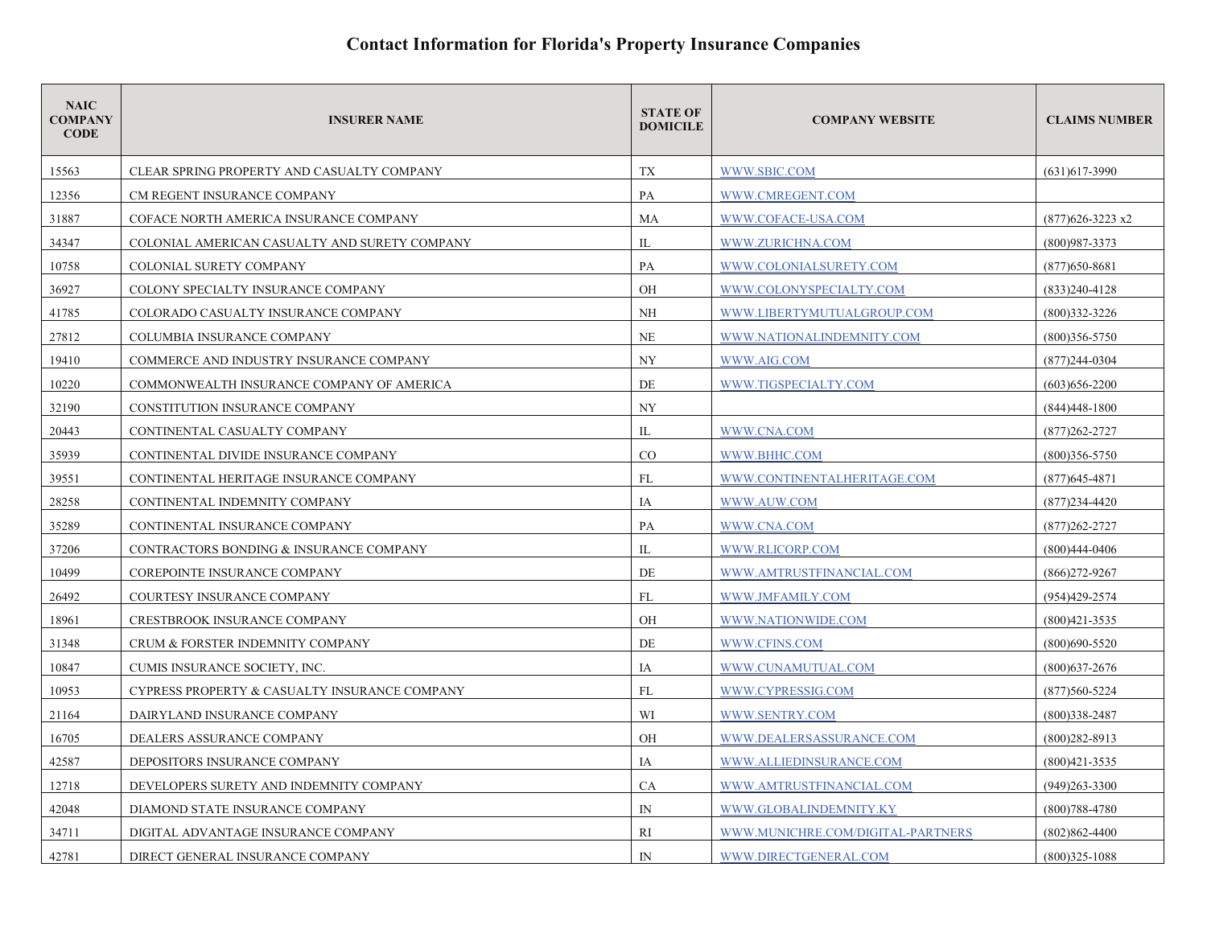| <b>NAIC</b><br><b>COMPANY</b><br><b>CODE</b> | <b>INSURER NAME</b>                           | <b>STATE OF</b><br><b>DOMICILE</b> | <b>COMPANY WEBSITE</b>            | <b>CLAIMS NUMBER</b> |
|----------------------------------------------|-----------------------------------------------|------------------------------------|-----------------------------------|----------------------|
| 15563                                        | CLEAR SPRING PROPERTY AND CASUALTY COMPANY    | TX                                 | WWW.SBIC.COM                      | $(631)617 - 3990$    |
| 12356                                        | CM REGENT INSURANCE COMPANY                   | PA                                 | WWW.CMREGENT.COM                  |                      |
| 31887                                        | COFACE NORTH AMERICA INSURANCE COMPANY        | MA                                 | WWW.COFACE-USA.COM                | $(877)626 - 3223$ x2 |
| 34347                                        | COLONIAL AMERICAN CASUALTY AND SURETY COMPANY | IL                                 | WWW.ZURICHNA.COM                  | $(800)987 - 3373$    |
| 10758                                        | COLONIAL SURETY COMPANY                       | PA                                 | WWW.COLONIALSURETY.COM            | $(877)650 - 8681$    |
| 36927                                        | COLONY SPECIALTY INSURANCE COMPANY            | OH                                 | WWW.COLONYSPECIALTY.COM           | $(833)240-4128$      |
| 41785                                        | COLORADO CASUALTY INSURANCE COMPANY           | <b>NH</b>                          | WWW.LIBERTYMUTUALGROUP.COM        | $(800)332 - 3226$    |
| 27812                                        | COLUMBIA INSURANCE COMPANY                    | NE                                 | WWW.NATIONALINDEMNITY.COM         | $(800)356 - 5750$    |
| 19410                                        | COMMERCE AND INDUSTRY INSURANCE COMPANY       | NY                                 | WWW.AIG.COM                       | (877)244-0304        |
| 10220                                        | COMMONWEALTH INSURANCE COMPANY OF AMERICA     | DE                                 | WWW.TIGSPECIALTY.COM              | $(603)$ 656-2200     |
| 32190                                        | CONSTITUTION INSURANCE COMPANY                | NY                                 |                                   | $(844)448 - 1800$    |
| 20443                                        | CONTINENTAL CASUALTY COMPANY                  | IL                                 | WWW.CNA.COM                       | $(877)262 - 2727$    |
| 35939                                        | CONTINENTAL DIVIDE INSURANCE COMPANY          | CO                                 | WWW.BHHC.COM                      | $(800)356 - 5750$    |
| 39551                                        | CONTINENTAL HERITAGE INSURANCE COMPANY        | FL                                 | WWW.CONTINENTALHERITAGE.COM       | $(877)$ 645-4871     |
| 28258                                        | CONTINENTAL INDEMNITY COMPANY                 | IA                                 | WWW.AUW.COM                       | $(877)234 - 4420$    |
| 35289                                        | CONTINENTAL INSURANCE COMPANY                 | PA                                 | WWW.CNA.COM                       | $(877)262 - 2727$    |
| 37206                                        | CONTRACTORS BONDING & INSURANCE COMPANY       | IL                                 | WWW.RLICORP.COM                   | $(800)444 - 0406$    |
| 10499                                        | COREPOINTE INSURANCE COMPANY                  | DE                                 | WWW.AMTRUSTFINANCIAL.COM          | $(866)$ 272-9267     |
| 26492                                        | <b>COURTESY INSURANCE COMPANY</b>             | FL                                 | WWW.JMFAMILY.COM                  | (954)429-2574        |
| 18961                                        | <b>CRESTBROOK INSURANCE COMPANY</b>           | OH                                 | WWW.NATIONWIDE.COM                | $(800)421 - 3535$    |
| 31348                                        | CRUM & FORSTER INDEMNITY COMPANY              | DE                                 | WWW.CFINS.COM                     | $(800)690 - 5520$    |
| 10847                                        | CUMIS INSURANCE SOCIETY, INC.                 | IA                                 | WWW.CUNAMUTUAL.COM                | $(800)$ 637-2676     |
| 10953                                        | CYPRESS PROPERTY & CASUALTY INSURANCE COMPANY | FL                                 | WWW.CYPRESSIG.COM                 | $(877)560 - 5224$    |
| 21164                                        | DAIRYLAND INSURANCE COMPANY                   | WI                                 | WWW.SENTRY.COM                    | $(800)338 - 2487$    |
| 16705                                        | DEALERS ASSURANCE COMPANY                     | <b>OH</b>                          | WWW.DEALERSASSURANCE.COM          | $(800)282 - 8913$    |
| 42587                                        | DEPOSITORS INSURANCE COMPANY                  | IA                                 | WWW.ALLIEDINSURANCE.COM           | $(800)421 - 3535$    |
| 12718                                        | DEVELOPERS SURETY AND INDEMNITY COMPANY       | <b>CA</b>                          | WWW.AMTRUSTFINANCIAL.COM          | $(949)263 - 3300$    |
| 42048                                        | DIAMOND STATE INSURANCE COMPANY               | $\mathbb{N}$                       | WWW.GLOBALINDEMNITY.KY            | $(800)788 - 4780$    |
| 34711                                        | DIGITAL ADVANTAGE INSURANCE COMPANY           | RI                                 | WWW.MUNICHRE.COM/DIGITAL-PARTNERS | $(802)862 - 4400$    |
| 42781                                        | DIRECT GENERAL INSURANCE COMPANY              | $\mathbb{N}$                       | WWW.DIRECTGENERAL.COM             | $(800)325 - 1088$    |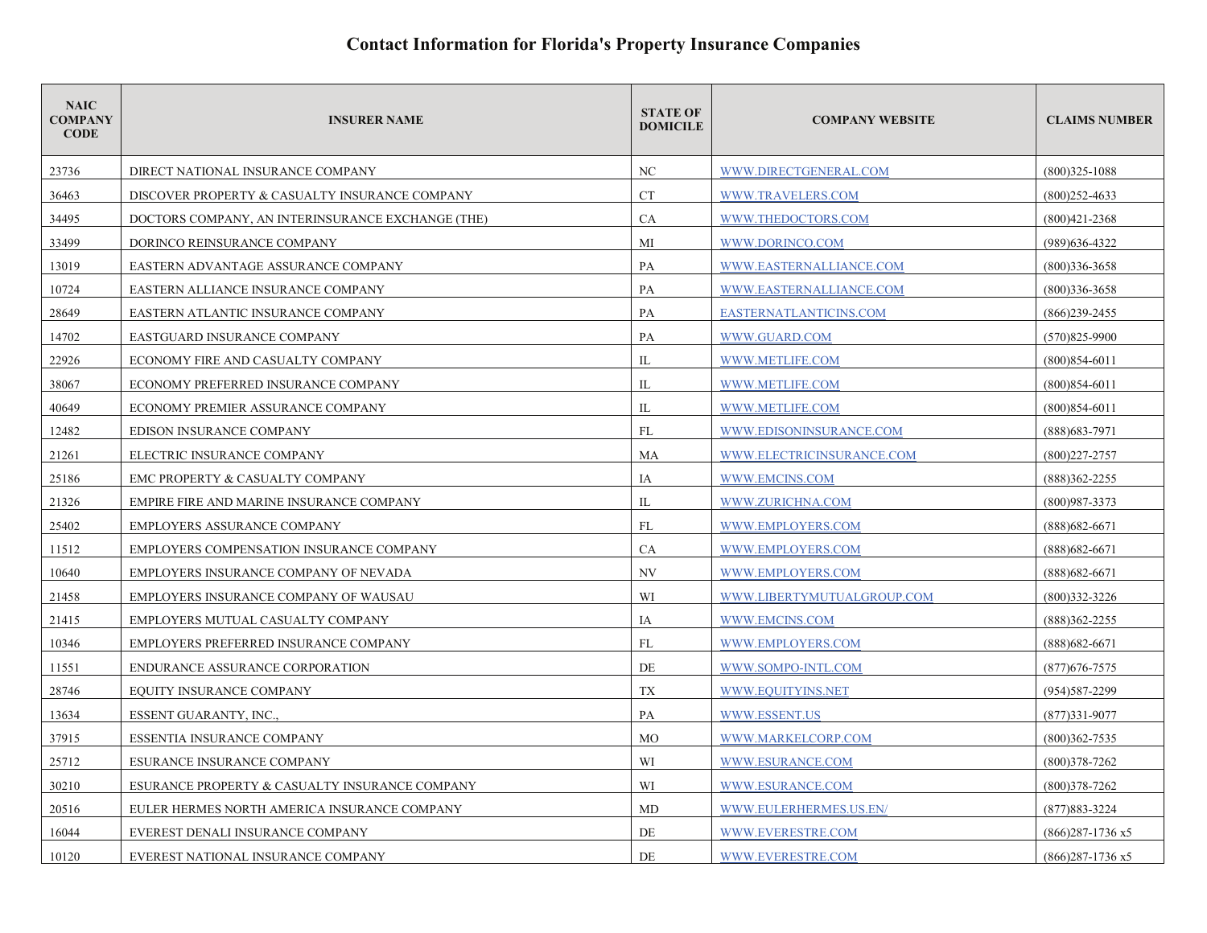| <b>NAIC</b><br><b>COMPANY</b><br><b>CODE</b> | <b>INSURER NAME</b>                               | <b>STATE OF</b><br><b>DOMICILE</b> | <b>COMPANY WEBSITE</b>     | <b>CLAIMS NUMBER</b> |
|----------------------------------------------|---------------------------------------------------|------------------------------------|----------------------------|----------------------|
| 23736                                        | DIRECT NATIONAL INSURANCE COMPANY                 | NC                                 | WWW.DIRECTGENERAL.COM      | $(800)325 - 1088$    |
| 36463                                        | DISCOVER PROPERTY & CASUALTY INSURANCE COMPANY    | <b>CT</b>                          | WWW.TRAVELERS.COM          | $(800)$ 252-4633     |
| 34495                                        | DOCTORS COMPANY, AN INTERINSURANCE EXCHANGE (THE) | <b>CA</b>                          | WWW.THEDOCTORS.COM         | $(800)421 - 2368$    |
| 33499                                        | DORINCO REINSURANCE COMPANY                       | MI                                 | WWW.DORINCO.COM            | (989) 636-4322       |
| 13019                                        | EASTERN ADVANTAGE ASSURANCE COMPANY               | PA                                 | WWW.EASTERNALLIANCE.COM    | $(800)336 - 3658$    |
| 10724                                        | EASTERN ALLIANCE INSURANCE COMPANY                | PA                                 | WWW.EASTERNALLIANCE.COM    | $(800)336 - 3658$    |
| 28649                                        | EASTERN ATLANTIC INSURANCE COMPANY                | PA                                 | EASTERNATLANTICINS.COM     | $(866)$ 239-2455     |
| 14702                                        | EASTGUARD INSURANCE COMPANY                       | PA                                 | WWW.GUARD.COM              | $(570)825 - 9900$    |
| 22926                                        | ECONOMY FIRE AND CASUALTY COMPANY                 | IL                                 | WWW.METLIFE.COM            | $(800)854-6011$      |
| 38067                                        | ECONOMY PREFERRED INSURANCE COMPANY               | IL                                 | WWW.METLIFE.COM            | $(800)854-6011$      |
| 40649                                        | ECONOMY PREMIER ASSURANCE COMPANY                 | IL                                 | WWW.METLIFE.COM            | $(800)854-6011$      |
| 12482                                        | EDISON INSURANCE COMPANY                          | FL                                 | WWW.EDISONINSURANCE.COM    | $(888)$ 683-7971     |
| 21261                                        | ELECTRIC INSURANCE COMPANY                        | MA                                 | WWW.ELECTRICINSURANCE.COM  | $(800)227 - 2757$    |
| 25186                                        | EMC PROPERTY & CASUALTY COMPANY                   | IA                                 | WWW.EMCINS.COM             | (888)362-2255        |
| 21326                                        | EMPIRE FIRE AND MARINE INSURANCE COMPANY          | IL                                 | WWW.ZURICHNA.COM           | $(800)987 - 3373$    |
| 25402                                        | EMPLOYERS ASSURANCE COMPANY                       | FL                                 | WWW.EMPLOYERS.COM          | $(888)682 - 6671$    |
| 11512                                        | EMPLOYERS COMPENSATION INSURANCE COMPANY          | CA                                 | WWW.EMPLOYERS.COM          | $(888)682 - 6671$    |
| 10640                                        | EMPLOYERS INSURANCE COMPANY OF NEVADA             | NV                                 | WWW.EMPLOYERS.COM          | $(888)682 - 6671$    |
| 21458                                        | EMPLOYERS INSURANCE COMPANY OF WAUSAU             | WI                                 | WWW.LIBERTYMUTUALGROUP.COM | $(800)332 - 3226$    |
| 21415                                        | EMPLOYERS MUTUAL CASUALTY COMPANY                 | IA                                 | WWW.EMCINS.COM             | $(888)362 - 2255$    |
| 10346                                        | EMPLOYERS PREFERRED INSURANCE COMPANY             | FL                                 | WWW.EMPLOYERS.COM          | $(888)682 - 6671$    |
| 11551                                        | ENDURANCE ASSURANCE CORPORATION                   | DE                                 | WWW.SOMPO-INTL.COM         | $(877)676 - 7575$    |
| 28746                                        | EQUITY INSURANCE COMPANY                          | <b>TX</b>                          | WWW.EQUITYINS.NET          | (954) 587-2299       |
| 13634                                        | <b>ESSENT GUARANTY, INC.,</b>                     | PA                                 | WWW.ESSENT.US              | $(877)331 - 9077$    |
| 37915                                        | ESSENTIA INSURANCE COMPANY                        | <b>MO</b>                          | WWW.MARKELCORP.COM         | $(800)362 - 7535$    |
| 25712                                        | ESURANCE INSURANCE COMPANY                        | WI                                 | WWW.ESURANCE.COM           | $(800)378 - 7262$    |
| 30210                                        | ESURANCE PROPERTY & CASUALTY INSURANCE COMPANY    | WI                                 | WWW.ESURANCE.COM           | $(800)378 - 7262$    |
| 20516                                        | EULER HERMES NORTH AMERICA INSURANCE COMPANY      | MD                                 | WWW.EULERHERMES.US.EN/     | $(877)883 - 3224$    |
| 16044                                        | EVEREST DENALI INSURANCE COMPANY                  | DE                                 | WWW.EVERESTRE.COM          | $(866)287 - 1736$ x5 |
| 10120                                        | EVEREST NATIONAL INSURANCE COMPANY                | DE                                 | WWW.EVERESTRE.COM          | $(866)$ 287-1736 x5  |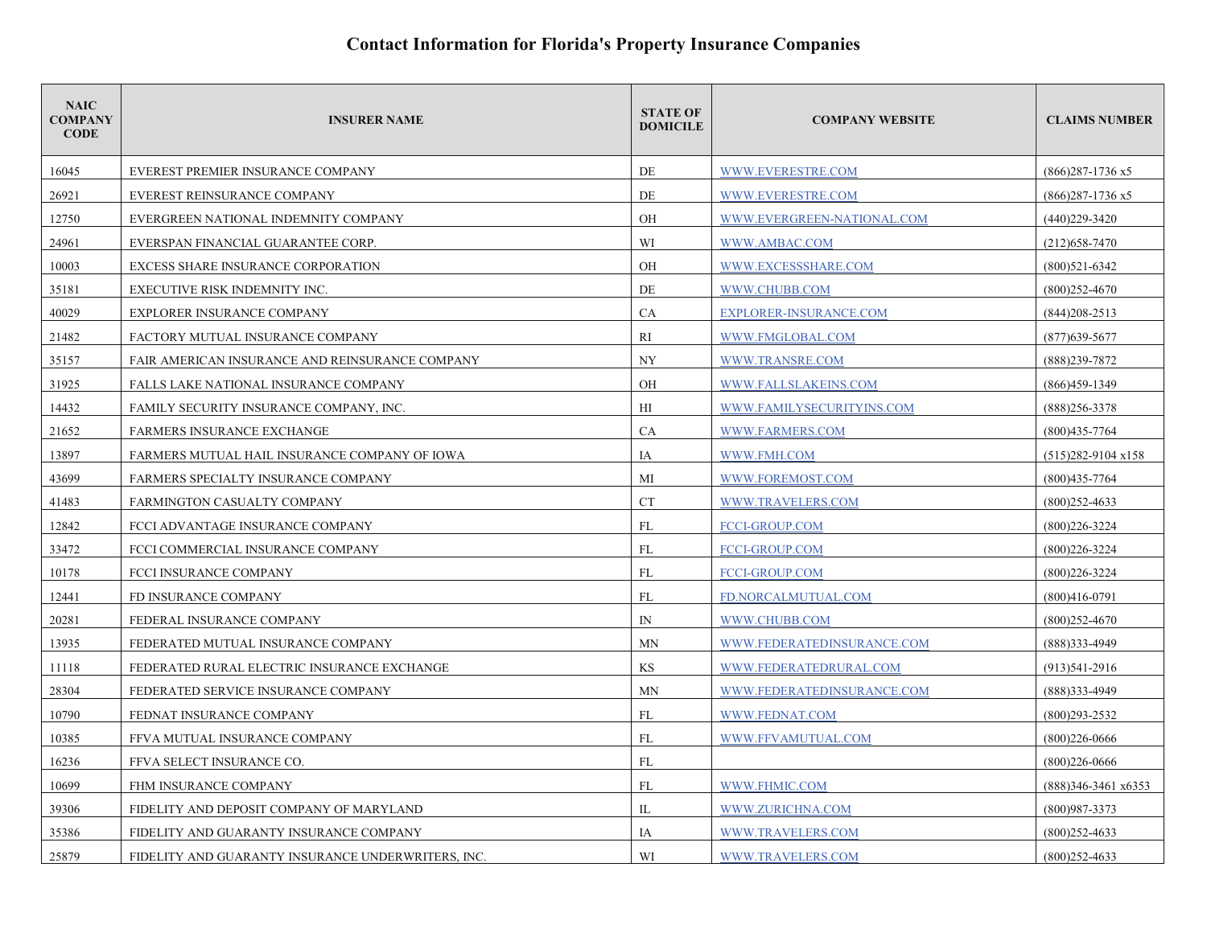| <b>NAIC</b><br><b>COMPANY</b><br><b>CODE</b> | <b>INSURER NAME</b>                                | <b>STATE OF</b><br><b>DOMICILE</b> | <b>COMPANY WEBSITE</b>     | <b>CLAIMS NUMBER</b>         |
|----------------------------------------------|----------------------------------------------------|------------------------------------|----------------------------|------------------------------|
| 16045                                        | EVEREST PREMIER INSURANCE COMPANY                  | DE                                 | WWW.EVERESTRE.COM          | $(866)$ 287-1736 x5          |
| 26921                                        | EVEREST REINSURANCE COMPANY                        | DE                                 | WWW.EVERESTRE.COM          | $(866)$ 287-1736 x5          |
| 12750                                        | EVERGREEN NATIONAL INDEMNITY COMPANY               | OH                                 | WWW.EVERGREEN-NATIONAL.COM | $(440)229 - 3420$            |
| 24961                                        | EVERSPAN FINANCIAL GUARANTEE CORP.                 | WI                                 | WWW.AMBAC.COM              | $(212)$ 658-7470             |
| 10003                                        | EXCESS SHARE INSURANCE CORPORATION                 | <b>OH</b>                          | WWW.EXCESSSHARE.COM        | $(800)521-6342$              |
| 35181                                        | EXECUTIVE RISK INDEMNITY INC.                      | DE                                 | WWW.CHUBB.COM              | $(800)252 - 4670$            |
| 40029                                        | <b>EXPLORER INSURANCE COMPANY</b>                  | <b>CA</b>                          | EXPLORER-INSURANCE.COM     | $(844)208 - 2513$            |
| 21482                                        | FACTORY MUTUAL INSURANCE COMPANY                   | RI                                 | WWW.FMGLOBAL.COM           | $(877)$ 639-5677             |
| 35157                                        | FAIR AMERICAN INSURANCE AND REINSURANCE COMPANY    | <b>NY</b>                          | WWW.TRANSRE.COM            | (888)239-7872                |
| 31925                                        | FALLS LAKE NATIONAL INSURANCE COMPANY              | OH                                 | WWW.FALLSLAKEINS.COM       | $(866)459-1349$              |
| 14432                                        | <b>FAMILY SECURITY INSURANCE COMPANY, INC.</b>     | HI                                 | WWW.FAMILYSECURITYINS.COM  | $(888)$ 256-3378             |
| 21652                                        | <b>FARMERS INSURANCE EXCHANGE</b>                  | CA                                 | WWW.FARMERS.COM            | $(800)435 - 7764$            |
| 13897                                        | FARMERS MUTUAL HAIL INSURANCE COMPANY OF IOWA      | IA                                 | WWW.FMH.COM                | $(515)282 - 9104 \times 158$ |
| 43699                                        | FARMERS SPECIALTY INSURANCE COMPANY                | MI                                 | WWW.FOREMOST.COM           | $(800)435 - 7764$            |
| 41483                                        | FARMINGTON CASUALTY COMPANY                        | CT                                 | WWW.TRAVELERS.COM          | $(800)$ 252-4633             |
| 12842                                        | FCCI ADVANTAGE INSURANCE COMPANY                   | FL                                 | <b>FCCI-GROUP.COM</b>      | $(800)226 - 3224$            |
| 33472                                        | FCCI COMMERCIAL INSURANCE COMPANY                  | <b>FL</b>                          | <b>FCCI-GROUP.COM</b>      | $(800)226 - 3224$            |
| 10178                                        | FCCI INSURANCE COMPANY                             | FL                                 | <b>FCCI-GROUP.COM</b>      | $(800)226 - 3224$            |
| 12441                                        | FD INSURANCE COMPANY                               | FL                                 | FD.NORCALMUTUAL.COM        | $(800)416-0791$              |
| 20281                                        | FEDERAL INSURANCE COMPANY                          | $\mathbb{N}$                       | WWW.CHUBB.COM              | $(800)252 - 4670$            |
| 13935                                        | FEDERATED MUTUAL INSURANCE COMPANY                 | <b>MN</b>                          | WWW.FEDERATEDINSURANCE.COM | (888) 333-4949               |
| 11118                                        | FEDERATED RURAL ELECTRIC INSURANCE EXCHANGE        | KS                                 | WWW.FEDERATEDRURAL.COM     | $(913)541-2916$              |
| 28304                                        | FEDERATED SERVICE INSURANCE COMPANY                | <b>MN</b>                          | WWW.FEDERATEDINSURANCE.COM | $(888)333-4949$              |
| 10790                                        | FEDNAT INSURANCE COMPANY                           | FL                                 | WWW.FEDNAT.COM             | $(800)293 - 2532$            |
| 10385                                        | FFVA MUTUAL INSURANCE COMPANY                      | <b>FL</b>                          | WWW.FFVAMUTUAL.COM         | $(800)226 - 0666$            |
| 16236                                        | FFVA SELECT INSURANCE CO.                          | FL                                 |                            | $(800)226 - 0666$            |
| 10699                                        | FHM INSURANCE COMPANY                              | <b>FL</b>                          | WWW.FHMIC.COM              | (888)346-3461 x6353          |
| 39306                                        | FIDELITY AND DEPOSIT COMPANY OF MARYLAND           | IL                                 | WWW.ZURICHNA.COM           | (800)987-3373                |
| 35386                                        | FIDELITY AND GUARANTY INSURANCE COMPANY            | IA                                 | WWW.TRAVELERS.COM          | $(800)$ 252-4633             |
| 25879                                        | FIDELITY AND GUARANTY INSURANCE UNDERWRITERS, INC. | WI                                 | WWW.TRAVELERS.COM          | $(800)252 - 4633$            |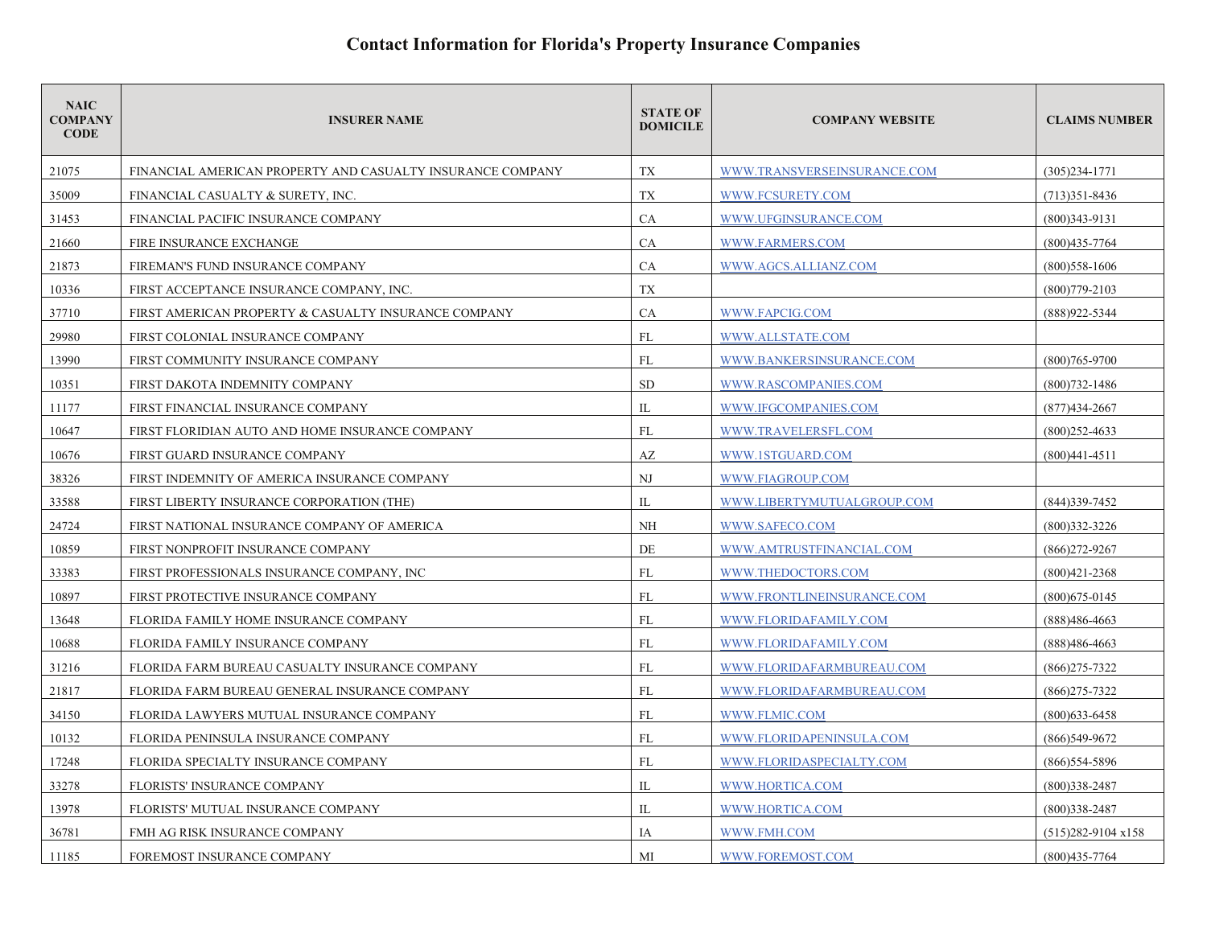| <b>NAIC</b><br><b>COMPANY</b><br><b>CODE</b> | <b>INSURER NAME</b>                                        | <b>STATE OF</b><br><b>DOMICILE</b> | <b>COMPANY WEBSITE</b>      | <b>CLAIMS NUMBER</b>         |
|----------------------------------------------|------------------------------------------------------------|------------------------------------|-----------------------------|------------------------------|
| 21075                                        | FINANCIAL AMERICAN PROPERTY AND CASUALTY INSURANCE COMPANY | TX                                 | WWW.TRANSVERSEINSURANCE.COM | $(305)234 - 1771$            |
| 35009                                        | FINANCIAL CASUALTY & SURETY, INC.                          | TX                                 | WWW.FCSURETY.COM            | $(713)351 - 8436$            |
| 31453                                        | FINANCIAL PACIFIC INSURANCE COMPANY                        | CA                                 | WWW.UFGINSURANCE.COM        | $(800)343-9131$              |
| 21660                                        | FIRE INSURANCE EXCHANGE                                    | CA                                 | WWW.FARMERS.COM             | $(800)435 - 7764$            |
| 21873                                        | FIREMAN'S FUND INSURANCE COMPANY                           | <b>CA</b>                          | WWW.AGCS.ALLIANZ.COM        | $(800)$ 558-1606             |
| 10336                                        | FIRST ACCEPTANCE INSURANCE COMPANY, INC.                   | TX                                 |                             | $(800)779 - 2103$            |
| 37710                                        | FIRST AMERICAN PROPERTY & CASUALTY INSURANCE COMPANY       | CA                                 | WWW.FAPCIG.COM              | (888) 922 - 5344             |
| 29980                                        | FIRST COLONIAL INSURANCE COMPANY                           | <b>FL</b>                          | WWW.ALLSTATE.COM            |                              |
| 13990                                        | FIRST COMMUNITY INSURANCE COMPANY                          | FL                                 | WWW.BANKERSINSURANCE.COM    | $(800)765 - 9700$            |
| 10351                                        | FIRST DAKOTA INDEMNITY COMPANY                             | <b>SD</b>                          | WWW.RASCOMPANIES.COM        | $(800)732 - 1486$            |
| 11177                                        | FIRST FINANCIAL INSURANCE COMPANY                          | $\mathbf{L}$                       | WWW.IFGCOMPANIES.COM        | $(877)434 - 2667$            |
| 10647                                        | FIRST FLORIDIAN AUTO AND HOME INSURANCE COMPANY            | <b>FL</b>                          | WWW.TRAVELERSFL.COM         | $(800)252 - 4633$            |
| 10676                                        | FIRST GUARD INSURANCE COMPANY                              | AZ                                 | WWW.1STGUARD.COM            | $(800)441 - 4511$            |
| 38326                                        | FIRST INDEMNITY OF AMERICA INSURANCE COMPANY               | N <sub>J</sub>                     | WWW.FIAGROUP.COM            |                              |
| 33588                                        | FIRST LIBERTY INSURANCE CORPORATION (THE)                  | $\mathbf{L}$                       | WWW.LIBERTYMUTUALGROUP.COM  | $(844)339-7452$              |
| 24724                                        | FIRST NATIONAL INSURANCE COMPANY OF AMERICA                | <b>NH</b>                          | WWW.SAFECO.COM              | $(800)332 - 3226$            |
| 10859                                        | FIRST NONPROFIT INSURANCE COMPANY                          | DE                                 | WWW.AMTRUSTFINANCIAL.COM    | $(866)272 - 9267$            |
| 33383                                        | FIRST PROFESSIONALS INSURANCE COMPANY. INC.                | FL                                 | WWW.THEDOCTORS.COM          | $(800)421 - 2368$            |
| 10897                                        | FIRST PROTECTIVE INSURANCE COMPANY                         | FL                                 | WWW.FRONTLINEINSURANCE.COM  | $(800)$ 675-0145             |
| 13648                                        | FLORIDA FAMILY HOME INSURANCE COMPANY                      | FL                                 | WWW.FLORIDAFAMILY.COM       | (888)486-4663                |
| 10688                                        | FLORIDA FAMILY INSURANCE COMPANY                           | FL                                 | WWW.FLORIDAFAMILY.COM       | (888)486-4663                |
| 31216                                        | FLORIDA FARM BUREAU CASUALTY INSURANCE COMPANY             | <b>FL</b>                          | WWW.FLORIDAFARMBUREAU.COM   | $(866)275 - 7322$            |
| 21817                                        | FLORIDA FARM BUREAU GENERAL INSURANCE COMPANY              | FL                                 | WWW.FLORIDAFARMBUREAU.COM   | $(866)$ 275-7322             |
| 34150                                        | FLORIDA LAWYERS MUTUAL INSURANCE COMPANY                   | FL                                 | WWW.FLMIC.COM               | $(800)$ 633-6458             |
| 10132                                        | FLORIDA PENINSULA INSURANCE COMPANY                        | <b>FL</b>                          | WWW.FLORIDAPENINSULA.COM    | $(866)549-9672$              |
| 17248                                        | FLORIDA SPECIALTY INSURANCE COMPANY                        | FL                                 | WWW.FLORIDASPECIALTY.COM    | (866) 554-5896               |
| 33278                                        | FLORISTS' INSURANCE COMPANY                                | $_{\rm IL}$                        | WWW.HORTICA.COM             | $(800)338 - 2487$            |
| 13978                                        | FLORISTS' MUTUAL INSURANCE COMPANY                         | IL                                 | WWW.HORTICA.COM             | $(800)338 - 2487$            |
| 36781                                        | FMH AG RISK INSURANCE COMPANY                              | IA                                 | WWW.FMH.COM                 | $(515)282 - 9104 \times 158$ |
| 11185                                        | FOREMOST INSURANCE COMPANY                                 | MI                                 | WWW.FOREMOST.COM            | $(800)435 - 7764$            |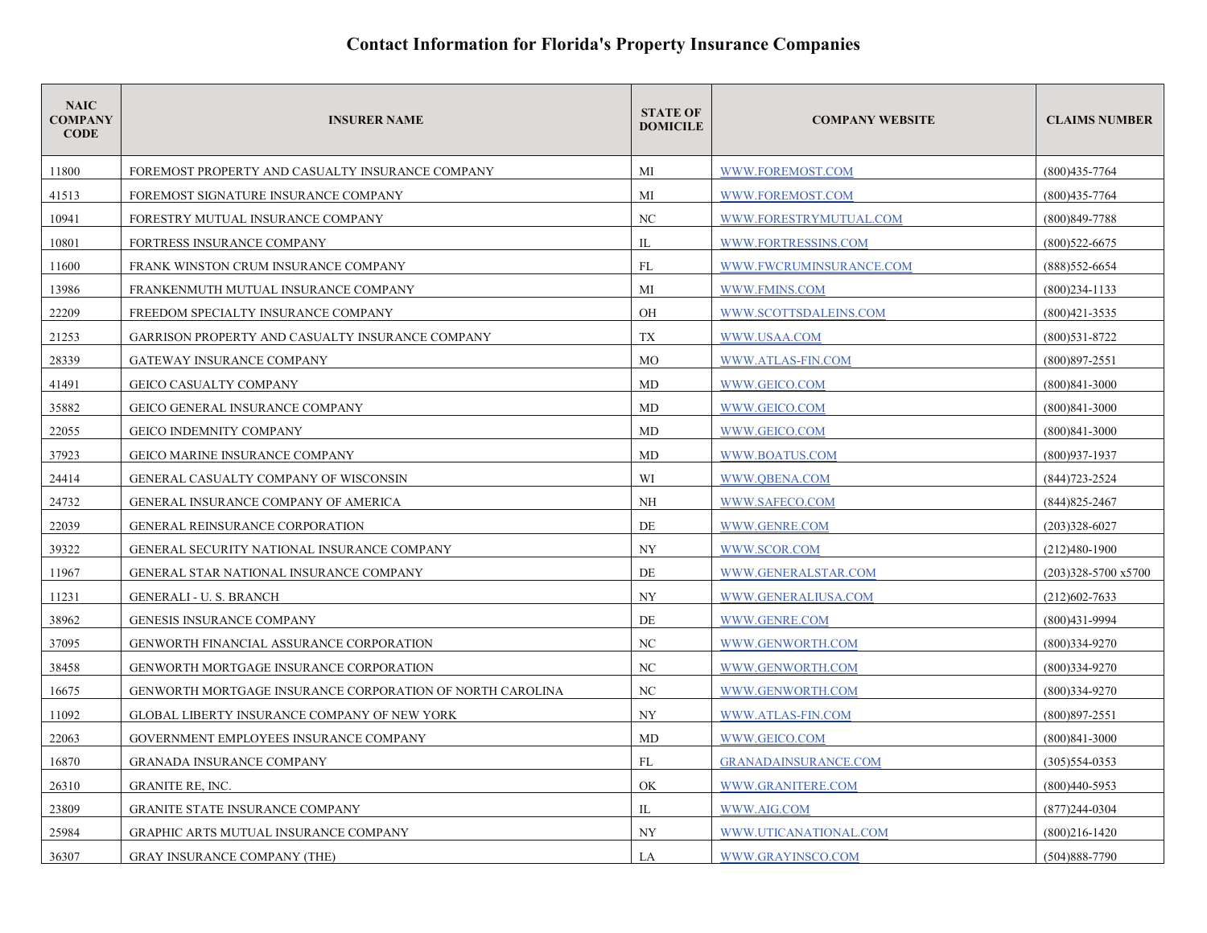| <b>NAIC</b><br><b>COMPANY</b><br><b>CODE</b> | <b>INSURER NAME</b>                                       | <b>STATE OF</b><br><b>DOMICILE</b> | <b>COMPANY WEBSITE</b>      | <b>CLAIMS NUMBER</b> |
|----------------------------------------------|-----------------------------------------------------------|------------------------------------|-----------------------------|----------------------|
| 11800                                        | FOREMOST PROPERTY AND CASUALTY INSURANCE COMPANY          | МI                                 | WWW.FOREMOST.COM            | $(800)435 - 7764$    |
| 41513                                        | FOREMOST SIGNATURE INSURANCE COMPANY                      | MI                                 | WWW.FOREMOST.COM            | $(800)435 - 7764$    |
| 10941                                        | FORESTRY MUTUAL INSURANCE COMPANY                         | NC                                 | WWW.FORESTRYMUTUAL.COM      | $(800)849 - 7788$    |
| 10801                                        | FORTRESS INSURANCE COMPANY                                | $_{\rm IL}$                        | WWW.FORTRESSINS.COM         | $(800)522 - 6675$    |
| 11600                                        | FRANK WINSTON CRUM INSURANCE COMPANY                      | FL                                 | WWW.FWCRUMINSURANCE.COM     | $(888)$ 552-6654     |
| 13986                                        | FRANKENMUTH MUTUAL INSURANCE COMPANY                      | MI                                 | WWW.FMINS.COM               | $(800)$ 234-1133     |
| 22209                                        | FREEDOM SPECIALTY INSURANCE COMPANY                       | OH                                 | WWW.SCOTTSDALEINS.COM       | $(800)421 - 3535$    |
| 21253                                        | GARRISON PROPERTY AND CASUALTY INSURANCE COMPANY          | TX                                 | WWW.USAA.COM                | $(800)531 - 8722$    |
| 28339                                        | <b>GATEWAY INSURANCE COMPANY</b>                          | <b>MO</b>                          | WWW.ATLAS-FIN.COM           | $(800)897 - 2551$    |
| 41491                                        | GEICO CASUALTY COMPANY                                    | MD                                 | WWW.GEICO.COM               | $(800)841 - 3000$    |
| 35882                                        | <b>GEICO GENERAL INSURANCE COMPANY</b>                    | MD                                 | WWW.GEICO.COM               | $(800)841 - 3000$    |
| 22055                                        | <b>GEICO INDEMNITY COMPANY</b>                            | MD                                 | WWW.GEICO.COM               | $(800)841 - 3000$    |
| 37923                                        | <b>GEICO MARINE INSURANCE COMPANY</b>                     | MD                                 | WWW.BOATUS.COM              | $(800)937 - 1937$    |
| 24414                                        | GENERAL CASUALTY COMPANY OF WISCONSIN                     | WI                                 | WWW.QBENA.COM               | (844) 723-2524       |
| 24732                                        | GENERAL INSURANCE COMPANY OF AMERICA                      | <b>NH</b>                          | WWW.SAFECO.COM              | $(844)825 - 2467$    |
| 22039                                        | GENERAL REINSURANCE CORPORATION                           | DE                                 | WWW.GENRE.COM               | $(203)328 - 6027$    |
| 39322                                        | GENERAL SECURITY NATIONAL INSURANCE COMPANY               | <b>NY</b>                          | WWW.SCOR.COM                | $(212)480-1900$      |
| 11967                                        | GENERAL STAR NATIONAL INSURANCE COMPANY                   | DE                                 | WWW.GENERALSTAR.COM         | (203)328-5700 x5700  |
| 11231                                        | <b>GENERALI - U. S. BRANCH</b>                            | <b>NY</b>                          | WWW.GENERALIUSA.COM         | $(212)602 - 7633$    |
| 38962                                        | <b>GENESIS INSURANCE COMPANY</b>                          | DE                                 | WWW.GENRE.COM               | $(800)431 - 9994$    |
| 37095                                        | GENWORTH FINANCIAL ASSURANCE CORPORATION                  | NC                                 | WWW.GENWORTH.COM            | (800)334-9270        |
| 38458                                        | <b>GENWORTH MORTGAGE INSURANCE CORPORATION</b>            | NC                                 | WWW.GENWORTH.COM            | $(800)334-9270$      |
| 16675                                        | GENWORTH MORTGAGE INSURANCE CORPORATION OF NORTH CAROLINA | NC                                 | WWW.GENWORTH.COM            | $(800)334-9270$      |
| 11092                                        | GLOBAL LIBERTY INSURANCE COMPANY OF NEW YORK              | NY                                 | WWW.ATLAS-FIN.COM           | $(800)897 - 2551$    |
| 22063                                        | GOVERNMENT EMPLOYEES INSURANCE COMPANY                    | MD                                 | WWW.GEICO.COM               | $(800)841 - 3000$    |
| 16870                                        | <b>GRANADA INSURANCE COMPANY</b>                          | FL                                 | <b>GRANADAINSURANCE.COM</b> | $(305)554-0353$      |
| 26310                                        | <b>GRANITE RE, INC.</b>                                   | OK                                 | WWW.GRANITERE.COM           | $(800)440 - 5953$    |
| 23809                                        | <b>GRANITE STATE INSURANCE COMPANY</b>                    | IL                                 | WWW.AIG.COM                 | $(877)$ 244-0304     |
| 25984                                        | GRAPHIC ARTS MUTUAL INSURANCE COMPANY                     | <b>NY</b>                          | WWW.UTICANATIONAL.COM       | $(800)216 - 1420$    |
| 36307                                        | <b>GRAY INSURANCE COMPANY (THE)</b>                       | LA                                 | WWW.GRAYINSCO.COM           | $(504)888 - 7790$    |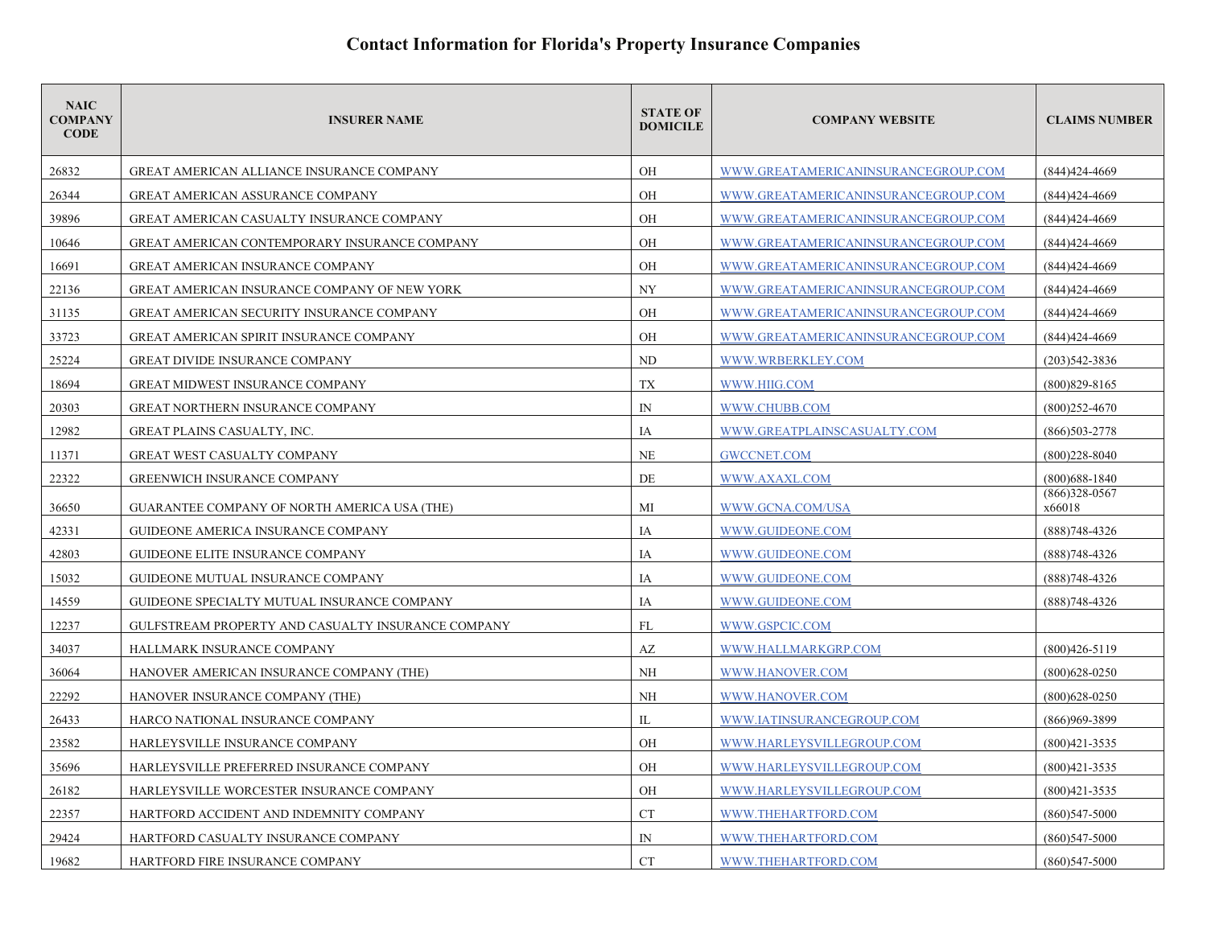| <b>NAIC</b><br><b>COMPANY</b><br><b>CODE</b> | <b>INSURER NAME</b>                                 | <b>STATE OF</b><br><b>DOMICILE</b> | <b>COMPANY WEBSITE</b>              | <b>CLAIMS NUMBER</b>      |
|----------------------------------------------|-----------------------------------------------------|------------------------------------|-------------------------------------|---------------------------|
| 26832                                        | <b>GREAT AMERICAN ALLIANCE INSURANCE COMPANY</b>    | OH                                 | WWW.GREATAMERICANINSURANCEGROUP.COM | $(844)424 - 4669$         |
| 26344                                        | <b>GREAT AMERICAN ASSURANCE COMPANY</b>             | <b>OH</b>                          | WWW.GREATAMERICANINSURANCEGROUP.COM | (844) 424-4669            |
| 39896                                        | GREAT AMERICAN CASUALTY INSURANCE COMPANY           | OH                                 | WWW.GREATAMERICANINSURANCEGROUP.COM | $(844)424 - 4669$         |
| 10646                                        | GREAT AMERICAN CONTEMPORARY INSURANCE COMPANY       | <b>OH</b>                          | WWW.GREATAMERICANINSURANCEGROUP.COM | $(844)424 - 4669$         |
| 16691                                        | <b>GREAT AMERICAN INSURANCE COMPANY</b>             | OH                                 | WWW.GREATAMERICANINSURANCEGROUP.COM | (844) 424-4669            |
| 22136                                        | GREAT AMERICAN INSURANCE COMPANY OF NEW YORK        | <b>NY</b>                          | WWW.GREATAMERICANINSURANCEGROUP.COM | (844) 424-4669            |
| 31135                                        | <b>GREAT AMERICAN SECURITY INSURANCE COMPANY</b>    | OH                                 | WWW.GREATAMERICANINSURANCEGROUP.COM | (844) 424-4669            |
| 33723                                        | <b>GREAT AMERICAN SPIRIT INSURANCE COMPANY</b>      | OH                                 | WWW.GREATAMERICANINSURANCEGROUP.COM | (844) 424-4669            |
| 25224                                        | <b>GREAT DIVIDE INSURANCE COMPANY</b>               | <b>ND</b>                          | WWW.WRBERKLEY.COM                   | $(203)542 - 3836$         |
| 18694                                        | <b>GREAT MIDWEST INSURANCE COMPANY</b>              | TX                                 | WWW.HIIG.COM                        | $(800)829 - 8165$         |
| 20303                                        | GREAT NORTHERN INSURANCE COMPANY                    | $\mathbb{N}$                       | WWW.CHUBB.COM                       | $(800)252 - 4670$         |
| 12982                                        | GREAT PLAINS CASUALTY, INC.                         | IA                                 | WWW.GREATPLAINSCASUALTY.COM         | $(866)503 - 2778$         |
| 11371                                        | <b>GREAT WEST CASUALTY COMPANY</b>                  | <b>NE</b>                          | <b>GWCCNET.COM</b>                  | $(800)228 - 8040$         |
| 22322                                        | <b>GREENWICH INSURANCE COMPANY</b>                  | DE                                 | WWW.AXAXL.COM                       | $(800)$ 688-1840          |
| 36650                                        | <b>GUARANTEE COMPANY OF NORTH AMERICA USA (THE)</b> | MI                                 | WWW.GCNA.COM/USA                    | $(866)328-0567$<br>x66018 |
| 42331                                        | <b>GUIDEONE AMERICA INSURANCE COMPANY</b>           | IA                                 | WWW.GUIDEONE.COM                    | (888)748-4326             |
| 42803                                        | GUIDEONE ELITE INSURANCE COMPANY                    | IA                                 | WWW.GUIDEONE.COM                    | $(888)748 - 4326$         |
| 15032                                        | GUIDEONE MUTUAL INSURANCE COMPANY                   | IA                                 | WWW.GUIDEONE.COM                    | $(888)748 - 4326$         |
| 14559                                        | GUIDEONE SPECIALTY MUTUAL INSURANCE COMPANY         | IA                                 | WWW.GUIDEONE.COM                    | $(888)748 - 4326$         |
| 12237                                        | GULFSTREAM PROPERTY AND CASUALTY INSURANCE COMPANY  | FL                                 | WWW.GSPCIC.COM                      |                           |
| 34037                                        | HALLMARK INSURANCE COMPANY                          | AZ                                 | WWW.HALLMARKGRP.COM                 | $(800)426 - 5119$         |
| 36064                                        | HANOVER AMERICAN INSURANCE COMPANY (THE)            | NH                                 | WWW.HANOVER.COM                     | $(800)628 - 0250$         |
| 22292                                        | HANOVER INSURANCE COMPANY (THE)                     | NH                                 | WWW.HANOVER.COM                     | $(800)628 - 0250$         |
| 26433                                        | HARCO NATIONAL INSURANCE COMPANY                    | IL                                 | WWW.IATINSURANCEGROUP.COM           | $(866)969 - 3899$         |
| 23582                                        | HARLEYSVILLE INSURANCE COMPANY                      | OH                                 | WWW.HARLEYSVILLEGROUP.COM           | $(800)421 - 3535$         |
| 35696                                        | HARLEYSVILLE PREFERRED INSURANCE COMPANY            | OH                                 | WWW.HARLEYSVILLEGROUP.COM           | $(800)421 - 3535$         |
| 26182                                        | HARLEYSVILLE WORCESTER INSURANCE COMPANY            | OH                                 | WWW.HARLEYSVILLEGROUP.COM           | $(800)421 - 3535$         |
| 22357                                        | HARTFORD ACCIDENT AND INDEMNITY COMPANY             | <b>CT</b>                          | WWW.THEHARTFORD.COM                 | $(860)547 - 5000$         |
| 29424                                        | HARTFORD CASUALTY INSURANCE COMPANY                 | $\mathbb{N}$                       | WWW.THEHARTFORD.COM                 | $(860)547 - 5000$         |
| 19682                                        | HARTFORD FIRE INSURANCE COMPANY                     | <b>CT</b>                          | WWW.THEHARTFORD.COM                 | $(860)547 - 5000$         |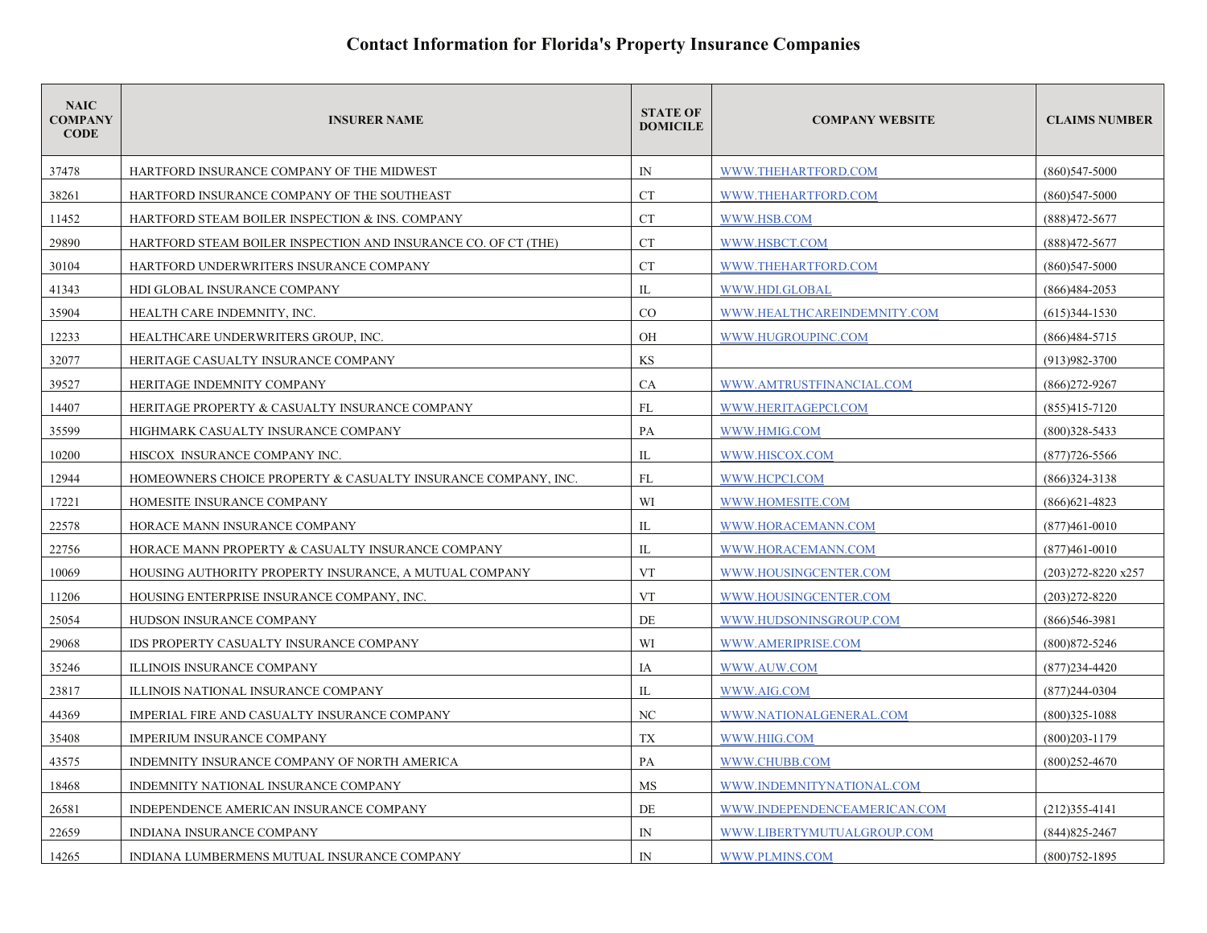| <b>NAIC</b><br><b>COMPANY</b><br><b>CODE</b> | <b>INSURER NAME</b>                                            | <b>STATE OF</b><br><b>DOMICILE</b> | <b>COMPANY WEBSITE</b>       | <b>CLAIMS NUMBER</b> |
|----------------------------------------------|----------------------------------------------------------------|------------------------------------|------------------------------|----------------------|
| 37478                                        | HARTFORD INSURANCE COMPANY OF THE MIDWEST                      | $\mathbb{N}$                       | WWW.THEHARTFORD.COM          | $(860)547 - 5000$    |
| 38261                                        | HARTFORD INSURANCE COMPANY OF THE SOUTHEAST                    | <b>CT</b>                          | WWW.THEHARTFORD.COM          | $(860)547 - 5000$    |
| 11452                                        | HARTFORD STEAM BOILER INSPECTION & INS. COMPANY                | <b>CT</b>                          | WWW.HSB.COM                  | (888)472-5677        |
| 29890                                        | HARTFORD STEAM BOILER INSPECTION AND INSURANCE CO. OF CT (THE) | <b>CT</b>                          | WWW.HSBCT.COM                | (888) 472-5677       |
| 30104                                        | HARTFORD UNDERWRITERS INSURANCE COMPANY                        | <b>CT</b>                          | WWW.THEHARTFORD.COM          | $(860)547 - 5000$    |
| 41343                                        | HDI GLOBAL INSURANCE COMPANY                                   | $_{\rm IL}$                        | WWW.HDI.GLOBAL               | $(866)484-2053$      |
| 35904                                        | HEALTH CARE INDEMNITY, INC.                                    | CO                                 | WWW.HEALTHCAREINDEMNITY.COM  | $(615)344 - 1530$    |
| 12233                                        | HEALTHCARE UNDERWRITERS GROUP, INC.                            | OH                                 | WWW.HUGROUPINC.COM           | $(866)484-5715$      |
| 32077                                        | HERITAGE CASUALTY INSURANCE COMPANY                            | KS                                 |                              | $(913)982 - 3700$    |
| 39527                                        | HERITAGE INDEMNITY COMPANY                                     | <b>CA</b>                          | WWW.AMTRUSTFINANCIAL.COM     | $(866)$ 272-9267     |
| 14407                                        | HERITAGE PROPERTY & CASUALTY INSURANCE COMPANY                 | FL                                 | WWW.HERITAGEPCI.COM          | $(855)415 - 7120$    |
| 35599                                        | HIGHMARK CASUALTY INSURANCE COMPANY                            | PA                                 | WWW.HMIG.COM                 | $(800)328 - 5433$    |
| 10200                                        | HISCOX INSURANCE COMPANY INC.                                  | $_{\rm IL}$                        | WWW.HISCOX.COM               | $(877)726 - 5566$    |
| 12944                                        | HOMEOWNERS CHOICE PROPERTY & CASUALTY INSURANCE COMPANY, INC.  | FL                                 | WWW.HCPCI.COM                | $(866)324 - 3138$    |
| 17221                                        | HOMESITE INSURANCE COMPANY                                     | WI                                 | WWW.HOMESITE.COM             | $(866)621 - 4823$    |
| 22578                                        | HORACE MANN INSURANCE COMPANY                                  | IL                                 | WWW.HORACEMANN.COM           | $(877)461 - 0010$    |
| 22756                                        | HORACE MANN PROPERTY & CASUALTY INSURANCE COMPANY              | $\mathbb{L}$                       | WWW.HORACEMANN.COM           | $(877)461 - 0010$    |
| 10069                                        | HOUSING AUTHORITY PROPERTY INSURANCE, A MUTUAL COMPANY         | <b>VT</b>                          | WWW.HOUSINGCENTER.COM        | (203)272-8220 x257   |
| 11206                                        | HOUSING ENTERPRISE INSURANCE COMPANY, INC.                     | <b>VT</b>                          | WWW.HOUSINGCENTER.COM        | $(203)272 - 8220$    |
| 25054                                        | HUDSON INSURANCE COMPANY                                       | DE                                 | WWW.HUDSONINSGROUP.COM       | $(866)$ 546-3981     |
| 29068                                        | IDS PROPERTY CASUALTY INSURANCE COMPANY                        | WI                                 | WWW.AMERIPRISE.COM           | $(800)872 - 5246$    |
| 35246                                        | <b>ILLINOIS INSURANCE COMPANY</b>                              | IA                                 | WWW.AUW.COM                  | $(877)$ 234-4420     |
| 23817                                        | ILLINOIS NATIONAL INSURANCE COMPANY                            | $\mathbb{L}$                       | WWW.AIG.COM                  | $(877)244 - 0304$    |
| 44369                                        | IMPERIAL FIRE AND CASUALTY INSURANCE COMPANY                   | NC                                 | WWW.NATIONALGENERAL.COM      | $(800)325 - 1088$    |
| 35408                                        | <b>IMPERIUM INSURANCE COMPANY</b>                              | <b>TX</b>                          | WWW.HIIG.COM                 | $(800)203 - 1179$    |
| 43575                                        | INDEMNITY INSURANCE COMPANY OF NORTH AMERICA                   | PA                                 | WWW.CHUBB.COM                | $(800)252 - 4670$    |
| 18468                                        | INDEMNITY NATIONAL INSURANCE COMPANY                           | MS                                 | WWW.INDEMNITYNATIONAL.COM    |                      |
| 26581                                        | INDEPENDENCE AMERICAN INSURANCE COMPANY                        | DE                                 | WWW.INDEPENDENCEAMERICAN.COM | $(212)355 - 4141$    |
| 22659                                        | INDIANA INSURANCE COMPANY                                      | IN                                 | WWW.LIBERTYMUTUALGROUP.COM   | $(844)825 - 2467$    |
| 14265                                        | INDIANA LUMBERMENS MUTUAL INSURANCE COMPANY                    | $\mathbb{N}$                       | WWW.PLMINS.COM               | $(800)752 - 1895$    |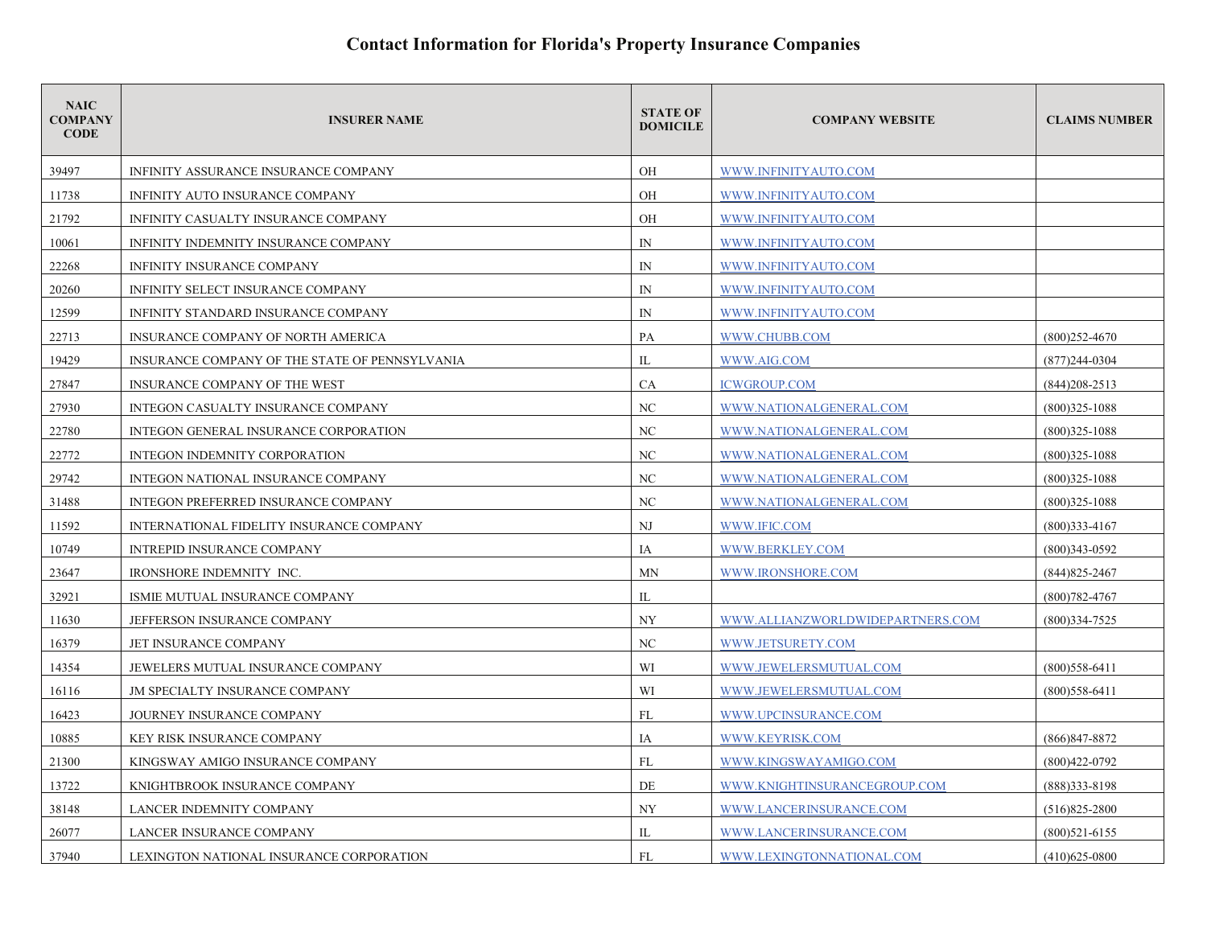| <b>NAIC</b><br><b>COMPANY</b><br><b>CODE</b> | <b>INSURER NAME</b>                            | <b>STATE OF</b><br><b>DOMICILE</b> | <b>COMPANY WEBSITE</b>           | <b>CLAIMS NUMBER</b> |
|----------------------------------------------|------------------------------------------------|------------------------------------|----------------------------------|----------------------|
| 39497                                        | INFINITY ASSURANCE INSURANCE COMPANY           | <b>OH</b>                          | WWW.INFINITYAUTO.COM             |                      |
| 11738                                        | INFINITY AUTO INSURANCE COMPANY                | OН                                 | WWW.INFINITYAUTO.COM             |                      |
| 21792                                        | INFINITY CASUALTY INSURANCE COMPANY            | OH                                 | WWW.INFINITYAUTO.COM             |                      |
| 10061                                        | INFINITY INDEMNITY INSURANCE COMPANY           | $\mathbb{N}$                       | WWW.INFINITYAUTO.COM             |                      |
| 22268                                        | INFINITY INSURANCE COMPANY                     | $\mathbb{N}$                       | WWW.INFINITYAUTO.COM             |                      |
| 20260                                        | INFINITY SELECT INSURANCE COMPANY              | $\mathbb{N}$                       | WWW.INFINITYAUTO.COM             |                      |
| 12599                                        | INFINITY STANDARD INSURANCE COMPANY            | $\mathbb{N}$                       | WWW.INFINITYAUTO.COM             |                      |
| 22713                                        | INSURANCE COMPANY OF NORTH AMERICA             | PA                                 | WWW.CHUBB.COM                    | $(800)252 - 4670$    |
| 19429                                        | INSURANCE COMPANY OF THE STATE OF PENNSYLVANIA | IL                                 | WWW.AIG.COM                      | $(877)244-0304$      |
| 27847                                        | INSURANCE COMPANY OF THE WEST                  | CA                                 | <b>ICWGROUP.COM</b>              | $(844)208 - 2513$    |
| 27930                                        | INTEGON CASUALTY INSURANCE COMPANY             | NC                                 | WWW.NATIONALGENERAL.COM          | $(800)325 - 1088$    |
| 22780                                        | INTEGON GENERAL INSURANCE CORPORATION          | NC                                 | WWW.NATIONALGENERAL.COM          | $(800)325 - 1088$    |
| 22772                                        | INTEGON INDEMNITY CORPORATION                  | NC                                 | WWW.NATIONALGENERAL.COM          | $(800)325 - 1088$    |
| 29742                                        | INTEGON NATIONAL INSURANCE COMPANY             | NC                                 | WWW.NATIONALGENERAL.COM          | $(800)325 - 1088$    |
| 31488                                        | INTEGON PREFERRED INSURANCE COMPANY            | NC                                 | WWW.NATIONALGENERAL.COM          | $(800)325 - 1088$    |
| 11592                                        | INTERNATIONAL FIDELITY INSURANCE COMPANY       | NJ                                 | WWW.IFIC.COM                     | $(800)333-4167$      |
| 10749                                        | <b>INTREPID INSURANCE COMPANY</b>              | IA                                 | WWW.BERKLEY.COM                  | $(800)343 - 0592$    |
| 23647                                        | IRONSHORE INDEMNITY INC.                       | <b>MN</b>                          | WWW.IRONSHORE.COM                | $(844)825 - 2467$    |
| 32921                                        | ISMIE MUTUAL INSURANCE COMPANY                 | IL                                 |                                  | $(800)782 - 4767$    |
| 11630                                        | JEFFERSON INSURANCE COMPANY                    | <b>NY</b>                          | WWW.ALLIANZWORLDWIDEPARTNERS.COM | $(800)334 - 7525$    |
| 16379                                        | JET INSURANCE COMPANY                          | NC                                 | WWW.JETSURETY.COM                |                      |
| 14354                                        | JEWELERS MUTUAL INSURANCE COMPANY              | WI                                 | WWW.JEWELERSMUTUAL.COM           | $(800)558-6411$      |
| 16116                                        | <b>JM SPECIALTY INSURANCE COMPANY</b>          | WI                                 | WWW.JEWELERSMUTUAL.COM           | $(800)$ 558-6411     |
| 16423                                        | <b>JOURNEY INSURANCE COMPANY</b>               | FL                                 | WWW.UPCINSURANCE.COM             |                      |
| 10885                                        | KEY RISK INSURANCE COMPANY                     | IA                                 | WWW.KEYRISK.COM                  | $(866)847 - 8872$    |
| 21300                                        | KINGSWAY AMIGO INSURANCE COMPANY               | FL                                 | WWW.KINGSWAYAMIGO.COM            | $(800)422 - 0792$    |
| 13722                                        | KNIGHTBROOK INSURANCE COMPANY                  | DE                                 | WWW.KNIGHTINSURANCEGROUP.COM     | (888) 333-8198       |
| 38148                                        | LANCER INDEMNITY COMPANY                       | NY                                 | WWW.LANCERINSURANCE.COM          | $(516)825 - 2800$    |
| 26077                                        | LANCER INSURANCE COMPANY                       | IL                                 | WWW.LANCERINSURANCE.COM          | $(800)521-6155$      |
| 37940                                        | LEXINGTON NATIONAL INSURANCE CORPORATION       | FL                                 | WWW.LEXINGTONNATIONAL.COM        | $(410)625 - 0800$    |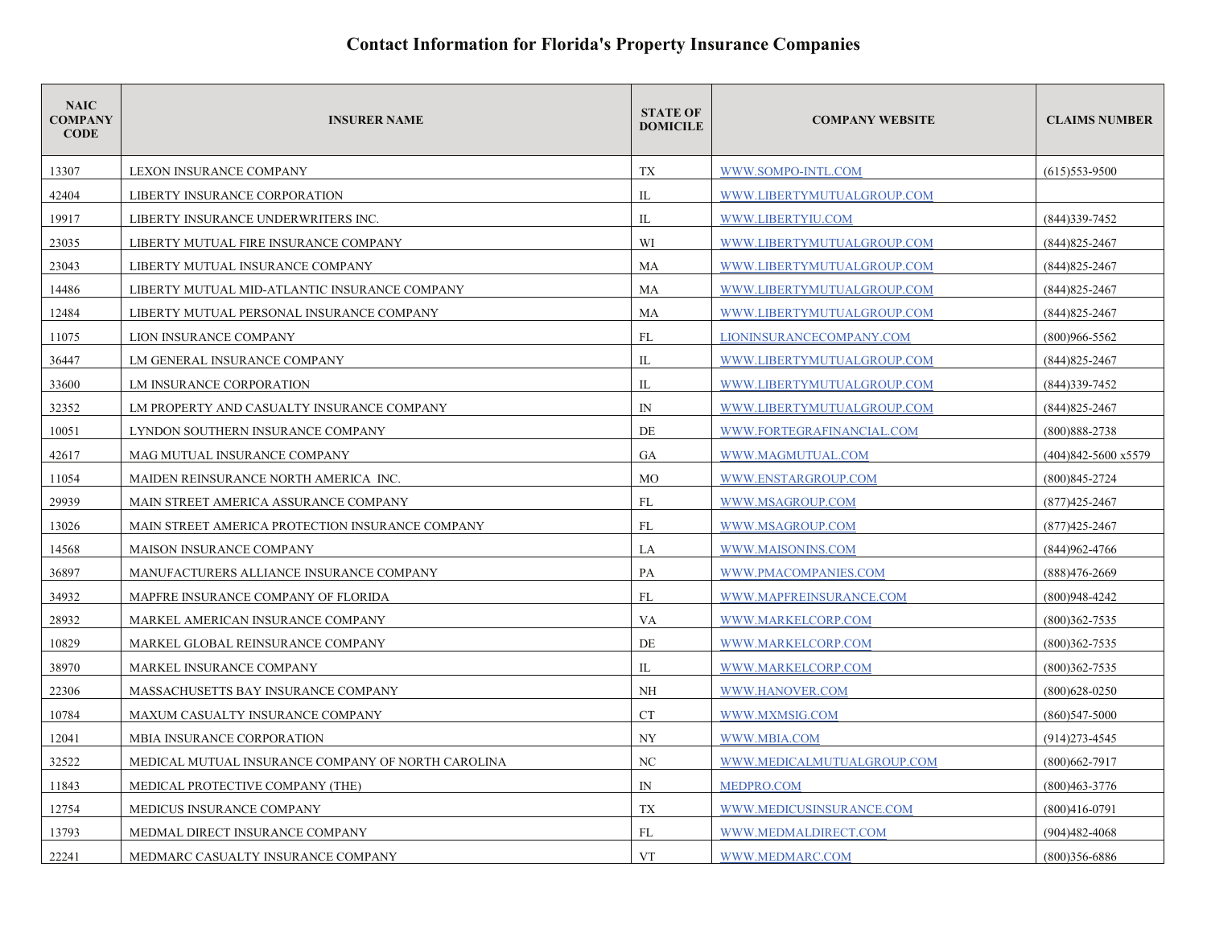| <b>NAIC</b><br><b>COMPANY</b><br><b>CODE</b> | <b>INSURER NAME</b>                                | <b>STATE OF</b><br><b>DOMICILE</b> | <b>COMPANY WEBSITE</b>     | <b>CLAIMS NUMBER</b> |
|----------------------------------------------|----------------------------------------------------|------------------------------------|----------------------------|----------------------|
| 13307                                        | LEXON INSURANCE COMPANY                            | TX                                 | WWW.SOMPO-INTL.COM         | $(615)$ 553-9500     |
| 42404                                        | LIBERTY INSURANCE CORPORATION                      | IL                                 | WWW.LIBERTYMUTUALGROUP.COM |                      |
| 19917                                        | LIBERTY INSURANCE UNDERWRITERS INC.                | IL                                 | WWW.LIBERTYIU.COM          | (844) 339-7452       |
| 23035                                        | LIBERTY MUTUAL FIRE INSURANCE COMPANY              | WI                                 | WWW.LIBERTYMUTUALGROUP.COM | $(844)825 - 2467$    |
| 23043                                        | LIBERTY MUTUAL INSURANCE COMPANY                   | MA                                 | WWW.LIBERTYMUTUALGROUP.COM | $(844)825 - 2467$    |
| 14486                                        | LIBERTY MUTUAL MID-ATLANTIC INSURANCE COMPANY      | MA                                 | WWW.LIBERTYMUTUALGROUP.COM | (844) 825-2467       |
| 12484                                        | LIBERTY MUTUAL PERSONAL INSURANCE COMPANY          | MA                                 | WWW.LIBERTYMUTUALGROUP.COM | $(844)825 - 2467$    |
| 11075                                        | LION INSURANCE COMPANY                             | FL                                 | LIONINSURANCECOMPANY.COM   | $(800)966 - 5562$    |
| 36447                                        | LM GENERAL INSURANCE COMPANY                       | IL                                 | WWW.LIBERTYMUTUALGROUP.COM | $(844)825 - 2467$    |
| 33600                                        | LM INSURANCE CORPORATION                           | IL                                 | WWW.LIBERTYMUTUALGROUP.COM | (844) 339 - 7452     |
| 32352                                        | LM PROPERTY AND CASUALTY INSURANCE COMPANY         | ${\rm IN}$                         | WWW.LIBERTYMUTUALGROUP.COM | $(844)825 - 2467$    |
| 10051                                        | LYNDON SOUTHERN INSURANCE COMPANY                  | DE                                 | WWW.FORTEGRAFINANCIAL.COM  | $(800)888 - 2738$    |
| 42617                                        | MAG MUTUAL INSURANCE COMPANY                       | GA                                 | WWW.MAGMUTUAL.COM          | (404)842-5600 x5579  |
| 11054                                        | MAIDEN REINSURANCE NORTH AMERICA INC.              | <b>MO</b>                          | WWW.ENSTARGROUP.COM        | $(800)845 - 2724$    |
| 29939                                        | MAIN STREET AMERICA ASSURANCE COMPANY              | FL                                 | WWW.MSAGROUP.COM           | $(877)425 - 2467$    |
| 13026                                        | MAIN STREET AMERICA PROTECTION INSURANCE COMPANY   | FL                                 | WWW.MSAGROUP.COM           | $(877)425 - 2467$    |
| 14568                                        | <b>MAISON INSURANCE COMPANY</b>                    | LA                                 | WWW.MAISONINS.COM          | (844) 962-4766       |
| 36897                                        | MANUFACTURERS ALLIANCE INSURANCE COMPANY           | PA                                 | WWW.PMACOMPANIES.COM       | (888)476-2669        |
| 34932                                        | MAPFRE INSURANCE COMPANY OF FLORIDA                | FL                                 | WWW.MAPFREINSURANCE.COM    | $(800)948-4242$      |
| 28932                                        | MARKEL AMERICAN INSURANCE COMPANY                  | <b>VA</b>                          | WWW.MARKELCORP.COM         | $(800)362 - 7535$    |
| 10829                                        | MARKEL GLOBAL REINSURANCE COMPANY                  | DE                                 | WWW.MARKELCORP.COM         | $(800)362 - 7535$    |
| 38970                                        | MARKEL INSURANCE COMPANY                           | IL                                 | WWW.MARKELCORP.COM         | $(800)362 - 7535$    |
| 22306                                        | MASSACHUSETTS BAY INSURANCE COMPANY                | <b>NH</b>                          | WWW.HANOVER.COM            | $(800)628 - 0250$    |
| 10784                                        | MAXUM CASUALTY INSURANCE COMPANY                   | <b>CT</b>                          | WWW.MXMSIG.COM             | $(860)547 - 5000$    |
| 12041                                        | MBIA INSURANCE CORPORATION                         | <b>NY</b>                          | WWW.MBIA.COM               | $(914)273 - 4545$    |
| 32522                                        | MEDICAL MUTUAL INSURANCE COMPANY OF NORTH CAROLINA | NC                                 | WWW.MEDICALMUTUALGROUP.COM | $(800)662 - 7917$    |
| 11843                                        | MEDICAL PROTECTIVE COMPANY (THE)                   | $\mathbb{N}$                       | MEDPRO.COM                 | $(800)463 - 3776$    |
| 12754                                        | MEDICUS INSURANCE COMPANY                          | TX                                 | WWW.MEDICUSINSURANCE.COM   | $(800)416-0791$      |
| 13793                                        | MEDMAL DIRECT INSURANCE COMPANY                    | FL                                 | WWW.MEDMALDIRECT.COM       | $(904)482 - 4068$    |
| 22241                                        | MEDMARC CASUALTY INSURANCE COMPANY                 | <b>VT</b>                          | WWW.MEDMARC.COM            | $(800)356 - 6886$    |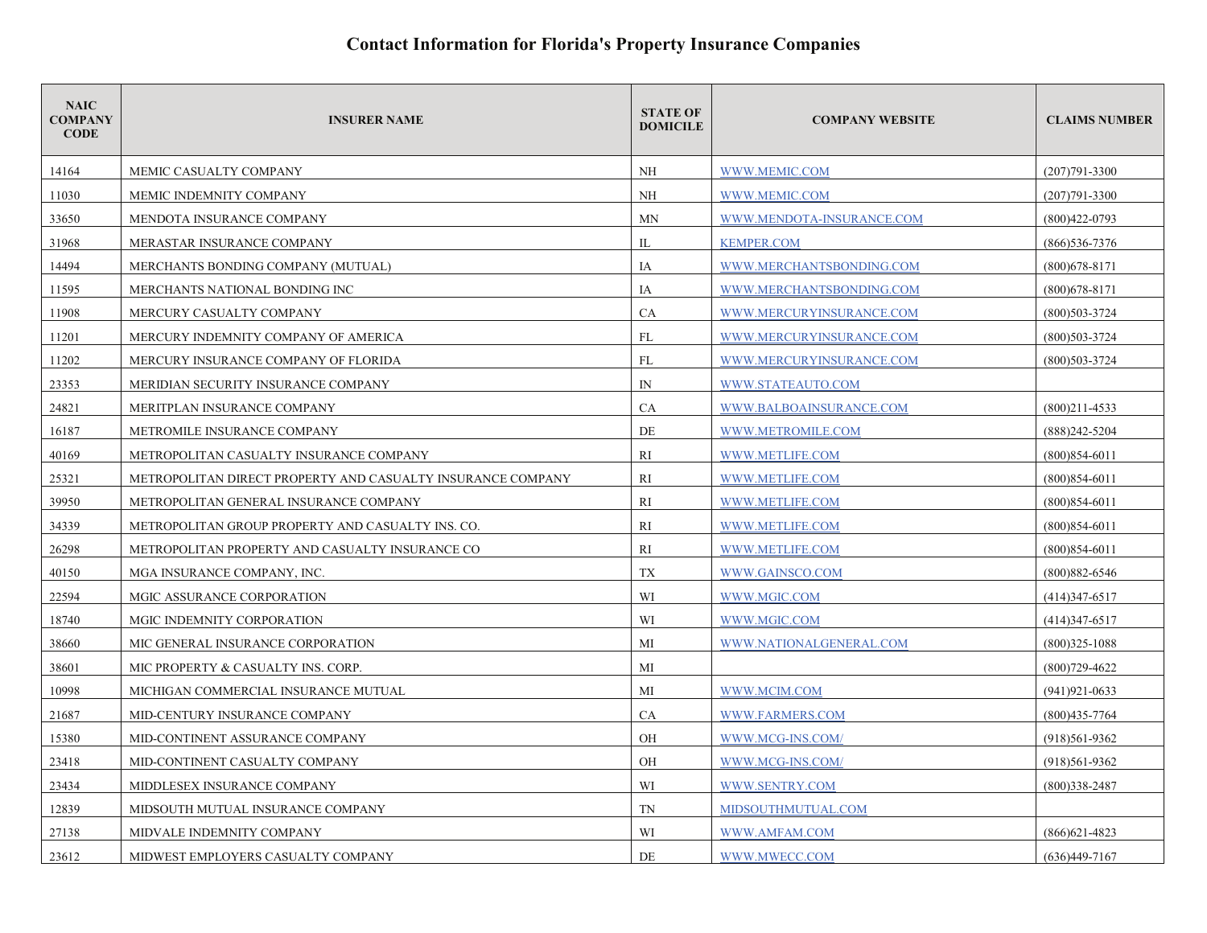| <b>NAIC</b><br><b>COMPANY</b><br><b>CODE</b> | <b>INSURER NAME</b>                                         | <b>STATE OF</b><br><b>DOMICILE</b> | <b>COMPANY WEBSITE</b>    | <b>CLAIMS NUMBER</b> |
|----------------------------------------------|-------------------------------------------------------------|------------------------------------|---------------------------|----------------------|
| 14164                                        | MEMIC CASUALTY COMPANY                                      | NH                                 | WWW.MEMIC.COM             | $(207)791 - 3300$    |
| 11030                                        | MEMIC INDEMNITY COMPANY                                     | NH                                 | WWW.MEMIC.COM             | $(207)791 - 3300$    |
| 33650                                        | <b>MENDOTA INSURANCE COMPANY</b>                            | MN                                 | WWW.MENDOTA-INSURANCE.COM | (800)422-0793        |
| 31968                                        | MERASTAR INSURANCE COMPANY                                  | IL                                 | <b>KEMPER.COM</b>         | $(866)$ 536-7376     |
| 14494                                        | MERCHANTS BONDING COMPANY (MUTUAL)                          | IA                                 | WWW.MERCHANTSBONDING.COM  | $(800)678 - 8171$    |
| 11595                                        | MERCHANTS NATIONAL BONDING INC                              | IA                                 | WWW.MERCHANTSBONDING.COM  | $(800)678 - 8171$    |
| 11908                                        | MERCURY CASUALTY COMPANY                                    | CA                                 | WWW.MERCURYINSURANCE.COM  | $(800)503 - 3724$    |
| 11201                                        | MERCURY INDEMNITY COMPANY OF AMERICA                        | FL                                 | WWW.MERCURYINSURANCE.COM  | $(800)503 - 3724$    |
| 11202                                        | MERCURY INSURANCE COMPANY OF FLORIDA                        | <b>FL</b>                          | WWW.MERCURYINSURANCE.COM  | $(800)503 - 3724$    |
| 23353                                        | MERIDIAN SECURITY INSURANCE COMPANY                         | $\mathbb{N}$                       | WWW.STATEAUTO.COM         |                      |
| 24821                                        | MERITPLAN INSURANCE COMPANY                                 | <b>CA</b>                          | WWW.BALBOAINSURANCE.COM   | $(800)211 - 4533$    |
| 16187                                        | METROMILE INSURANCE COMPANY                                 | DE                                 | WWW.METROMILE.COM         | $(888)$ 242-5204     |
| 40169                                        | METROPOLITAN CASUALTY INSURANCE COMPANY                     | RI                                 | WWW.METLIFE.COM           | $(800)854-6011$      |
| 25321                                        | METROPOLITAN DIRECT PROPERTY AND CASUALTY INSURANCE COMPANY | RI                                 | WWW.METLIFE.COM           | $(800)854-6011$      |
| 39950                                        | METROPOLITAN GENERAL INSURANCE COMPANY                      | RI                                 | WWW.METLIFE.COM           | $(800)854-6011$      |
| 34339                                        | METROPOLITAN GROUP PROPERTY AND CASUALTY INS. CO.           | <b>RI</b>                          | WWW.METLIFE.COM           | $(800)854-6011$      |
| 26298                                        | METROPOLITAN PROPERTY AND CASUALTY INSURANCE CO             | RI                                 | WWW.METLIFE.COM           | $(800)854-6011$      |
| 40150                                        | MGA INSURANCE COMPANY, INC.                                 | TX                                 | WWW.GAINSCO.COM           | $(800)882 - 6546$    |
| 22594                                        | MGIC ASSURANCE CORPORATION                                  | WI                                 | WWW.MGIC.COM              | $(414)347-6517$      |
| 18740                                        | MGIC INDEMNITY CORPORATION                                  | WI                                 | WWW.MGIC.COM              | $(414)347-6517$      |
| 38660                                        | MIC GENERAL INSURANCE CORPORATION                           | MI                                 | WWW.NATIONALGENERAL.COM   | $(800)325 - 1088$    |
| 38601                                        | MIC PROPERTY & CASUALTY INS. CORP.                          | MI                                 |                           | $(800)729 - 4622$    |
| 10998                                        | MICHIGAN COMMERCIAL INSURANCE MUTUAL                        | МI                                 | WWW.MCIM.COM              | $(941)921 - 0633$    |
| 21687                                        | MID-CENTURY INSURANCE COMPANY                               | CA                                 | WWW.FARMERS.COM           | $(800)435 - 7764$    |
| 15380                                        | MID-CONTINENT ASSURANCE COMPANY                             | <b>OH</b>                          | WWW.MCG-INS.COM/          | $(918)561-9362$      |
| 23418                                        | MID-CONTINENT CASUALTY COMPANY                              | OH                                 | WWW.MCG-INS.COM/          | $(918)561-9362$      |
| 23434                                        | MIDDLESEX INSURANCE COMPANY                                 | WI                                 | WWW.SENTRY.COM            | $(800)338 - 2487$    |
| 12839                                        | MIDSOUTH MUTUAL INSURANCE COMPANY                           | TN                                 | MIDSOUTHMUTUAL.COM        |                      |
| 27138                                        | MIDVALE INDEMNITY COMPANY                                   | WI                                 | WWW.AMFAM.COM             | $(866)621 - 4823$    |
| 23612                                        | MIDWEST EMPLOYERS CASUALTY COMPANY                          | DE                                 | WWW.MWECC.COM             | $(636)449-7167$      |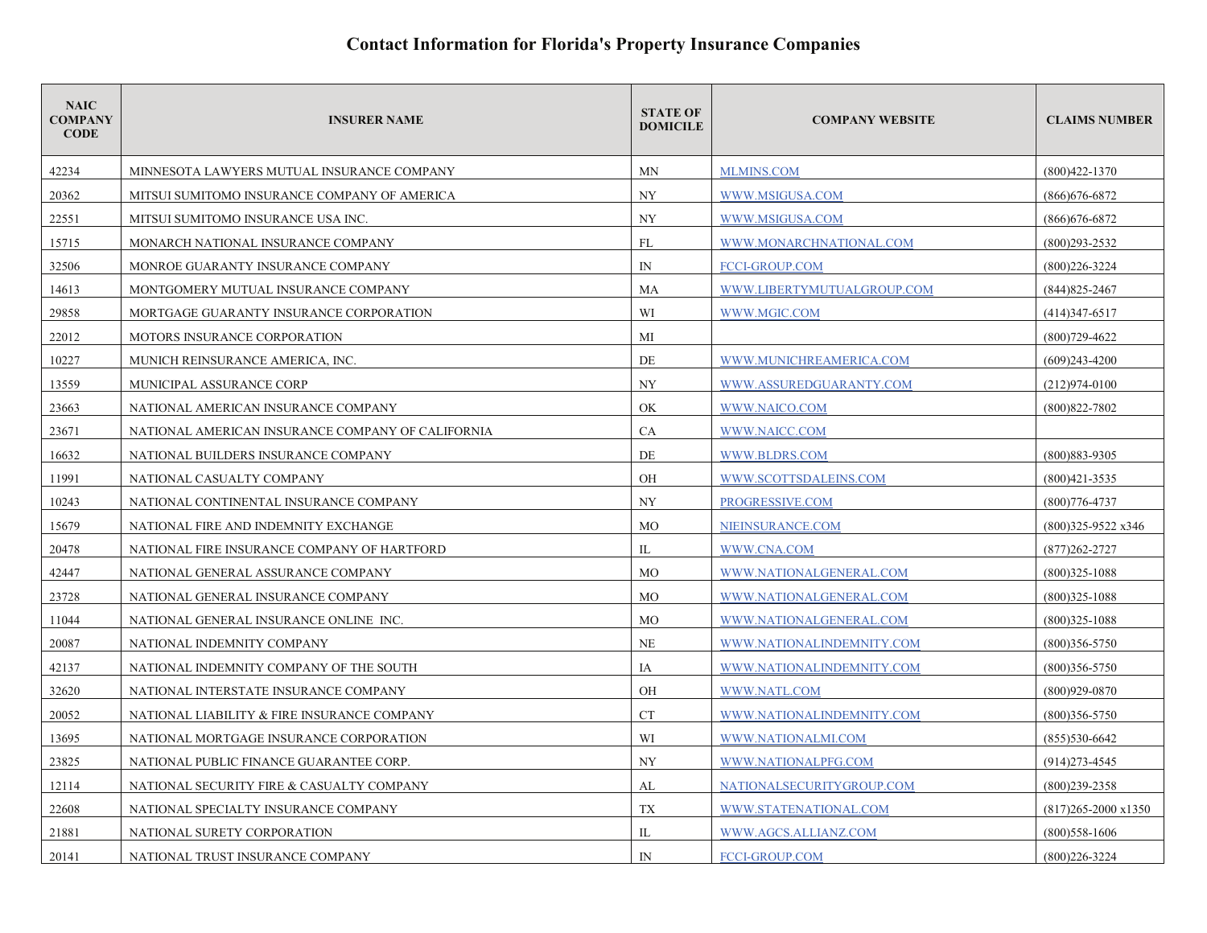| <b>NAIC</b><br><b>COMPANY</b><br><b>CODE</b> | <b>INSURER NAME</b>                               | <b>STATE OF</b><br><b>DOMICILE</b> | <b>COMPANY WEBSITE</b>     | <b>CLAIMS NUMBER</b>          |
|----------------------------------------------|---------------------------------------------------|------------------------------------|----------------------------|-------------------------------|
| 42234                                        | MINNESOTA LAWYERS MUTUAL INSURANCE COMPANY        | MN                                 | <b>MLMINS.COM</b>          | $(800)422 - 1370$             |
| 20362                                        | MITSUI SUMITOMO INSURANCE COMPANY OF AMERICA      | NY                                 | WWW.MSIGUSA.COM            | $(866)$ 676-6872              |
| 22551                                        | MITSUI SUMITOMO INSURANCE USA INC.                | NY                                 | WWW.MSIGUSA.COM            | $(866)676 - 6872$             |
| 15715                                        | MONARCH NATIONAL INSURANCE COMPANY                | FL                                 | WWW.MONARCHNATIONAL.COM    | $(800)293 - 2532$             |
| 32506                                        | MONROE GUARANTY INSURANCE COMPANY                 | $\mathbb{N}$                       | FCCI-GROUP.COM             | $(800)226 - 3224$             |
| 14613                                        | MONTGOMERY MUTUAL INSURANCE COMPANY               | MA                                 | WWW.LIBERTYMUTUALGROUP.COM | $(844)825 - 2467$             |
| 29858                                        | MORTGAGE GUARANTY INSURANCE CORPORATION           | WI                                 | WWW.MGIC.COM               | $(414)347-6517$               |
| 22012                                        | MOTORS INSURANCE CORPORATION                      | МI                                 |                            | $(800)729 - 4622$             |
| 10227                                        | MUNICH REINSURANCE AMERICA, INC.                  | DE                                 | WWW.MUNICHREAMERICA.COM    | $(609)$ 243-4200              |
| 13559                                        | MUNICIPAL ASSURANCE CORP                          | <b>NY</b>                          | WWW.ASSUREDGUARANTY.COM    | $(212)974 - 0100$             |
| 23663                                        | NATIONAL AMERICAN INSURANCE COMPANY               | OK                                 | WWW.NAICO.COM              | $(800)822 - 7802$             |
| 23671                                        | NATIONAL AMERICAN INSURANCE COMPANY OF CALIFORNIA | CA                                 | WWW.NAICC.COM              |                               |
| 16632                                        | NATIONAL BUILDERS INSURANCE COMPANY               | DE                                 | WWW.BLDRS.COM              | (800) 883-9305                |
| 11991                                        | NATIONAL CASUALTY COMPANY                         | OH                                 | WWW.SCOTTSDALEINS.COM      | $(800)421 - 3535$             |
| 10243                                        | NATIONAL CONTINENTAL INSURANCE COMPANY            | <b>NY</b>                          | PROGRESSIVE.COM            | $(800)776 - 4737$             |
| 15679                                        | NATIONAL FIRE AND INDEMNITY EXCHANGE              | <b>MO</b>                          | NIEINSURANCE.COM           | $(800)325-9522 \times 346$    |
| 20478                                        | NATIONAL FIRE INSURANCE COMPANY OF HARTFORD       | IL                                 | WWW.CNA.COM                | $(877)262 - 2727$             |
| 42447                                        | NATIONAL GENERAL ASSURANCE COMPANY                | <b>MO</b>                          | WWW.NATIONALGENERAL.COM    | $(800)325 - 1088$             |
| 23728                                        | NATIONAL GENERAL INSURANCE COMPANY                | <b>MO</b>                          | WWW.NATIONALGENERAL.COM    | $(800)325 - 1088$             |
| 11044                                        | NATIONAL GENERAL INSURANCE ONLINE INC.            | <b>MO</b>                          | WWW.NATIONALGENERAL.COM    | $(800)325 - 1088$             |
| 20087                                        | NATIONAL INDEMNITY COMPANY                        | <b>NE</b>                          | WWW.NATIONALINDEMNITY.COM  | $(800)356 - 5750$             |
| 42137                                        | NATIONAL INDEMNITY COMPANY OF THE SOUTH           | IA                                 | WWW.NATIONALINDEMNITY.COM  | $(800)356 - 5750$             |
| 32620                                        | NATIONAL INTERSTATE INSURANCE COMPANY             | OH                                 | WWW.NATL.COM               | $(800)929 - 0870$             |
| 20052                                        | NATIONAL LIABILITY & FIRE INSURANCE COMPANY       | <b>CT</b>                          | WWW.NATIONALINDEMNITY.COM  | $(800)356 - 5750$             |
| 13695                                        | NATIONAL MORTGAGE INSURANCE CORPORATION           | WI                                 | WWW.NATIONALMI.COM         | $(855)530-6642$               |
| 23825                                        | NATIONAL PUBLIC FINANCE GUARANTEE CORP.           | NY                                 | WWW.NATIONALPFG.COM        | $(914)273 - 4545$             |
| 12114                                        | NATIONAL SECURITY FIRE & CASUALTY COMPANY         | AL                                 | NATIONALSECURITYGROUP.COM  | $(800)$ 239-2358              |
| 22608                                        | NATIONAL SPECIALTY INSURANCE COMPANY              | TX                                 | WWW.STATENATIONAL.COM      | $(817)265 - 2000 \times 1350$ |
| 21881                                        | NATIONAL SURETY CORPORATION                       | IL                                 | WWW.AGCS.ALLIANZ.COM       | $(800)$ 558-1606              |
| 20141                                        | NATIONAL TRUST INSURANCE COMPANY                  | $\mathbb{N}$                       | <b>FCCI-GROUP.COM</b>      | $(800)226 - 3224$             |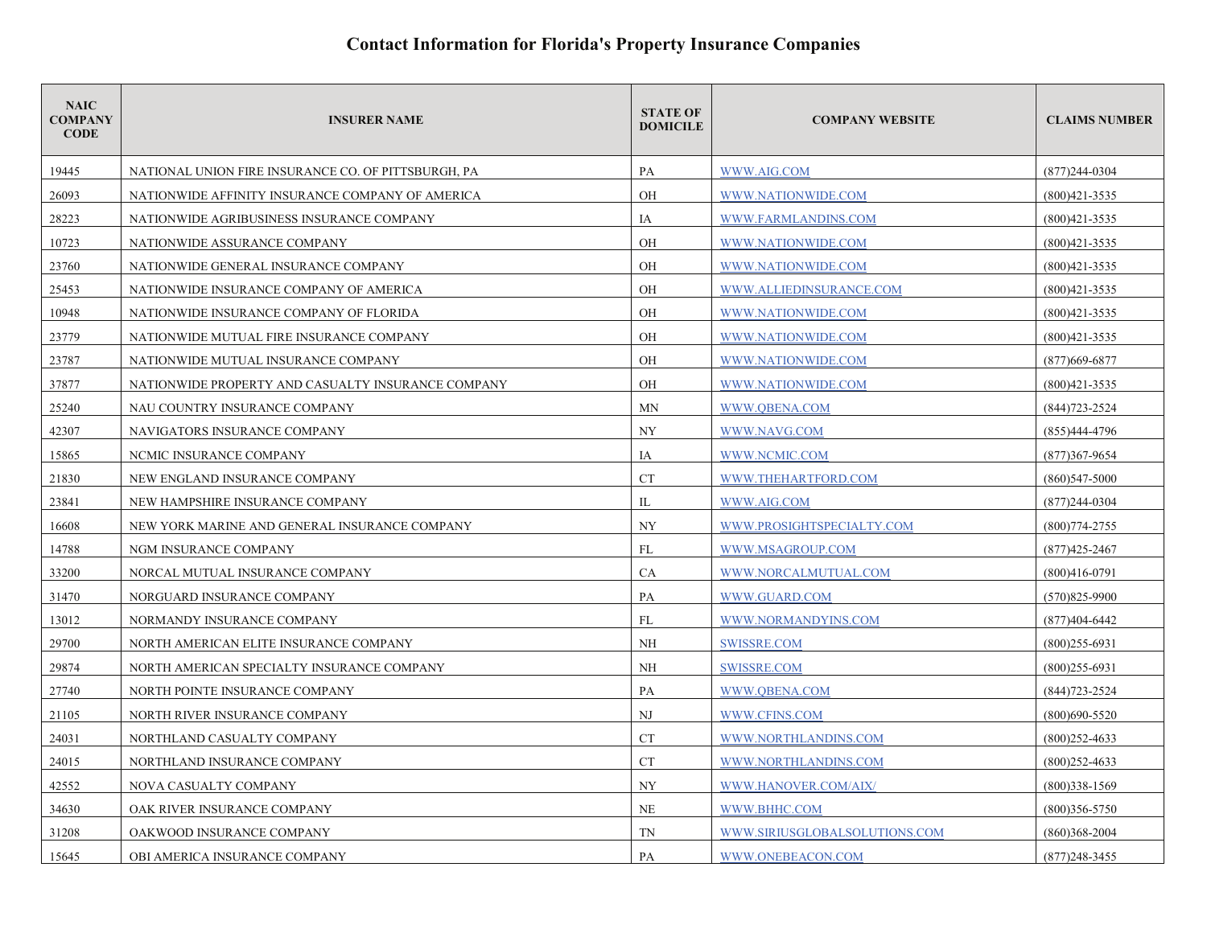| <b>NAIC</b><br><b>COMPANY</b><br><b>CODE</b> | <b>INSURER NAME</b>                                 | <b>STATE OF</b><br><b>DOMICILE</b> | <b>COMPANY WEBSITE</b>        | <b>CLAIMS NUMBER</b> |
|----------------------------------------------|-----------------------------------------------------|------------------------------------|-------------------------------|----------------------|
| 19445                                        | NATIONAL UNION FIRE INSURANCE CO. OF PITTSBURGH, PA | PA                                 | WWW.AIG.COM                   | $(877)$ 244-0304     |
| 26093                                        | NATIONWIDE AFFINITY INSURANCE COMPANY OF AMERICA    | <b>OH</b>                          | WWW.NATIONWIDE.COM            | $(800)421 - 3535$    |
| 28223                                        | NATIONWIDE AGRIBUSINESS INSURANCE COMPANY           | IA                                 | WWW.FARMLANDINS.COM           | $(800)421 - 3535$    |
| 10723                                        | NATIONWIDE ASSURANCE COMPANY                        | OH                                 | WWW.NATIONWIDE.COM            | $(800)421 - 3535$    |
| 23760                                        | NATIONWIDE GENERAL INSURANCE COMPANY                | <b>OH</b>                          | WWW.NATIONWIDE.COM            | $(800)421 - 3535$    |
| 25453                                        | NATIONWIDE INSURANCE COMPANY OF AMERICA             | OH                                 | WWW.ALLIEDINSURANCE.COM       | $(800)421 - 3535$    |
| 10948                                        | NATIONWIDE INSURANCE COMPANY OF FLORIDA             | OH                                 | WWW.NATIONWIDE.COM            | $(800)421 - 3535$    |
| 23779                                        | NATIONWIDE MUTUAL FIRE INSURANCE COMPANY            | OH                                 | WWW.NATIONWIDE.COM            | $(800)421 - 3535$    |
| 23787                                        | NATIONWIDE MUTUAL INSURANCE COMPANY                 | OH                                 | WWW.NATIONWIDE.COM            | $(877)669 - 6877$    |
| 37877                                        | NATIONWIDE PROPERTY AND CASUALTY INSURANCE COMPANY  | OH                                 | WWW.NATIONWIDE.COM            | $(800)421 - 3535$    |
| 25240                                        | NAU COUNTRY INSURANCE COMPANY                       | MN                                 | WWW.OBENA.COM                 | $(844)723 - 2524$    |
| 42307                                        | NAVIGATORS INSURANCE COMPANY                        | <b>NY</b>                          | WWW.NAVG.COM                  | $(855)444 - 4796$    |
| 15865                                        | NCMIC INSURANCE COMPANY                             | IA                                 | WWW.NCMIC.COM                 | $(877)367 - 9654$    |
| 21830                                        | NEW ENGLAND INSURANCE COMPANY                       | <b>CT</b>                          | WWW.THEHARTFORD.COM           | $(860)$ 547-5000     |
| 23841                                        | NEW HAMPSHIRE INSURANCE COMPANY                     | IL                                 | WWW.AIG.COM                   | $(877)$ 244-0304     |
| 16608                                        | NEW YORK MARINE AND GENERAL INSURANCE COMPANY       | <b>NY</b>                          | WWW.PROSIGHTSPECIALTY.COM     | $(800)774 - 2755$    |
| 14788                                        | NGM INSURANCE COMPANY                               | FL                                 | WWW.MSAGROUP.COM              | $(877)425 - 2467$    |
| 33200                                        | NORCAL MUTUAL INSURANCE COMPANY                     | <b>CA</b>                          | WWW.NORCALMUTUAL.COM          | $(800)416-0791$      |
| 31470                                        | NORGUARD INSURANCE COMPANY                          | PA                                 | WWW.GUARD.COM                 | $(570)825 - 9900$    |
| 13012                                        | NORMANDY INSURANCE COMPANY                          | FL                                 | WWW.NORMANDYINS.COM           | $(877)404 - 6442$    |
| 29700                                        | NORTH AMERICAN ELITE INSURANCE COMPANY              | <b>NH</b>                          | SWISSRE.COM                   | $(800)255 - 6931$    |
| 29874                                        | NORTH AMERICAN SPECIALTY INSURANCE COMPANY          | NH                                 | <b>SWISSRE.COM</b>            | $(800)255-6931$      |
| 27740                                        | NORTH POINTE INSURANCE COMPANY                      | PA                                 | WWW.QBENA.COM                 | $(844)723 - 2524$    |
| 21105                                        | NORTH RIVER INSURANCE COMPANY                       | NJ                                 | WWW.CFINS.COM                 | $(800)690 - 5520$    |
| 24031                                        | NORTHLAND CASUALTY COMPANY                          | <b>CT</b>                          | WWW.NORTHLANDINS.COM          | $(800)$ 252-4633     |
| 24015                                        | NORTHLAND INSURANCE COMPANY                         | <b>CT</b>                          | WWW.NORTHLANDINS.COM          | $(800)$ 252-4633     |
| 42552                                        | NOVA CASUALTY COMPANY                               | <b>NY</b>                          | WWW.HANOVER.COM/AIX/          | $(800)338 - 1569$    |
| 34630                                        | OAK RIVER INSURANCE COMPANY                         | NE                                 | WWW.BHHC.COM                  | $(800)356 - 5750$    |
| 31208                                        | OAKWOOD INSURANCE COMPANY                           | <b>TN</b>                          | WWW.SIRIUSGLOBALSOLUTIONS.COM | $(860)368 - 2004$    |
| 15645                                        | OBI AMERICA INSURANCE COMPANY                       | PA                                 | WWW.ONEBEACON.COM             | $(877)$ 248-3455     |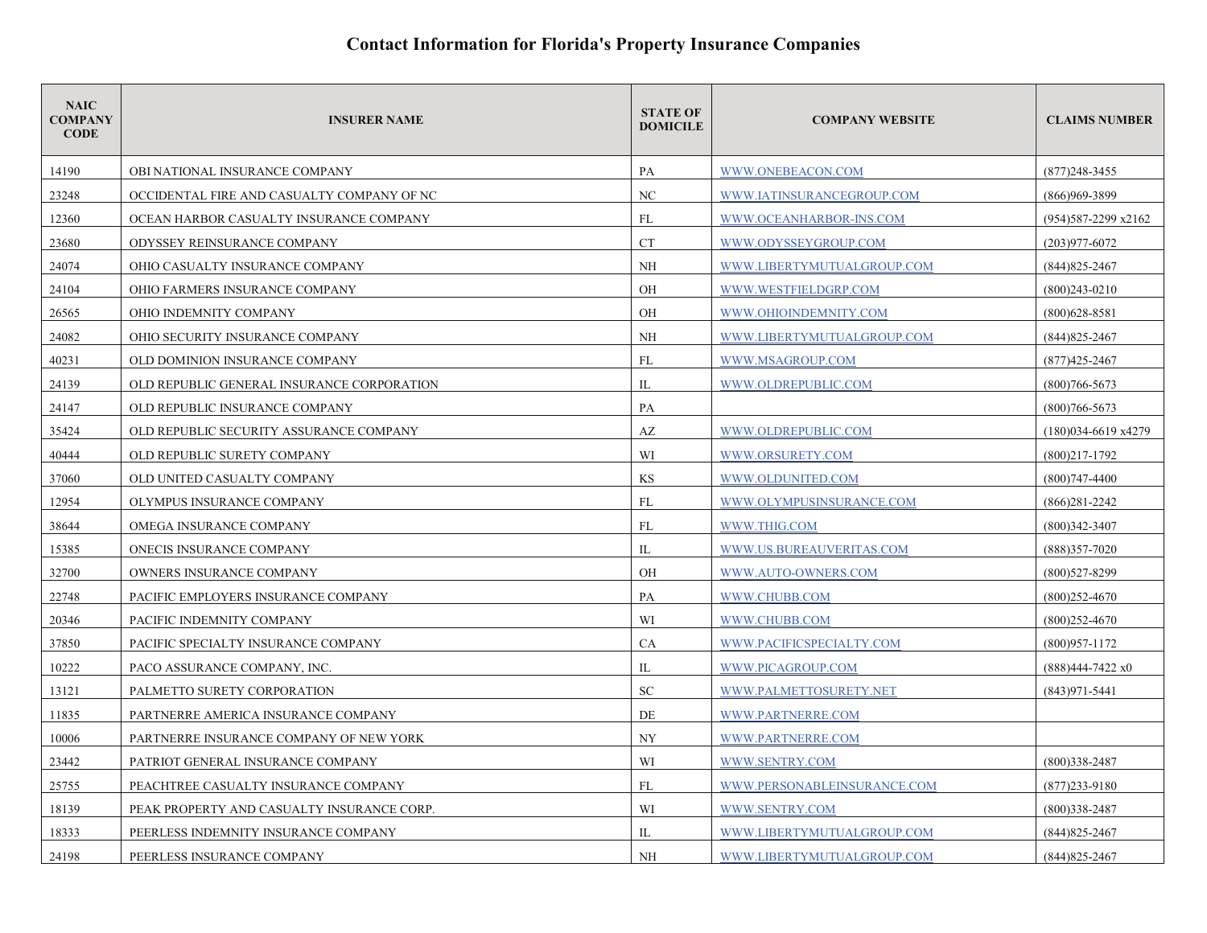| <b>NAIC</b><br><b>COMPANY</b><br><b>CODE</b> | <b>INSURER NAME</b>                        | <b>STATE OF</b><br><b>DOMICILE</b> | <b>COMPANY WEBSITE</b>      | <b>CLAIMS NUMBER</b>          |
|----------------------------------------------|--------------------------------------------|------------------------------------|-----------------------------|-------------------------------|
| 14190                                        | OBI NATIONAL INSURANCE COMPANY             | PA                                 | WWW.ONEBEACON.COM           | $(877)$ 248-3455              |
| 23248                                        | OCCIDENTAL FIRE AND CASUALTY COMPANY OF NC | NC.                                | WWW.IATINSURANCEGROUP.COM   | (866)969-3899                 |
| 12360                                        | OCEAN HARBOR CASUALTY INSURANCE COMPANY    | FL                                 | WWW.OCEANHARBOR-INS.COM     | $(954)587 - 2299 \times 2162$ |
| 23680                                        | ODYSSEY REINSURANCE COMPANY                | <b>CT</b>                          | WWW.ODYSSEYGROUP.COM        | $(203)977 - 6072$             |
| 24074                                        | OHIO CASUALTY INSURANCE COMPANY            | NH                                 | WWW.LIBERTYMUTUALGROUP.COM  | $(844)825 - 2467$             |
| 24104                                        | OHIO FARMERS INSURANCE COMPANY             | OH                                 | WWW.WESTFIELDGRP.COM        | $(800)243 - 0210$             |
| 26565                                        | OHIO INDEMNITY COMPANY                     | OH                                 | WWW.OHIOINDEMNITY.COM       | $(800)628 - 8581$             |
| 24082                                        | OHIO SECURITY INSURANCE COMPANY            | <b>NH</b>                          | WWW.LIBERTYMUTUALGROUP.COM  | $(844)825 - 2467$             |
| 40231                                        | OLD DOMINION INSURANCE COMPANY             | <b>FL</b>                          | WWW.MSAGROUP.COM            | $(877)425 - 2467$             |
| 24139                                        | OLD REPUBLIC GENERAL INSURANCE CORPORATION | IL                                 | WWW.OLDREPUBLIC.COM         | $(800)766 - 5673$             |
| 24147                                        | OLD REPUBLIC INSURANCE COMPANY             | PA                                 |                             | $(800)766 - 5673$             |
| 35424                                        | OLD REPUBLIC SECURITY ASSURANCE COMPANY    | AZ                                 | WWW.OLDREPUBLIC.COM         | $(180)034-6619 x4279$         |
| 40444                                        | OLD REPUBLIC SURETY COMPANY                | WI                                 | WWW.ORSURETY.COM            | $(800)217 - 1792$             |
| 37060                                        | OLD UNITED CASUALTY COMPANY                | KS                                 | WWW.OLDUNITED.COM           | $(800)747 - 4400$             |
| 12954                                        | OLYMPUS INSURANCE COMPANY                  | FL                                 | WWW.OLYMPUSINSURANCE.COM    | $(866)281 - 2242$             |
| 38644                                        | OMEGA INSURANCE COMPANY                    | FL                                 | WWW.THIG.COM                | $(800)342 - 3407$             |
| 15385                                        | ONECIS INSURANCE COMPANY                   | IL                                 | WWW.US.BUREAUVERITAS.COM    | $(888)357 - 7020$             |
| 32700                                        | OWNERS INSURANCE COMPANY                   | <b>OH</b>                          | WWW.AUTO-OWNERS.COM         | (800)527-8299                 |
| 22748                                        | PACIFIC EMPLOYERS INSURANCE COMPANY        | PA                                 | WWW.CHUBB.COM               | $(800)252 - 4670$             |
| 20346                                        | PACIFIC INDEMNITY COMPANY                  | WI                                 | WWW.CHUBB.COM               | $(800)252 - 4670$             |
| 37850                                        | PACIFIC SPECIALTY INSURANCE COMPANY        | CA                                 | WWW.PACIFICSPECIALTY.COM    | $(800)957 - 1172$             |
| 10222                                        | PACO ASSURANCE COMPANY, INC.               | IL                                 | WWW.PICAGROUP.COM           | $(888)444-7422 \times 0$      |
| 13121                                        | PALMETTO SURETY CORPORATION                | SC                                 | WWW.PALMETTOSURETY.NET      | $(843)971 - 5441$             |
| 11835                                        | PARTNERRE AMERICA INSURANCE COMPANY        | DE                                 | WWW.PARTNERRE.COM           |                               |
| 10006                                        | PARTNERRE INSURANCE COMPANY OF NEW YORK    | <b>NY</b>                          | WWW.PARTNERRE.COM           |                               |
| 23442                                        | PATRIOT GENERAL INSURANCE COMPANY          | WI                                 | WWW.SENTRY.COM              | $(800)338 - 2487$             |
| 25755                                        | PEACHTREE CASUALTY INSURANCE COMPANY       | FL                                 | WWW.PERSONABLEINSURANCE.COM | $(877)$ 233-9180              |
| 18139                                        | PEAK PROPERTY AND CASUALTY INSURANCE CORP. | WI                                 | WWW.SENTRY.COM              | $(800)338 - 2487$             |
| 18333                                        | PEERLESS INDEMNITY INSURANCE COMPANY       | IL                                 | WWW.LIBERTYMUTUALGROUP.COM  | $(844)825 - 2467$             |
| 24198                                        | PEERLESS INSURANCE COMPANY                 | NH                                 | WWW.LIBERTYMUTUALGROUP.COM  | $(844)825 - 2467$             |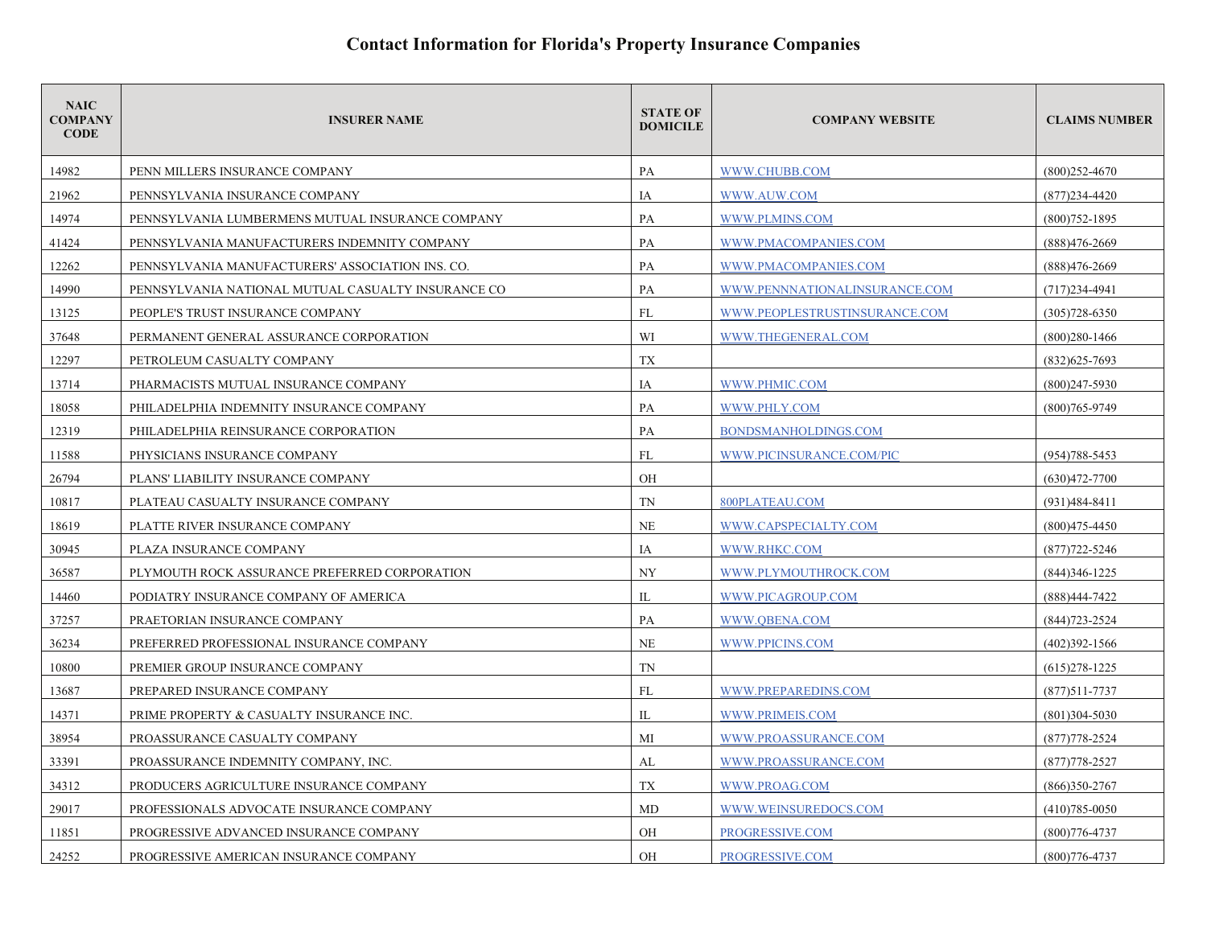| <b>NAIC</b><br><b>COMPANY</b><br><b>CODE</b> | <b>INSURER NAME</b>                                | <b>STATE OF</b><br><b>DOMICILE</b> | <b>COMPANY WEBSITE</b>        | <b>CLAIMS NUMBER</b> |
|----------------------------------------------|----------------------------------------------------|------------------------------------|-------------------------------|----------------------|
| 14982                                        | PENN MILLERS INSURANCE COMPANY                     | PA                                 | WWW.CHUBB.COM                 | $(800)252 - 4670$    |
| 21962                                        | PENNSYLVANIA INSURANCE COMPANY                     | IA                                 | WWW.AUW.COM                   | $(877)$ 234-4420     |
| 14974                                        | PENNSYLVANIA LUMBERMENS MUTUAL INSURANCE COMPANY   | PA                                 | WWW.PLMINS.COM                | $(800)752 - 1895$    |
| 41424                                        | PENNSYLVANIA MANUFACTURERS INDEMNITY COMPANY       | PA                                 | WWW.PMACOMPANIES.COM          | $(888)476 - 2669$    |
| 12262                                        | PENNSYLVANIA MANUFACTURERS' ASSOCIATION INS. CO.   | PA                                 | WWW.PMACOMPANIES.COM          | $(888)476 - 2669$    |
| 14990                                        | PENNSYLVANIA NATIONAL MUTUAL CASUALTY INSURANCE CO | PA                                 | WWW.PENNNATIONALINSURANCE.COM | $(717)234 - 4941$    |
| 13125                                        | PEOPLE'S TRUST INSURANCE COMPANY                   | FL                                 | WWW.PEOPLESTRUSTINSURANCE.COM | $(305)728 - 6350$    |
| 37648                                        | PERMANENT GENERAL ASSURANCE CORPORATION            | WI                                 | WWW.THEGENERAL.COM            | $(800)280 - 1466$    |
| 12297                                        | PETROLEUM CASUALTY COMPANY                         | TX                                 |                               | $(832)625 - 7693$    |
| 13714                                        | PHARMACISTS MUTUAL INSURANCE COMPANY               | IA                                 | WWW.PHMIC.COM                 | $(800)$ 247-5930     |
| 18058                                        | PHILADELPHIA INDEMNITY INSURANCE COMPANY           | PA                                 | WWW.PHLY.COM                  | (800)765-9749        |
| 12319                                        | PHILADELPHIA REINSURANCE CORPORATION               | PA                                 | BONDSMANHOLDINGS.COM          |                      |
| 11588                                        | PHYSICIANS INSURANCE COMPANY                       | FL                                 | WWW.PICINSURANCE.COM/PIC      | $(954)788 - 5453$    |
| 26794                                        | PLANS' LIABILITY INSURANCE COMPANY                 | OH                                 |                               | $(630)472 - 7700$    |
| 10817                                        | PLATEAU CASUALTY INSURANCE COMPANY                 | TN                                 | 800PLATEAU.COM                | $(931)484 - 8411$    |
| 18619                                        | PLATTE RIVER INSURANCE COMPANY                     | NE                                 | WWW.CAPSPECIALTY.COM          | $(800)475 - 4450$    |
| 30945                                        | PLAZA INSURANCE COMPANY                            | IA                                 | WWW.RHKC.COM                  | $(877)722 - 5246$    |
| 36587                                        | PLYMOUTH ROCK ASSURANCE PREFERRED CORPORATION      | <b>NY</b>                          | WWW.PLYMOUTHROCK.COM          | $(844)346 - 1225$    |
| 14460                                        | PODIATRY INSURANCE COMPANY OF AMERICA              | IL                                 | WWW.PICAGROUP.COM             | (888)444-7422        |
| 37257                                        | PRAETORIAN INSURANCE COMPANY                       | PA                                 | WWW.QBENA.COM                 | $(844)723 - 2524$    |
| 36234                                        | PREFERRED PROFESSIONAL INSURANCE COMPANY           | <b>NE</b>                          | WWW.PPICINS.COM               | $(402)392 - 1566$    |
| 10800                                        | PREMIER GROUP INSURANCE COMPANY                    | TN                                 |                               | $(615)278-1225$      |
| 13687                                        | PREPARED INSURANCE COMPANY                         | FL                                 | WWW.PREPAREDINS.COM           | $(877)511 - 7737$    |
| 14371                                        | PRIME PROPERTY & CASUALTY INSURANCE INC.           | IL                                 | WWW.PRIMEIS.COM               | $(801)304 - 5030$    |
| 38954                                        | PROASSURANCE CASUALTY COMPANY                      | MI                                 | WWW.PROASSURANCE.COM          | $(877)778 - 2524$    |
| 33391                                        | PROASSURANCE INDEMNITY COMPANY, INC.               | AL                                 | WWW.PROASSURANCE.COM          | $(877)778 - 2527$    |
| 34312                                        | PRODUCERS AGRICULTURE INSURANCE COMPANY            | TX                                 | WWW.PROAG.COM                 | $(866)350-2767$      |
| 29017                                        | PROFESSIONALS ADVOCATE INSURANCE COMPANY           | MD                                 | WWW.WEINSUREDOCS.COM          | $(410)785 - 0050$    |
| 11851                                        | PROGRESSIVE ADVANCED INSURANCE COMPANY             | OH                                 | PROGRESSIVE.COM               | $(800)776 - 4737$    |
| 24252                                        | PROGRESSIVE AMERICAN INSURANCE COMPANY             | <b>OH</b>                          | PROGRESSIVE.COM               | $(800)776 - 4737$    |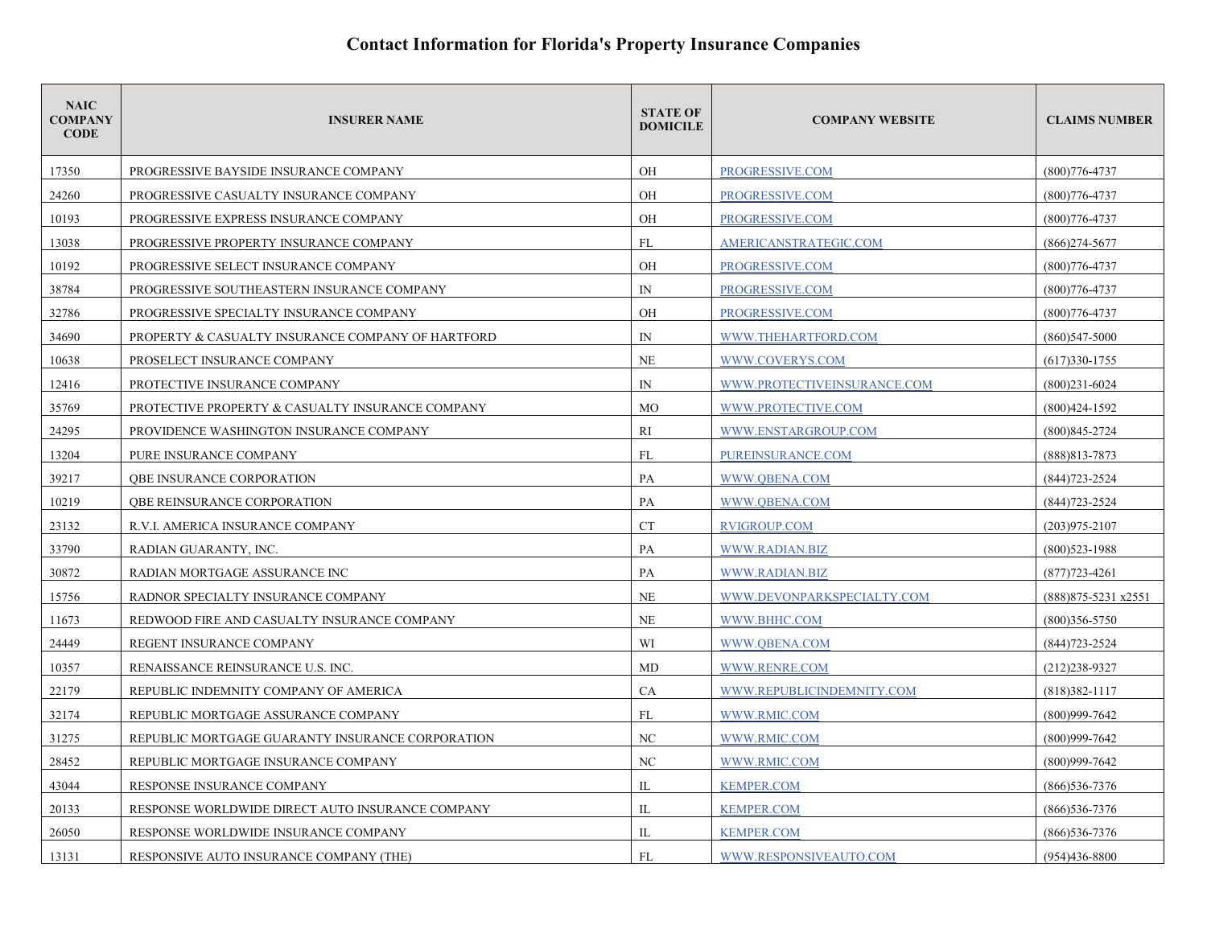| <b>NAIC</b><br><b>COMPANY</b><br><b>CODE</b> | <b>INSURER NAME</b>                               | <b>STATE OF</b><br><b>DOMICILE</b> | <b>COMPANY WEBSITE</b>      | <b>CLAIMS NUMBER</b>  |
|----------------------------------------------|---------------------------------------------------|------------------------------------|-----------------------------|-----------------------|
| 17350                                        | PROGRESSIVE BAYSIDE INSURANCE COMPANY             | OH                                 | PROGRESSIVE.COM             | $(800)776 - 4737$     |
| 24260                                        | PROGRESSIVE CASUALTY INSURANCE COMPANY            | OH                                 | PROGRESSIVE.COM             | $(800)776 - 4737$     |
| 10193                                        | PROGRESSIVE EXPRESS INSURANCE COMPANY             | OH                                 | PROGRESSIVE.COM             | $(800)776 - 4737$     |
| 13038                                        | PROGRESSIVE PROPERTY INSURANCE COMPANY            | FL                                 | AMERICANSTRATEGIC.COM       | $(866)$ 274-5677      |
| 10192                                        | PROGRESSIVE SELECT INSURANCE COMPANY              | OH                                 | PROGRESSIVE.COM             | $(800)776 - 4737$     |
| 38784                                        | PROGRESSIVE SOUTHEASTERN INSURANCE COMPANY        | IN                                 | PROGRESSIVE.COM             | $(800)776 - 4737$     |
| 32786                                        | PROGRESSIVE SPECIALTY INSURANCE COMPANY           | OH                                 | PROGRESSIVE.COM             | $(800)776 - 4737$     |
| 34690                                        | PROPERTY & CASUALTY INSURANCE COMPANY OF HARTFORD | IN                                 | WWW.THEHARTFORD.COM         | $(860)$ 547-5000      |
| 10638                                        | PROSELECT INSURANCE COMPANY                       | NE                                 | WWW.COVERYS.COM             | $(617)330-1755$       |
| 12416                                        | PROTECTIVE INSURANCE COMPANY                      | $\mathbb{N}$                       | WWW.PROTECTIVEINSURANCE.COM | $(800)231 - 6024$     |
| 35769                                        | PROTECTIVE PROPERTY & CASUALTY INSURANCE COMPANY  | <b>MO</b>                          | WWW.PROTECTIVE.COM          | $(800)424 - 1592$     |
| 24295                                        | PROVIDENCE WASHINGTON INSURANCE COMPANY           | RI                                 | WWW.ENSTARGROUP.COM         | $(800)845 - 2724$     |
| 13204                                        | PURE INSURANCE COMPANY                            | FL                                 | PUREINSURANCE.COM           | $(888)813 - 7873$     |
| 39217                                        | <b>OBE INSURANCE CORPORATION</b>                  | PA                                 | WWW.OBENA.COM               | (844) 723-2524        |
| 10219                                        | QBE REINSURANCE CORPORATION                       | PA                                 | WWW.OBENA.COM               | $(844)723 - 2524$     |
| 23132                                        | R.V.I. AMERICA INSURANCE COMPANY                  | <b>CT</b>                          | <b>RVIGROUP.COM</b>         | $(203)975 - 2107$     |
| 33790                                        | RADIAN GUARANTY, INC.                             | PA                                 | WWW.RADIAN.BIZ              | $(800)523 - 1988$     |
| 30872                                        | RADIAN MORTGAGE ASSURANCE INC                     | PA                                 | WWW.RADIAN.BIZ              | $(877)723 - 4261$     |
| 15756                                        | RADNOR SPECIALTY INSURANCE COMPANY                | <b>NE</b>                          | WWW.DEVONPARKSPECIALTY.COM  | (888) 875-5231 x 2551 |
| 11673                                        | REDWOOD FIRE AND CASUALTY INSURANCE COMPANY       | NE                                 | WWW.BHHC.COM                | $(800)356 - 5750$     |
| 24449                                        | REGENT INSURANCE COMPANY                          | WI                                 | WWW.QBENA.COM               | $(844)723 - 2524$     |
| 10357                                        | RENAISSANCE REINSURANCE U.S. INC.                 | MD                                 | <b>WWW.RENRE.COM</b>        | $(212)238-9327$       |
| 22179                                        | REPUBLIC INDEMNITY COMPANY OF AMERICA             | CA                                 | WWW.REPUBLICINDEMNITY.COM   | $(818)382 - 1117$     |
| 32174                                        | REPUBLIC MORTGAGE ASSURANCE COMPANY               | FL                                 | WWW.RMIC.COM                | $(800)999 - 7642$     |
| 31275                                        | REPUBLIC MORTGAGE GUARANTY INSURANCE CORPORATION  | NC                                 | WWW.RMIC.COM                | $(800)999 - 7642$     |
| 28452                                        | REPUBLIC MORTGAGE INSURANCE COMPANY               | NC                                 | WWW.RMIC.COM                | $(800)999 - 7642$     |
| 43044                                        | RESPONSE INSURANCE COMPANY                        | IL                                 | <b>KEMPER.COM</b>           | $(866)$ 536-7376      |
| 20133                                        | RESPONSE WORLDWIDE DIRECT AUTO INSURANCE COMPANY  | IL                                 | <b>KEMPER.COM</b>           | $(866)$ 536-7376      |
| 26050                                        | RESPONSE WORLDWIDE INSURANCE COMPANY              | IL                                 | <b>KEMPER.COM</b>           | $(866)$ 536-7376      |
| 13131                                        | RESPONSIVE AUTO INSURANCE COMPANY (THE)           | FL                                 | WWW.RESPONSIVEAUTO.COM      | $(954)436 - 8800$     |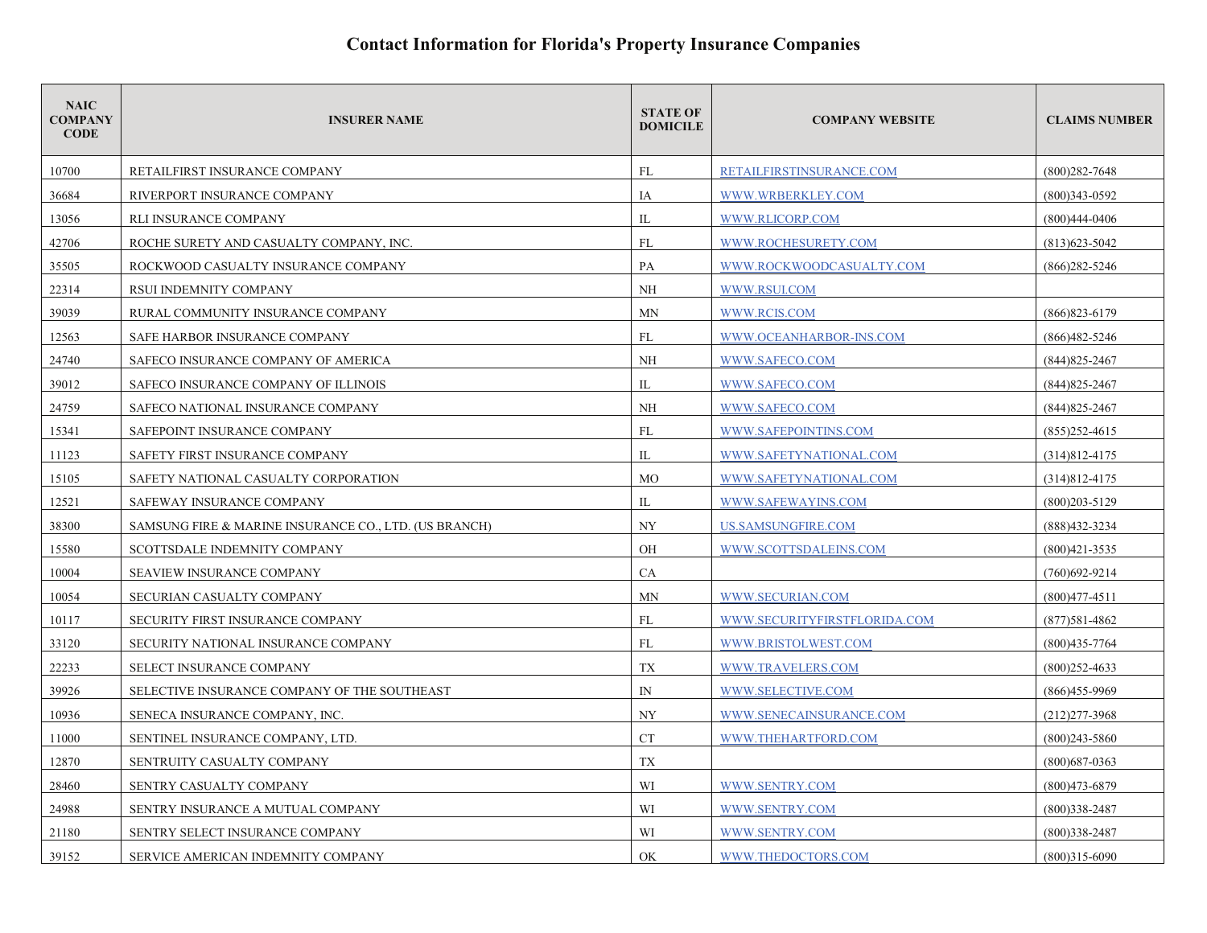| <b>NAIC</b><br><b>COMPANY</b><br><b>CODE</b> | <b>INSURER NAME</b>                                   | <b>STATE OF</b><br><b>DOMICILE</b> | <b>COMPANY WEBSITE</b>       | <b>CLAIMS NUMBER</b> |
|----------------------------------------------|-------------------------------------------------------|------------------------------------|------------------------------|----------------------|
| 10700                                        | RETAILFIRST INSURANCE COMPANY                         | FL                                 | RETAILFIRSTINSURANCE.COM     | $(800)282 - 7648$    |
| 36684                                        | RIVERPORT INSURANCE COMPANY                           | IA                                 | WWW.WRBERKLEY.COM            | $(800)343 - 0592$    |
| 13056                                        | RLI INSURANCE COMPANY                                 | IL                                 | WWW.RLICORP.COM              | $(800)444 - 0406$    |
| 42706                                        | ROCHE SURETY AND CASUALTY COMPANY, INC.               | FL                                 | WWW.ROCHESURETY.COM          | $(813)623 - 5042$    |
| 35505                                        | ROCKWOOD CASUALTY INSURANCE COMPANY                   | PA                                 | WWW.ROCKWOODCASUALTY.COM     | $(866)$ 282-5246     |
| 22314                                        | RSUI INDEMNITY COMPANY                                | <b>NH</b>                          | WWW.RSUI.COM                 |                      |
| 39039                                        | RURAL COMMUNITY INSURANCE COMPANY                     | MN                                 | WWW.RCIS.COM                 | $(866)823 - 6179$    |
| 12563                                        | SAFE HARBOR INSURANCE COMPANY                         | FL                                 | WWW.OCEANHARBOR-INS.COM      | $(866)482 - 5246$    |
| 24740                                        | SAFECO INSURANCE COMPANY OF AMERICA                   | <b>NH</b>                          | WWW.SAFECO.COM               | $(844)825 - 2467$    |
| 39012                                        | SAFECO INSURANCE COMPANY OF ILLINOIS                  | IL                                 | WWW.SAFECO.COM               | $(844)825 - 2467$    |
| 24759                                        | SAFECO NATIONAL INSURANCE COMPANY                     | NH                                 | WWW.SAFECO.COM               | $(844)825 - 2467$    |
| 15341                                        | SAFEPOINT INSURANCE COMPANY                           | FL                                 | WWW.SAFEPOINTINS.COM         | $(855)252 - 4615$    |
| 11123                                        | SAFETY FIRST INSURANCE COMPANY                        | IL                                 | WWW.SAFETYNATIONAL.COM       | $(314)812 - 4175$    |
| 15105                                        | SAFETY NATIONAL CASUALTY CORPORATION                  | <b>MO</b>                          | WWW.SAFETYNATIONAL.COM       | $(314)812 - 4175$    |
| 12521                                        | SAFEWAY INSURANCE COMPANY                             | IL                                 | WWW.SAFEWAYINS.COM           | $(800)203 - 5129$    |
| 38300                                        | SAMSUNG FIRE & MARINE INSURANCE CO., LTD. (US BRANCH) | <b>NY</b>                          | US.SAMSUNGFIRE.COM           | (888)432-3234        |
| 15580                                        | SCOTTSDALE INDEMNITY COMPANY                          | OH                                 | WWW.SCOTTSDALEINS.COM        | $(800)421 - 3535$    |
| 10004                                        | SEAVIEW INSURANCE COMPANY                             | CA                                 |                              | $(760)692 - 9214$    |
| 10054                                        | SECURIAN CASUALTY COMPANY                             | MN                                 | WWW.SECURIAN.COM             | $(800)477 - 4511$    |
| 10117                                        | SECURITY FIRST INSURANCE COMPANY                      | FL                                 | WWW.SECURITYFIRSTFLORIDA.COM | $(877)581 - 4862$    |
| 33120                                        | SECURITY NATIONAL INSURANCE COMPANY                   | FL                                 | WWW.BRISTOLWEST.COM          | $(800)435 - 7764$    |
| 22233                                        | SELECT INSURANCE COMPANY                              | TX                                 | WWW.TRAVELERS.COM            | $(800)$ 252-4633     |
| 39926                                        | SELECTIVE INSURANCE COMPANY OF THE SOUTHEAST          | $\mathbb{N}$                       | WWW.SELECTIVE.COM            | $(866)455-9969$      |
| 10936                                        | SENECA INSURANCE COMPANY, INC.                        | NY                                 | WWW.SENECAINSURANCE.COM      | $(212)277 - 3968$    |
| 11000                                        | SENTINEL INSURANCE COMPANY, LTD.                      | <b>CT</b>                          | WWW.THEHARTFORD.COM          | $(800)$ 243-5860     |
| 12870                                        | SENTRUITY CASUALTY COMPANY                            | TX                                 |                              | $(800)$ 687-0363     |
| 28460                                        | SENTRY CASUALTY COMPANY                               | WI                                 | WWW.SENTRY.COM               | $(800)473 - 6879$    |
| 24988                                        | SENTRY INSURANCE A MUTUAL COMPANY                     | WI                                 | WWW.SENTRY.COM               | $(800)338 - 2487$    |
| 21180                                        | SENTRY SELECT INSURANCE COMPANY                       | WI                                 | WWW.SENTRY.COM               | $(800)338 - 2487$    |
| 39152                                        | SERVICE AMERICAN INDEMNITY COMPANY                    | OK                                 | WWW.THEDOCTORS.COM           | $(800)315 - 6090$    |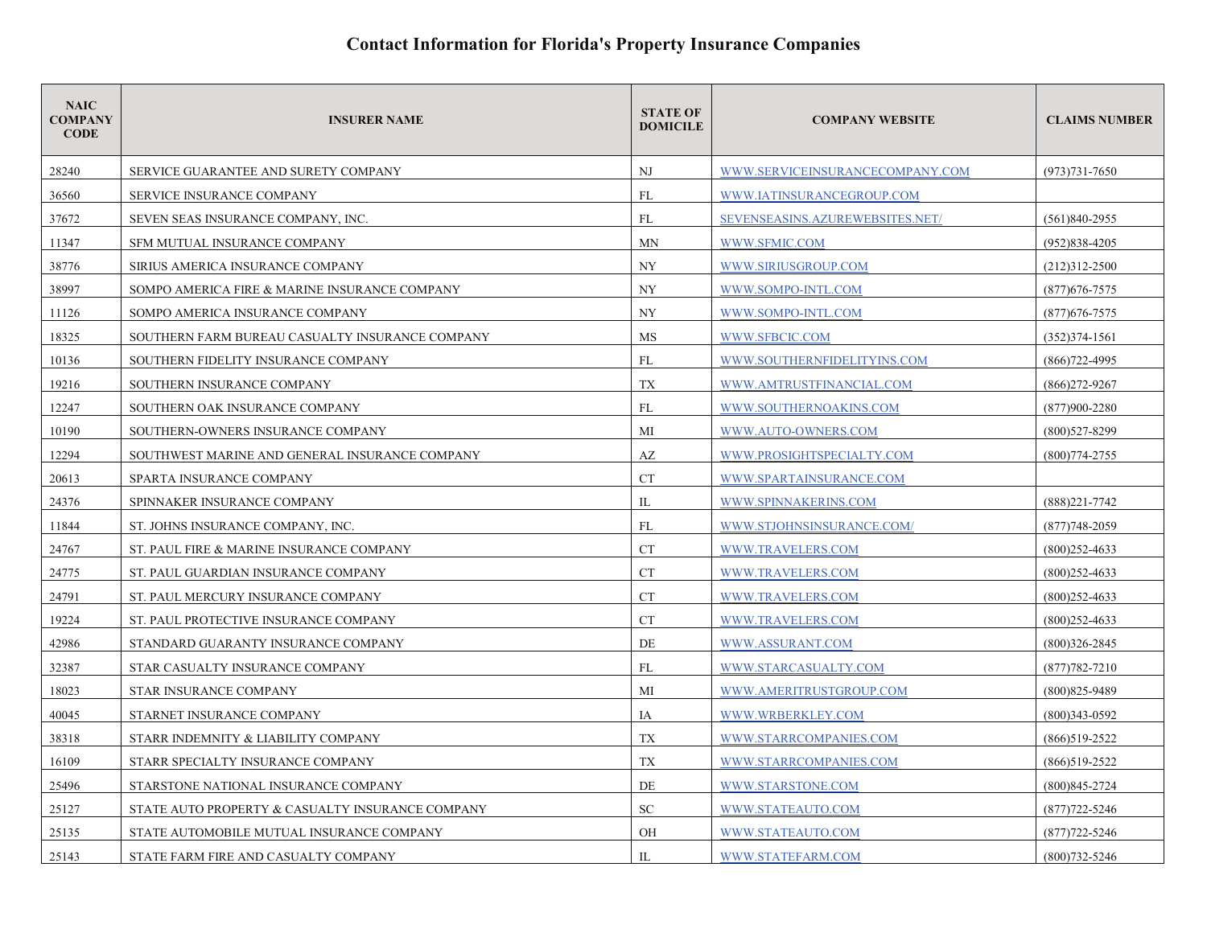| <b>NAIC</b><br><b>COMPANY</b><br><b>CODE</b> | <b>INSURER NAME</b>                              | <b>STATE OF</b><br><b>DOMICILE</b> | <b>COMPANY WEBSITE</b>          | <b>CLAIMS NUMBER</b> |
|----------------------------------------------|--------------------------------------------------|------------------------------------|---------------------------------|----------------------|
| 28240                                        | SERVICE GUARANTEE AND SURETY COMPANY             | NJ                                 | WWW.SERVICEINSURANCECOMPANY.COM | $(973)731 - 7650$    |
| 36560                                        | <b>SERVICE INSURANCE COMPANY</b>                 | FL                                 | WWW.IATINSURANCEGROUP.COM       |                      |
| 37672                                        | SEVEN SEAS INSURANCE COMPANY, INC.               | FL                                 | SEVENSEASINS.AZUREWEBSITES.NET/ | $(561)840-2955$      |
| 11347                                        | SFM MUTUAL INSURANCE COMPANY                     | MN                                 | WWW.SFMIC.COM                   | $(952)838-4205$      |
| 38776                                        | SIRIUS AMERICA INSURANCE COMPANY                 | <b>NY</b>                          | WWW.SIRIUSGROUP.COM             | $(212)312 - 2500$    |
| 38997                                        | SOMPO AMERICA FIRE & MARINE INSURANCE COMPANY    | NY                                 | WWW.SOMPO-INTL.COM              | $(877)$ 676-7575     |
| 11126                                        | SOMPO AMERICA INSURANCE COMPANY                  | NY                                 | WWW.SOMPO-INTL.COM              | $(877)676 - 7575$    |
| 18325                                        | SOUTHERN FARM BUREAU CASUALTY INSURANCE COMPANY  | MS                                 | WWW.SFBCIC.COM                  | $(352)374 - 1561$    |
| 10136                                        | SOUTHERN FIDELITY INSURANCE COMPANY              | <b>FL</b>                          | WWW.SOUTHERNFIDELITYINS.COM     | $(866)722 - 4995$    |
| 19216                                        | SOUTHERN INSURANCE COMPANY                       | TX                                 | WWW.AMTRUSTFINANCIAL.COM        | $(866)$ 272-9267     |
| 12247                                        | SOUTHERN OAK INSURANCE COMPANY                   | FL                                 | WWW.SOUTHERNOAKINS.COM          | $(877)900 - 2280$    |
| 10190                                        | SOUTHERN-OWNERS INSURANCE COMPANY                | MI                                 | WWW.AUTO-OWNERS.COM             | $(800)$ 527-8299     |
| 12294                                        | SOUTHWEST MARINE AND GENERAL INSURANCE COMPANY   | AZ                                 | WWW.PROSIGHTSPECIALTY.COM       | $(800)774 - 2755$    |
| 20613                                        | SPARTA INSURANCE COMPANY                         | <b>CT</b>                          | WWW.SPARTAINSURANCE.COM         |                      |
| 24376                                        | SPINNAKER INSURANCE COMPANY                      | IL                                 | WWW.SPINNAKERINS.COM            | $(888)221 - 7742$    |
| 11844                                        | ST. JOHNS INSURANCE COMPANY, INC.                | FL                                 | WWW.STJOHNSINSURANCE.COM/       | $(877)748 - 2059$    |
| 24767                                        | ST. PAUL FIRE & MARINE INSURANCE COMPANY         | <b>CT</b>                          | WWW.TRAVELERS.COM               | $(800)252 - 4633$    |
| 24775                                        | ST. PAUL GUARDIAN INSURANCE COMPANY              | <b>CT</b>                          | WWW.TRAVELERS.COM               | $(800)$ 252-4633     |
| 24791                                        | ST. PAUL MERCURY INSURANCE COMPANY               | <b>CT</b>                          | WWW.TRAVELERS.COM               | $(800)$ 252-4633     |
| 19224                                        | ST. PAUL PROTECTIVE INSURANCE COMPANY            | <b>CT</b>                          | WWW.TRAVELERS.COM               | $(800)252 - 4633$    |
| 42986                                        | STANDARD GUARANTY INSURANCE COMPANY              | DE                                 | WWW.ASSURANT.COM                | $(800)326 - 2845$    |
| 32387                                        | STAR CASUALTY INSURANCE COMPANY                  | <b>FL</b>                          | WWW.STARCASUALTY.COM            | $(877)782 - 7210$    |
| 18023                                        | STAR INSURANCE COMPANY                           | МI                                 | WWW.AMERITRUSTGROUP.COM         | (800) 825-9489       |
| 40045                                        | STARNET INSURANCE COMPANY                        | IA                                 | WWW.WRBERKLEY.COM               | $(800)343 - 0592$    |
| 38318                                        | STARR INDEMNITY & LIABILITY COMPANY              | <b>TX</b>                          | WWW.STARRCOMPANIES.COM          | $(866)519-2522$      |
| 16109                                        | STARR SPECIALTY INSURANCE COMPANY                | TX                                 | WWW.STARRCOMPANIES.COM          | $(866)519-2522$      |
| 25496                                        | STARSTONE NATIONAL INSURANCE COMPANY             | DE                                 | WWW.STARSTONE.COM               | $(800)845 - 2724$    |
| 25127                                        | STATE AUTO PROPERTY & CASUALTY INSURANCE COMPANY | SC.                                | WWW.STATEAUTO.COM               | $(877)722 - 5246$    |
| 25135                                        | STATE AUTOMOBILE MUTUAL INSURANCE COMPANY        | OH                                 | WWW.STATEAUTO.COM               | $(877)722 - 5246$    |
| 25143                                        | STATE FARM FIRE AND CASUALTY COMPANY             | $\Pi$ .                            | WWW.STATEFARM.COM               | $(800)732 - 5246$    |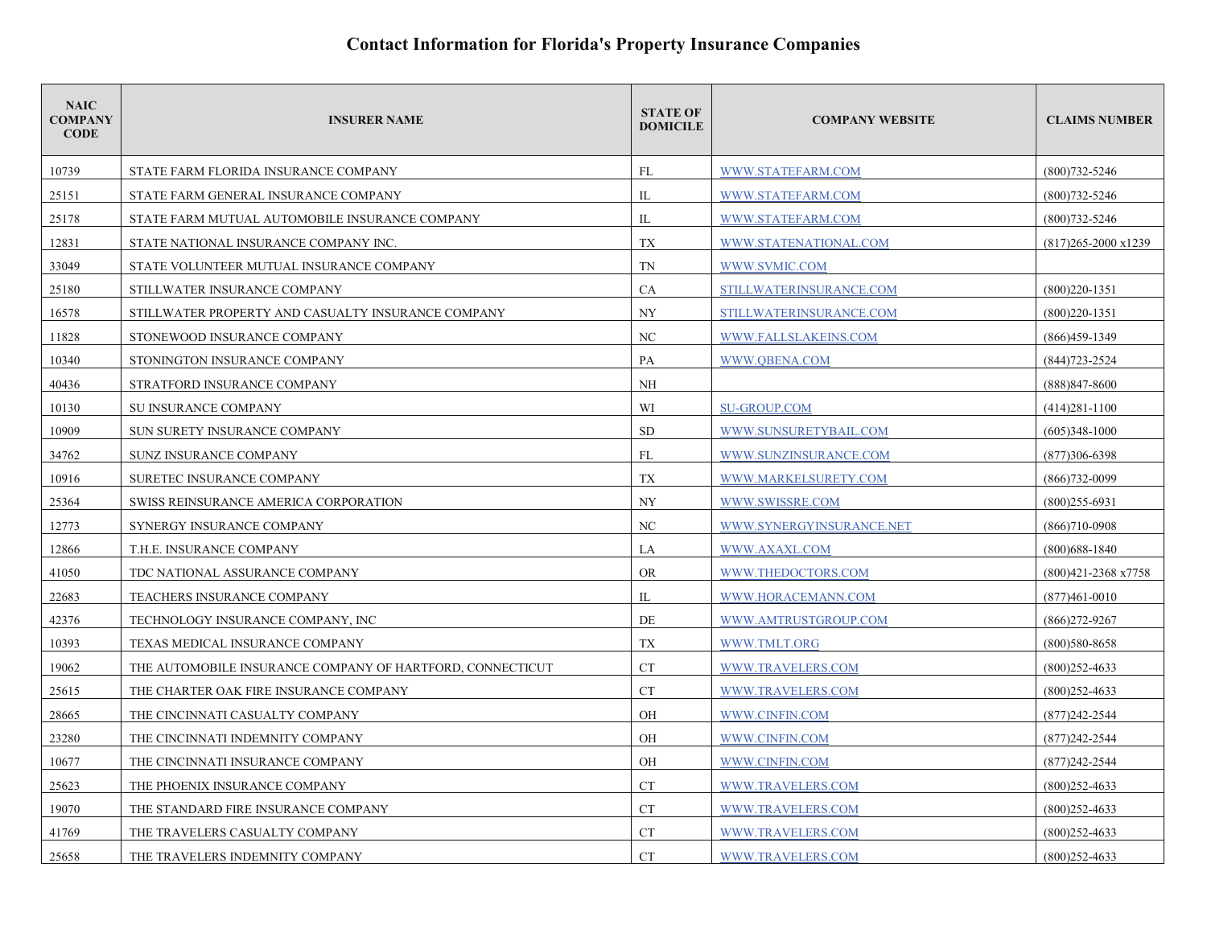| <b>NAIC</b><br><b>COMPANY</b><br><b>CODE</b> | <b>INSURER NAME</b>                                       | <b>STATE OF</b><br><b>DOMICILE</b> | <b>COMPANY WEBSITE</b>   | <b>CLAIMS NUMBER</b>          |
|----------------------------------------------|-----------------------------------------------------------|------------------------------------|--------------------------|-------------------------------|
| 10739                                        | STATE FARM FLORIDA INSURANCE COMPANY                      | FL                                 | WWW.STATEFARM.COM        | $(800)732 - 5246$             |
| 25151                                        | STATE FARM GENERAL INSURANCE COMPANY                      | IL                                 | WWW.STATEFARM.COM        | $(800)732 - 5246$             |
| 25178                                        | STATE FARM MUTUAL AUTOMOBILE INSURANCE COMPANY            | IL                                 | WWW.STATEFARM.COM        | $(800)732 - 5246$             |
| 12831                                        | STATE NATIONAL INSURANCE COMPANY INC.                     | TX                                 | WWW.STATENATIONAL.COM    | $(817)265 - 2000 \times 1239$ |
| 33049                                        | STATE VOLUNTEER MUTUAL INSURANCE COMPANY                  | TN                                 | WWW.SVMIC.COM            |                               |
| 25180                                        | STILLWATER INSURANCE COMPANY                              | CA                                 | STILLWATERINSURANCE.COM  | $(800)220 - 1351$             |
| 16578                                        | STILLWATER PROPERTY AND CASUALTY INSURANCE COMPANY        | <b>NY</b>                          | STILLWATERINSURANCE.COM  | $(800)220 - 1351$             |
| 11828                                        | STONEWOOD INSURANCE COMPANY                               | NC                                 | WWW.FALLSLAKEINS.COM     | $(866)459-1349$               |
| 10340                                        | STONINGTON INSURANCE COMPANY                              | PA                                 | WWW.OBENA.COM            | $(844)723 - 2524$             |
| 40436                                        | STRATFORD INSURANCE COMPANY                               | NH                                 |                          | $(888)847 - 8600$             |
| 10130                                        | <b>SU INSURANCE COMPANY</b>                               | WI                                 | <b>SU-GROUP.COM</b>      | $(414)281-1100$               |
| 10909                                        | SUN SURETY INSURANCE COMPANY                              | <b>SD</b>                          | WWW.SUNSURETYBAIL.COM    | $(605)348-1000$               |
| 34762                                        | <b>SUNZ INSURANCE COMPANY</b>                             | FL                                 | WWW.SUNZINSURANCE.COM    | $(877)306 - 6398$             |
| 10916                                        | <b>SURETEC INSURANCE COMPANY</b>                          | <b>TX</b>                          | WWW.MARKELSURETY.COM     | $(866)732-0099$               |
| 25364                                        | SWISS REINSURANCE AMERICA CORPORATION                     | <b>NY</b>                          | WWW.SWISSRE.COM          | $(800)$ 255-6931              |
| 12773                                        | SYNERGY INSURANCE COMPANY                                 | NC                                 | WWW.SYNERGYINSURANCE.NET | $(866)710-0908$               |
| 12866                                        | T.H.E. INSURANCE COMPANY                                  | LA                                 | WWW.AXAXL.COM            | $(800)$ 688-1840              |
| 41050                                        | TDC NATIONAL ASSURANCE COMPANY                            | <b>OR</b>                          | WWW.THEDOCTORS.COM       | (800)421-2368 x7758           |
| 22683                                        | <b>TEACHERS INSURANCE COMPANY</b>                         | IL                                 | WWW.HORACEMANN.COM       | $(877)461 - 0010$             |
| 42376                                        | TECHNOLOGY INSURANCE COMPANY, INC                         | DE                                 | WWW.AMTRUSTGROUP.COM     | $(866)$ 272-9267              |
| 10393                                        | TEXAS MEDICAL INSURANCE COMPANY                           | TX                                 | WWW.TMLT.ORG             | $(800)580 - 8658$             |
| 19062                                        | THE AUTOMOBILE INSURANCE COMPANY OF HARTFORD, CONNECTICUT | <b>CT</b>                          | WWW.TRAVELERS.COM        | $(800)252 - 4633$             |
| 25615                                        | THE CHARTER OAK FIRE INSURANCE COMPANY                    | CT                                 | WWW.TRAVELERS.COM        | $(800)$ 252-4633              |
| 28665                                        | THE CINCINNATI CASUALTY COMPANY                           | OH                                 | WWW.CINFIN.COM           | $(877)$ 242-2544              |
| 23280                                        | THE CINCINNATI INDEMNITY COMPANY                          | OH                                 | WWW.CINFIN.COM           | $(877)242 - 2544$             |
| 10677                                        | THE CINCINNATI INSURANCE COMPANY                          | OH                                 | WWW.CINFIN.COM           | $(877)242 - 2544$             |
| 25623                                        | THE PHOENIX INSURANCE COMPANY                             | <b>CT</b>                          | WWW.TRAVELERS.COM        | $(800)$ 252-4633              |
| 19070                                        | THE STANDARD FIRE INSURANCE COMPANY                       | <b>CT</b>                          | WWW.TRAVELERS.COM        | $(800)$ 252-4633              |
| 41769                                        | THE TRAVELERS CASUALTY COMPANY                            | <b>CT</b>                          | WWW.TRAVELERS.COM        | $(800)$ 252-4633              |
| 25658                                        | THE TRAVELERS INDEMNITY COMPANY                           | <b>CT</b>                          | WWW.TRAVELERS.COM        | $(800)252 - 4633$             |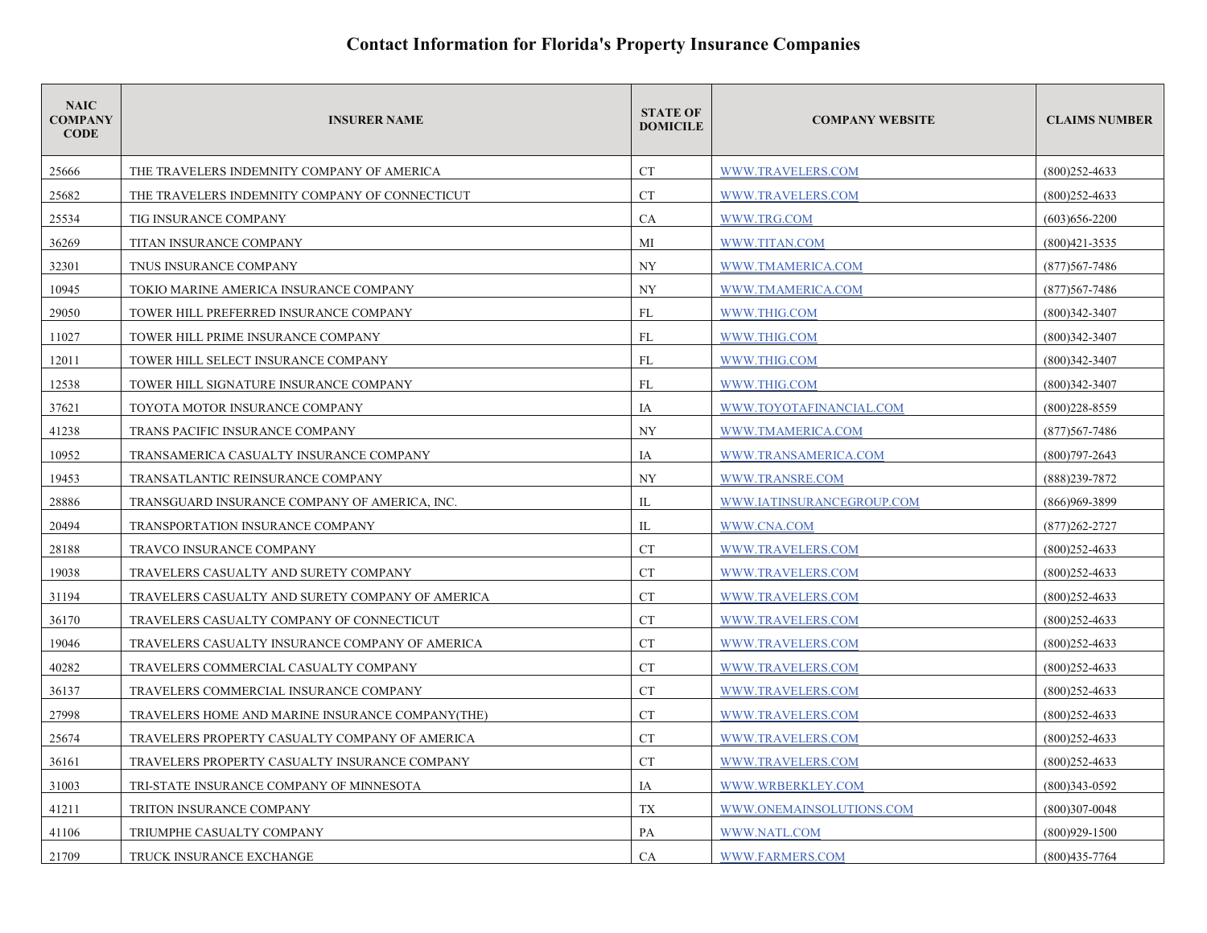| <b>NAIC</b><br><b>COMPANY</b><br><b>CODE</b> | <b>INSURER NAME</b>                              | <b>STATE OF</b><br><b>DOMICILE</b> | <b>COMPANY WEBSITE</b>    | <b>CLAIMS NUMBER</b> |
|----------------------------------------------|--------------------------------------------------|------------------------------------|---------------------------|----------------------|
| 25666                                        | THE TRAVELERS INDEMNITY COMPANY OF AMERICA       | <b>CT</b>                          | WWW.TRAVELERS.COM         | $(800)252 - 4633$    |
| 25682                                        | THE TRAVELERS INDEMNITY COMPANY OF CONNECTICUT   | <b>CT</b>                          | WWW.TRAVELERS.COM         | $(800)$ 252-4633     |
| 25534                                        | TIG INSURANCE COMPANY                            | <b>CA</b>                          | WWW.TRG.COM               | $(603)$ 656-2200     |
| 36269                                        | TITAN INSURANCE COMPANY                          | MI                                 | WWW.TITAN.COM             | $(800)421 - 3535$    |
| 32301                                        | TNUS INSURANCE COMPANY                           | <b>NY</b>                          | WWW.TMAMERICA.COM         | $(877)567 - 7486$    |
| 10945                                        | TOKIO MARINE AMERICA INSURANCE COMPANY           | <b>NY</b>                          | WWW.TMAMERICA.COM         | $(877)567 - 7486$    |
| 29050                                        | TOWER HILL PREFERRED INSURANCE COMPANY           | FL                                 | WWW.THIG.COM              | $(800)342 - 3407$    |
| 11027                                        | TOWER HILL PRIME INSURANCE COMPANY               | FL                                 | WWW.THIG.COM              | $(800)342 - 3407$    |
| 12011                                        | TOWER HILL SELECT INSURANCE COMPANY              | <b>FL</b>                          | WWW.THIG.COM              | $(800)342 - 3407$    |
| 12538                                        | TOWER HILL SIGNATURE INSURANCE COMPANY           | FL                                 | WWW.THIG.COM              | $(800)342 - 3407$    |
| 37621                                        | TOYOTA MOTOR INSURANCE COMPANY                   | IA                                 | WWW.TOYOTAFINANCIAL.COM   | $(800)228 - 8559$    |
| 41238                                        | TRANS PACIFIC INSURANCE COMPANY                  | NY                                 | WWW.TMAMERICA.COM         | $(877)$ 567-7486     |
| 10952                                        | TRANSAMERICA CASUALTY INSURANCE COMPANY          | IA                                 | WWW.TRANSAMERICA.COM      | $(800)797 - 2643$    |
| 19453                                        | TRANSATLANTIC REINSURANCE COMPANY                | <b>NY</b>                          | WWW.TRANSRE.COM           | (888)239-7872        |
| 28886                                        | TRANSGUARD INSURANCE COMPANY OF AMERICA, INC.    | IL                                 | WWW.IATINSURANCEGROUP.COM | $(866)969-3899$      |
| 20494                                        | TRANSPORTATION INSURANCE COMPANY                 | IL                                 | WWW.CNA.COM               | $(877)262 - 2727$    |
| 28188                                        | TRAVCO INSURANCE COMPANY                         | <b>CT</b>                          | WWW.TRAVELERS.COM         | $(800)252 - 4633$    |
| 19038                                        | TRAVELERS CASUALTY AND SURETY COMPANY            | <b>CT</b>                          | WWW.TRAVELERS.COM         | $(800)252 - 4633$    |
| 31194                                        | TRAVELERS CASUALTY AND SURETY COMPANY OF AMERICA | <b>CT</b>                          | WWW.TRAVELERS.COM         | $(800)252 - 4633$    |
| 36170                                        | TRAVELERS CASUALTY COMPANY OF CONNECTICUT        | <b>CT</b>                          | WWW.TRAVELERS.COM         | $(800)252 - 4633$    |
| 19046                                        | TRAVELERS CASUALTY INSURANCE COMPANY OF AMERICA  | <b>CT</b>                          | WWW.TRAVELERS.COM         | $(800)252 - 4633$    |
| 40282                                        | TRAVELERS COMMERCIAL CASUALTY COMPANY            | <b>CT</b>                          | WWW.TRAVELERS.COM         | $(800)252 - 4633$    |
| 36137                                        | TRAVELERS COMMERCIAL INSURANCE COMPANY           | <b>CT</b>                          | WWW.TRAVELERS.COM         | $(800)$ 252-4633     |
| 27998                                        | TRAVELERS HOME AND MARINE INSURANCE COMPANY(THE) | <b>CT</b>                          | WWW.TRAVELERS.COM         | $(800)$ 252-4633     |
| 25674                                        | TRAVELERS PROPERTY CASUALTY COMPANY OF AMERICA   | <b>CT</b>                          | WWW.TRAVELERS.COM         | $(800)252 - 4633$    |
| 36161                                        | TRAVELERS PROPERTY CASUALTY INSURANCE COMPANY    | <b>CT</b>                          | WWW.TRAVELERS.COM         | $(800)252 - 4633$    |
| 31003                                        | TRI-STATE INSURANCE COMPANY OF MINNESOTA         | IA                                 | WWW.WRBERKLEY.COM         | $(800)343-0592$      |
| 41211                                        | TRITON INSURANCE COMPANY                         | TX                                 | WWW.ONEMAINSOLUTIONS.COM  | $(800)307 - 0048$    |
| 41106                                        | TRIUMPHE CASUALTY COMPANY                        | PA                                 | WWW.NATL.COM              | $(800)929 - 1500$    |
| 21709                                        | TRUCK INSURANCE EXCHANGE                         | CA                                 | WWW.FARMERS.COM           | $(800)435 - 7764$    |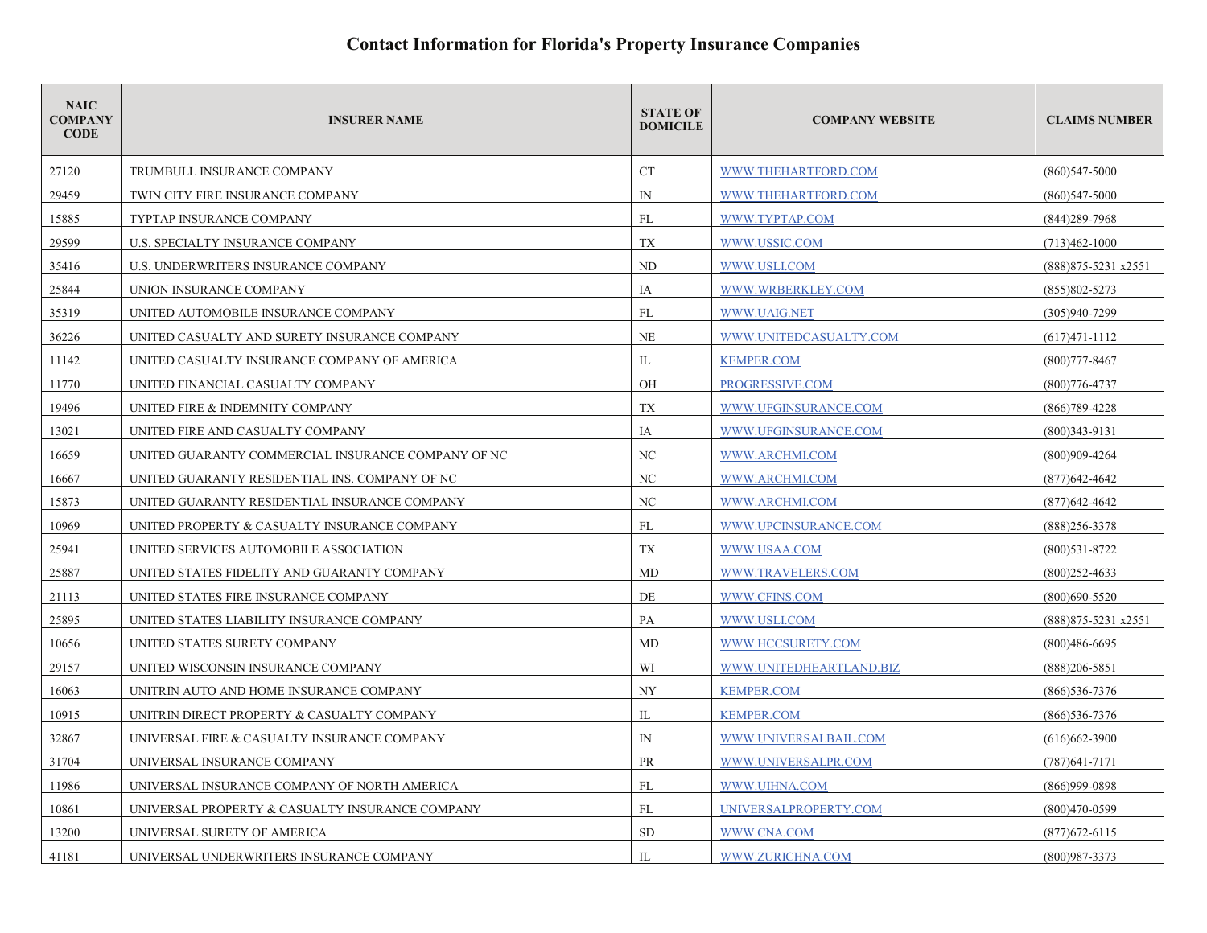| <b>NAIC</b><br><b>COMPANY</b><br><b>CODE</b> | <b>INSURER NAME</b>                                | <b>STATE OF</b><br><b>DOMICILE</b> | <b>COMPANY WEBSITE</b>  | <b>CLAIMS NUMBER</b>    |
|----------------------------------------------|----------------------------------------------------|------------------------------------|-------------------------|-------------------------|
| 27120                                        | TRUMBULL INSURANCE COMPANY                         | <b>CT</b>                          | WWW.THEHARTFORD.COM     | $(860)547 - 5000$       |
| 29459                                        | TWIN CITY FIRE INSURANCE COMPANY                   | $\mathbb{N}$                       | WWW.THEHARTFORD.COM     | $(860)$ 547-5000        |
| 15885                                        | TYPTAP INSURANCE COMPANY                           | FL                                 | WWW.TYPTAP.COM          | $(844)$ 289-7968        |
| 29599                                        | U.S. SPECIALTY INSURANCE COMPANY                   | TX                                 | WWW.USSIC.COM           | $(713)462 - 1000$       |
| 35416                                        | U.S. UNDERWRITERS INSURANCE COMPANY                | ND                                 | WWW.USLI.COM            | (888) 875-5231 x 2551   |
| 25844                                        | UNION INSURANCE COMPANY                            | IA                                 | WWW.WRBERKLEY.COM       | $(855)802 - 5273$       |
| 35319                                        | UNITED AUTOMOBILE INSURANCE COMPANY                | FL                                 | WWW.UAIG.NET            | $(305)940 - 7299$       |
| 36226                                        | UNITED CASUALTY AND SURETY INSURANCE COMPANY       | NE                                 | WWW.UNITEDCASUALTY.COM  | $(617)471 - 1112$       |
| 11142                                        | UNITED CASUALTY INSURANCE COMPANY OF AMERICA       | IL                                 | <b>KEMPER.COM</b>       | $(800)777 - 8467$       |
| 11770                                        | UNITED FINANCIAL CASUALTY COMPANY                  | OH                                 | PROGRESSIVE.COM         | $(800)776 - 4737$       |
| 19496                                        | UNITED FIRE & INDEMNITY COMPANY                    | TX                                 | WWW.UFGINSURANCE.COM    | $(866)789 - 4228$       |
| 13021                                        | UNITED FIRE AND CASUALTY COMPANY                   | IA                                 | WWW.UFGINSURANCE.COM    | $(800)343-9131$         |
| 16659                                        | UNITED GUARANTY COMMERCIAL INSURANCE COMPANY OF NC | NC                                 | WWW.ARCHMI.COM          | (800)909-4264           |
| 16667                                        | UNITED GUARANTY RESIDENTIAL INS. COMPANY OF NC     | NC                                 | WWW.ARCHMI.COM          | (877) 642-4642          |
| 15873                                        | UNITED GUARANTY RESIDENTIAL INSURANCE COMPANY      | NC                                 | WWW.ARCHMI.COM          | $(877)$ 642-4642        |
| 10969                                        | UNITED PROPERTY & CASUALTY INSURANCE COMPANY       | FL                                 | WWW.UPCINSURANCE.COM    | $(888)$ 256-3378        |
| 25941                                        | UNITED SERVICES AUTOMOBILE ASSOCIATION             | <b>TX</b>                          | WWW.USAA.COM            | $(800)531 - 8722$       |
| 25887                                        | UNITED STATES FIDELITY AND GUARANTY COMPANY        | MD                                 | WWW.TRAVELERS.COM       | $(800)$ 252-4633        |
| 21113                                        | UNITED STATES FIRE INSURANCE COMPANY               | DE                                 | WWW.CFINS.COM           | $(800)690 - 5520$       |
| 25895                                        | UNITED STATES LIABILITY INSURANCE COMPANY          | PA                                 | WWW.USLI.COM            | $(888)875 - 5231$ x2551 |
| 10656                                        | UNITED STATES SURETY COMPANY                       | MD                                 | WWW.HCCSURETY.COM       | $(800)486 - 6695$       |
| 29157                                        | UNITED WISCONSIN INSURANCE COMPANY                 | WI                                 | WWW.UNITEDHEARTLAND.BIZ | $(888)206 - 5851$       |
| 16063                                        | UNITRIN AUTO AND HOME INSURANCE COMPANY            | NY                                 | <b>KEMPER.COM</b>       | $(866)$ 536-7376        |
| 10915                                        | UNITRIN DIRECT PROPERTY & CASUALTY COMPANY         | IL                                 | <b>KEMPER.COM</b>       | $(866)$ 536-7376        |
| 32867                                        | UNIVERSAL FIRE & CASUALTY INSURANCE COMPANY        | $\mathbb{N}$                       | WWW.UNIVERSALBAIL.COM   | $(616)662 - 3900$       |
| 31704                                        | UNIVERSAL INSURANCE COMPANY                        | PR                                 | WWW.UNIVERSALPR.COM     | $(787)641 - 7171$       |
| 11986                                        | UNIVERSAL INSURANCE COMPANY OF NORTH AMERICA       | FL                                 | WWW.UIHNA.COM           | $(866)999 - 0898$       |
| 10861                                        | UNIVERSAL PROPERTY & CASUALTY INSURANCE COMPANY    | FL                                 | UNIVERSALPROPERTY.COM   | $(800)470-0599$         |
| 13200                                        | UNIVERSAL SURETY OF AMERICA                        | <b>SD</b>                          | WWW.CNA.COM             | $(877)$ 672-6115        |
| 41181                                        | UNIVERSAL UNDERWRITERS INSURANCE COMPANY           | $\Pi$ .                            | WWW.ZURICHNA.COM        | $(800)987 - 3373$       |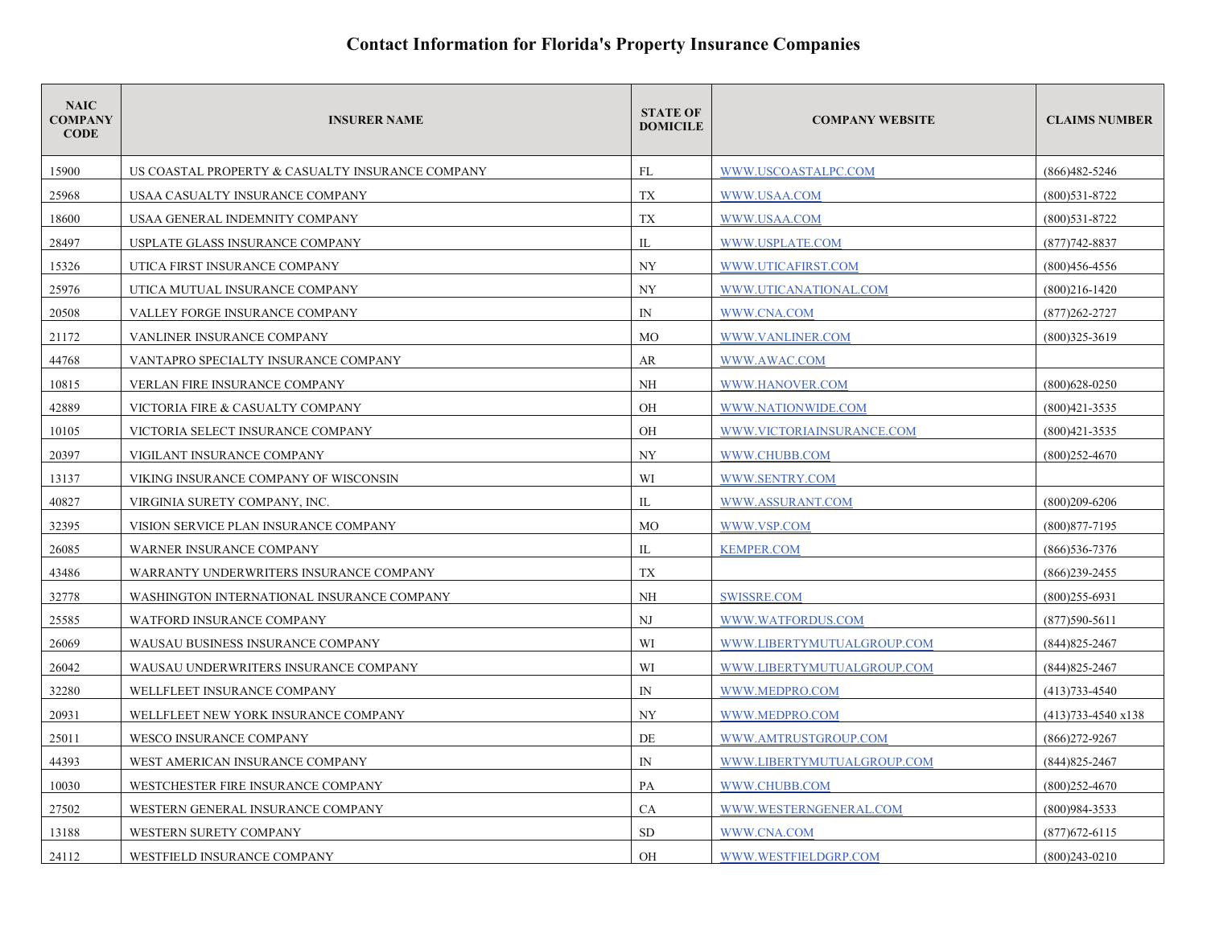| <b>NAIC</b><br><b>COMPANY</b><br><b>CODE</b> | <b>INSURER NAME</b>                              | <b>STATE OF</b><br><b>DOMICILE</b> | <b>COMPANY WEBSITE</b>     | <b>CLAIMS NUMBER</b>         |
|----------------------------------------------|--------------------------------------------------|------------------------------------|----------------------------|------------------------------|
| 15900                                        | US COASTAL PROPERTY & CASUALTY INSURANCE COMPANY | FL                                 | WWW.USCOASTALPC.COM        | $(866)482 - 5246$            |
| 25968                                        | USAA CASUALTY INSURANCE COMPANY                  | TX                                 | WWW.USAA.COM               | $(800)531 - 8722$            |
| 18600                                        | USAA GENERAL INDEMNITY COMPANY                   | TX                                 | WWW.USAA.COM               | $(800)$ 531-8722             |
| 28497                                        | USPLATE GLASS INSURANCE COMPANY                  | IL                                 | WWW.USPLATE.COM            | $(877)742 - 8837$            |
| 15326                                        | UTICA FIRST INSURANCE COMPANY                    | <b>NY</b>                          | WWW.UTICAFIRST.COM         | $(800)456 - 4556$            |
| 25976                                        | UTICA MUTUAL INSURANCE COMPANY                   | NY                                 | WWW.UTICANATIONAL.COM      | $(800)216 - 1420$            |
| 20508                                        | VALLEY FORGE INSURANCE COMPANY                   | $\mathbb{N}$                       | WWW.CNA.COM                | $(877)262 - 2727$            |
| 21172                                        | VANLINER INSURANCE COMPANY                       | <b>MO</b>                          | WWW.VANLINER.COM           | $(800)325 - 3619$            |
| 44768                                        | VANTAPRO SPECIALTY INSURANCE COMPANY             | AR                                 | WWW.AWAC.COM               |                              |
| 10815                                        | VERLAN FIRE INSURANCE COMPANY                    | NH                                 | WWW.HANOVER.COM            | $(800)628 - 0250$            |
| 42889                                        | VICTORIA FIRE & CASUALTY COMPANY                 | OH                                 | WWW.NATIONWIDE.COM         | $(800)421 - 3535$            |
| 10105                                        | VICTORIA SELECT INSURANCE COMPANY                | <b>OH</b>                          | WWW.VICTORIAINSURANCE.COM  | $(800)421 - 3535$            |
| 20397                                        | VIGILANT INSURANCE COMPANY                       | NY                                 | WWW.CHUBB.COM              | $(800)252 - 4670$            |
| 13137                                        | VIKING INSURANCE COMPANY OF WISCONSIN            | WI                                 | WWW.SENTRY.COM             |                              |
| 40827                                        | VIRGINIA SURETY COMPANY, INC.                    | IL                                 | WWW.ASSURANT.COM           | $(800)209 - 6206$            |
| 32395                                        | VISION SERVICE PLAN INSURANCE COMPANY            | <b>MO</b>                          | WWW.VSP.COM                | $(800)877 - 7195$            |
| 26085                                        | WARNER INSURANCE COMPANY                         | IL                                 | <b>KEMPER.COM</b>          | $(866)536 - 7376$            |
| 43486                                        | WARRANTY UNDERWRITERS INSURANCE COMPANY          | TX                                 |                            | $(866)$ 239-2455             |
| 32778                                        | WASHINGTON INTERNATIONAL INSURANCE COMPANY       | <b>NH</b>                          | SWISSRE.COM                | $(800)255 - 6931$            |
| 25585                                        | <b>WATFORD INSURANCE COMPANY</b>                 | NJ                                 | WWW.WATFORDUS.COM          | $(877)590 - 5611$            |
| 26069                                        | WAUSAU BUSINESS INSURANCE COMPANY                | WI                                 | WWW.LIBERTYMUTUALGROUP.COM | $(844)825 - 2467$            |
| 26042                                        | WAUSAU UNDERWRITERS INSURANCE COMPANY            | WI                                 | WWW.LIBERTYMUTUALGROUP.COM | $(844)825 - 2467$            |
| 32280                                        | WELLFLEET INSURANCE COMPANY                      | ${\rm IN}$                         | WWW.MEDPRO.COM             | $(413)733 - 4540$            |
| 20931                                        | WELLFLEET NEW YORK INSURANCE COMPANY             | NY                                 | WWW.MEDPRO.COM             | $(413)733 - 4540 \times 138$ |
| 25011                                        | WESCO INSURANCE COMPANY                          | DE                                 | WWW.AMTRUSTGROUP.COM       | $(866)272 - 9267$            |
| 44393                                        | WEST AMERICAN INSURANCE COMPANY                  | $\mathbb{N}$                       | WWW.LIBERTYMUTUALGROUP.COM | $(844)825 - 2467$            |
| 10030                                        | WESTCHESTER FIRE INSURANCE COMPANY               | PA                                 | WWW.CHUBB.COM              | $(800)252 - 4670$            |
| 27502                                        | WESTERN GENERAL INSURANCE COMPANY                | <b>CA</b>                          | WWW.WESTERNGENERAL.COM     | (800)984-3533                |
| 13188                                        | WESTERN SURETY COMPANY                           | <b>SD</b>                          | WWW.CNA.COM                | $(877)672 - 6115$            |
| 24112                                        | WESTFIELD INSURANCE COMPANY                      | <b>OH</b>                          | WWW.WESTFIELDGRP.COM       | $(800)243 - 0210$            |